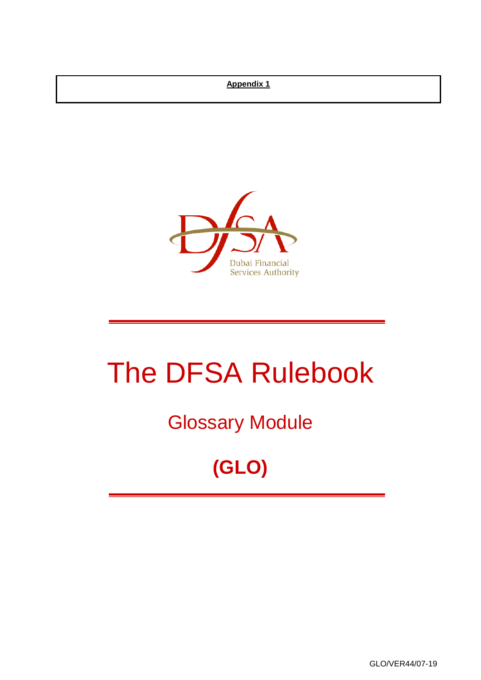#### **Appendix 1**



# The DFSA Rulebook

Glossary Module

## **(GLO)**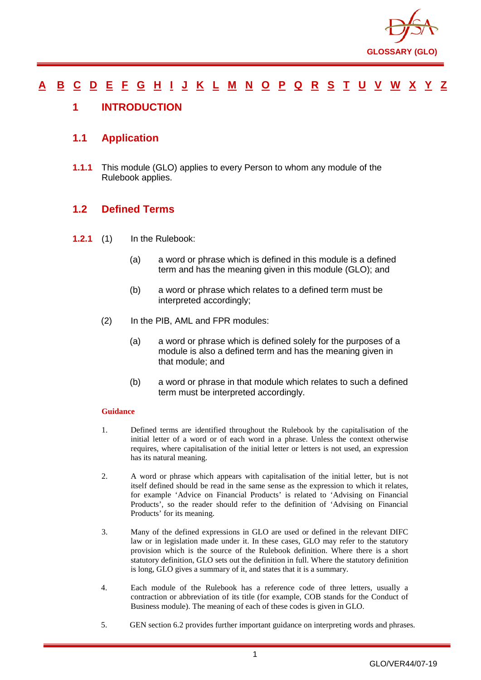

#### <u>[A](#page-2-0) [B](#page-7-0) [C](#page-9-0) [D](#page-18-0) [E](#page-22-0) [F](#page-23-0) [G](#page-26-0) [H](#page-30-0) [I](#page-31-0) [J](#page-35-0) [K](#page-36-0) [L](#page-37-0) [M](#page-40-0) [N](#page-43-0) [O](#page-45-0) [P](#page-47-0) [Q](#page-53-0) [R](#page-54-0) [S](#page-59-0) [T](#page-63-0) [U](#page-65-0) [V](#page-66-0) [W](#page-67-0) [X](#page-68-0) [Y](#page-69-0) [Z](#page-70-0)</u>

#### <span id="page-1-0"></span>**1 INTRODUCTION**

#### **1.1 Application**

**1.1.1** This module (GLO) applies to every Person to whom any module of the Rulebook applies.

#### **1.2 Defined Terms**

- **1.2.1** (1) In the Rulebook:
	- (a) a word or phrase which is defined in this module is a defined term and has the meaning given in this module (GLO); and
	- (b) a word or phrase which relates to a defined term must be interpreted accordingly;
	- (2) In the PIB, AML and FPR modules:
		- (a) a word or phrase which is defined solely for the purposes of a module is also a defined term and has the meaning given in that module; and
		- (b) a word or phrase in that module which relates to such a defined term must be interpreted accordingly.

#### **Guidance**

- 1. Defined terms are identified throughout the Rulebook by the capitalisation of the initial letter of a word or of each word in a phrase. Unless the context otherwise requires, where capitalisation of the initial letter or letters is not used, an expression has its natural meaning.
- 2. A word or phrase which appears with capitalisation of the initial letter, but is not itself defined should be read in the same sense as the expression to which it relates, for example 'Advice on Financial Products' is related to 'Advising on Financial Products', so the reader should refer to the definition of 'Advising on Financial Products' for its meaning.
- 3. Many of the defined expressions in GLO are used or defined in the relevant DIFC law or in legislation made under it. In these cases, GLO may refer to the statutory provision which is the source of the Rulebook definition. Where there is a short statutory definition, GLO sets out the definition in full. Where the statutory definition is long, GLO gives a summary of it, and states that it is a summary.
- 4. Each module of the Rulebook has a reference code of three letters, usually a contraction or abbreviation of its title (for example, COB stands for the Conduct of Business module). The meaning of each of these codes is given in GLO.
- 5. GEN section 6.2 provides further important guidance on interpreting words and phrases.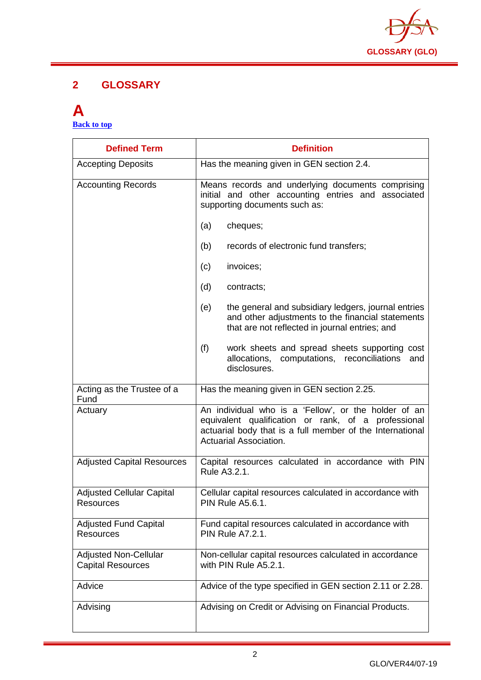

#### **2 GLOSSARY**

#### <span id="page-2-0"></span>**A [Back to top](#page-1-0)**

| <b>Defined Term</b>                                      | <b>Definition</b>                                                                                                                                                                                         |
|----------------------------------------------------------|-----------------------------------------------------------------------------------------------------------------------------------------------------------------------------------------------------------|
| <b>Accepting Deposits</b>                                | Has the meaning given in GEN section 2.4.                                                                                                                                                                 |
| <b>Accounting Records</b>                                | Means records and underlying documents comprising<br>initial and other accounting entries and associated<br>supporting documents such as:                                                                 |
|                                                          | cheques;<br>(a)                                                                                                                                                                                           |
|                                                          | records of electronic fund transfers;<br>(b)                                                                                                                                                              |
|                                                          | invoices;<br>(c)                                                                                                                                                                                          |
|                                                          | (d)<br>contracts;                                                                                                                                                                                         |
|                                                          | the general and subsidiary ledgers, journal entries<br>(e)<br>and other adjustments to the financial statements<br>that are not reflected in journal entries; and                                         |
|                                                          | (f)<br>work sheets and spread sheets supporting cost<br>allocations,<br>computations, reconciliations<br>and<br>disclosures.                                                                              |
| Acting as the Trustee of a<br>Fund                       | Has the meaning given in GEN section 2.25.                                                                                                                                                                |
| Actuary                                                  | An individual who is a 'Fellow', or the holder of an<br>equivalent qualification or rank, of a professional<br>actuarial body that is a full member of the International<br><b>Actuarial Association.</b> |
| <b>Adjusted Capital Resources</b>                        | Capital resources calculated in accordance with PIN<br>Rule A3.2.1.                                                                                                                                       |
| <b>Adjusted Cellular Capital</b><br><b>Resources</b>     | Cellular capital resources calculated in accordance with<br><b>PIN Rule A5.6.1.</b>                                                                                                                       |
| <b>Adjusted Fund Capital</b><br>Resources                | Fund capital resources calculated in accordance with<br><b>PIN Rule A7.2.1.</b>                                                                                                                           |
| <b>Adjusted Non-Cellular</b><br><b>Capital Resources</b> | Non-cellular capital resources calculated in accordance<br>with PIN Rule A5.2.1.                                                                                                                          |
| Advice                                                   | Advice of the type specified in GEN section 2.11 or 2.28.                                                                                                                                                 |
| Advising                                                 | Advising on Credit or Advising on Financial Products.                                                                                                                                                     |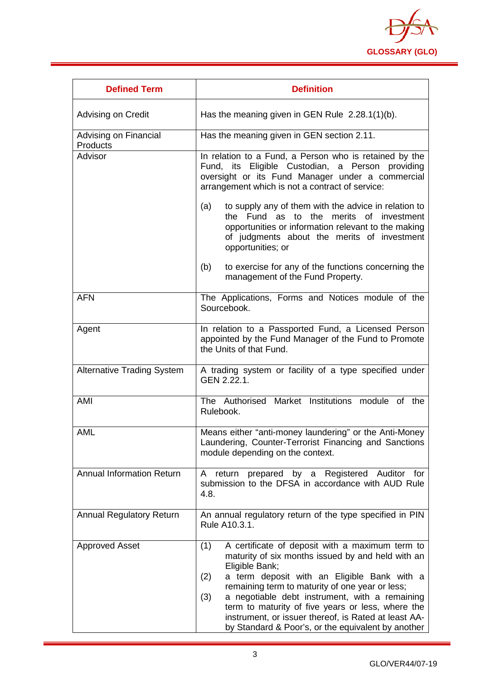

| <b>Defined Term</b>               | <b>Definition</b>                                                                                                                                                                                                                                                                                                                                                                                                                                                  |
|-----------------------------------|--------------------------------------------------------------------------------------------------------------------------------------------------------------------------------------------------------------------------------------------------------------------------------------------------------------------------------------------------------------------------------------------------------------------------------------------------------------------|
| Advising on Credit                | Has the meaning given in GEN Rule 2.28.1(1)(b).                                                                                                                                                                                                                                                                                                                                                                                                                    |
| Advising on Financial<br>Products | Has the meaning given in GEN section 2.11.                                                                                                                                                                                                                                                                                                                                                                                                                         |
| Advisor                           | In relation to a Fund, a Person who is retained by the<br>Fund, its Eligible Custodian, a Person providing<br>oversight or its Fund Manager under a commercial<br>arrangement which is not a contract of service:                                                                                                                                                                                                                                                  |
|                                   | to supply any of them with the advice in relation to<br>(a)<br>the Fund as to the merits of investment<br>opportunities or information relevant to the making<br>of judgments about the merits of investment<br>opportunities; or                                                                                                                                                                                                                                  |
|                                   | to exercise for any of the functions concerning the<br>(b)<br>management of the Fund Property.                                                                                                                                                                                                                                                                                                                                                                     |
| <b>AFN</b>                        | The Applications, Forms and Notices module of the<br>Sourcebook.                                                                                                                                                                                                                                                                                                                                                                                                   |
| Agent                             | In relation to a Passported Fund, a Licensed Person<br>appointed by the Fund Manager of the Fund to Promote<br>the Units of that Fund.                                                                                                                                                                                                                                                                                                                             |
| <b>Alternative Trading System</b> | A trading system or facility of a type specified under<br>GEN 2.22.1.                                                                                                                                                                                                                                                                                                                                                                                              |
| AMI                               | The Authorised Market Institutions module of the<br>Rulebook.                                                                                                                                                                                                                                                                                                                                                                                                      |
| <b>AML</b>                        | Means either "anti-money laundering" or the Anti-Money<br>Laundering, Counter-Terrorist Financing and Sanctions<br>module depending on the context.                                                                                                                                                                                                                                                                                                                |
| <b>Annual Information Return</b>  | Registered Auditor for<br>prepared by a<br>A<br>return<br>submission to the DFSA in accordance with AUD Rule<br>4.8.                                                                                                                                                                                                                                                                                                                                               |
| <b>Annual Regulatory Return</b>   | An annual regulatory return of the type specified in PIN<br>Rule A10.3.1.                                                                                                                                                                                                                                                                                                                                                                                          |
| <b>Approved Asset</b>             | A certificate of deposit with a maximum term to<br>(1)<br>maturity of six months issued by and held with an<br>Eligible Bank;<br>a term deposit with an Eligible Bank with a<br>(2)<br>remaining term to maturity of one year or less;<br>(3)<br>a negotiable debt instrument, with a remaining<br>term to maturity of five years or less, where the<br>instrument, or issuer thereof, is Rated at least AA-<br>by Standard & Poor's, or the equivalent by another |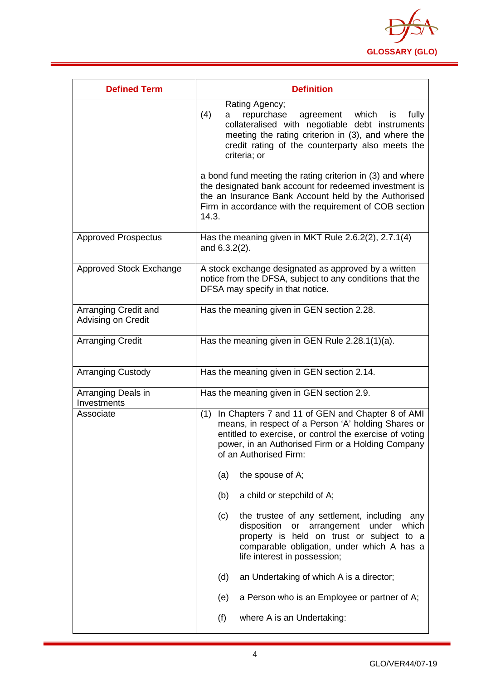

| <b>Defined Term</b>                        | <b>Definition</b>                                                                                                                                                                                                                                          |
|--------------------------------------------|------------------------------------------------------------------------------------------------------------------------------------------------------------------------------------------------------------------------------------------------------------|
|                                            | Rating Agency;<br>(4)<br>repurchase<br>agreement<br>which<br>fully<br>a<br>is<br>collateralised with negotiable debt instruments<br>meeting the rating criterion in (3), and where the<br>credit rating of the counterparty also meets the<br>criteria; or |
|                                            | a bond fund meeting the rating criterion in (3) and where<br>the designated bank account for redeemed investment is<br>the an Insurance Bank Account held by the Authorised<br>Firm in accordance with the requirement of COB section<br>14.3.             |
| <b>Approved Prospectus</b>                 | Has the meaning given in MKT Rule 2.6.2(2), 2.7.1(4)<br>and 6.3.2(2).                                                                                                                                                                                      |
| Approved Stock Exchange                    | A stock exchange designated as approved by a written<br>notice from the DFSA, subject to any conditions that the<br>DFSA may specify in that notice.                                                                                                       |
| Arranging Credit and<br>Advising on Credit | Has the meaning given in GEN section 2.28.                                                                                                                                                                                                                 |
| <b>Arranging Credit</b>                    | Has the meaning given in GEN Rule 2.28.1(1)(a).                                                                                                                                                                                                            |
| <b>Arranging Custody</b>                   | Has the meaning given in GEN section 2.14.                                                                                                                                                                                                                 |
| Arranging Deals in<br>Investments          | Has the meaning given in GEN section 2.9.                                                                                                                                                                                                                  |
| Associate                                  | In Chapters 7 and 11 of GEN and Chapter 8 of AMI<br>(1)<br>means, in respect of a Person 'A' holding Shares or<br>entitled to exercise, or control the exercise of voting<br>power, in an Authorised Firm or a Holding Company<br>of an Authorised Firm:   |
|                                            | the spouse of A;<br>(a)                                                                                                                                                                                                                                    |
|                                            | a child or stepchild of A;<br>(b)                                                                                                                                                                                                                          |
|                                            | the trustee of any settlement, including<br>(c)<br>any<br>disposition<br>or arrangement<br>under which<br>property is held on trust or subject to a<br>comparable obligation, under which A has a<br>life interest in possession;                          |
|                                            | (d)<br>an Undertaking of which A is a director;                                                                                                                                                                                                            |
|                                            | a Person who is an Employee or partner of A;<br>(e)                                                                                                                                                                                                        |
|                                            | (f)<br>where A is an Undertaking:                                                                                                                                                                                                                          |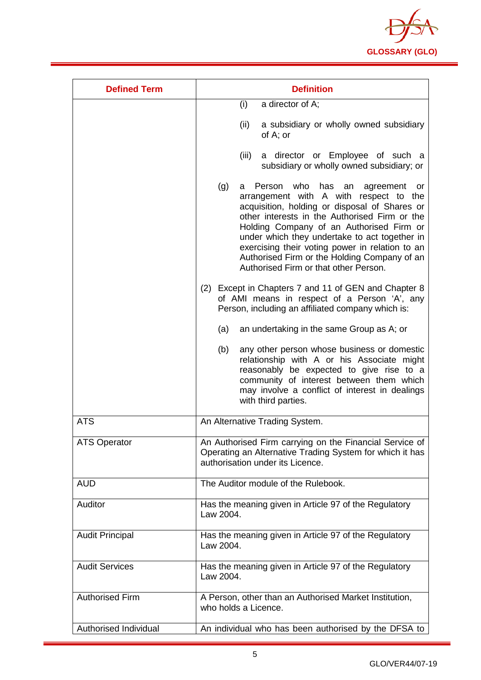

| <b>Defined Term</b>          | <b>Definition</b>                                                                                                                                                                                                                                                                                                                                                                                                                              |
|------------------------------|------------------------------------------------------------------------------------------------------------------------------------------------------------------------------------------------------------------------------------------------------------------------------------------------------------------------------------------------------------------------------------------------------------------------------------------------|
|                              | a director of A;<br>(i)                                                                                                                                                                                                                                                                                                                                                                                                                        |
|                              | (ii)<br>a subsidiary or wholly owned subsidiary<br>of A; or                                                                                                                                                                                                                                                                                                                                                                                    |
|                              | (iii)<br>a director or Employee of such a<br>subsidiary or wholly owned subsidiary; or                                                                                                                                                                                                                                                                                                                                                         |
|                              | who<br>(g)<br>Person<br>has<br>an<br>agreement<br>a<br>or<br>arrangement with A with respect to the<br>acquisition, holding or disposal of Shares or<br>other interests in the Authorised Firm or the<br>Holding Company of an Authorised Firm or<br>under which they undertake to act together in<br>exercising their voting power in relation to an<br>Authorised Firm or the Holding Company of an<br>Authorised Firm or that other Person. |
|                              | (2) Except in Chapters 7 and 11 of GEN and Chapter 8<br>of AMI means in respect of a Person 'A', any<br>Person, including an affiliated company which is:                                                                                                                                                                                                                                                                                      |
|                              | an undertaking in the same Group as A; or<br>(a)                                                                                                                                                                                                                                                                                                                                                                                               |
|                              | (b)<br>any other person whose business or domestic<br>relationship with A or his Associate might<br>reasonably be expected to give rise to a<br>community of interest between them which<br>may involve a conflict of interest in dealings<br>with third parties.                                                                                                                                                                              |
| <b>ATS</b>                   | An Alternative Trading System.                                                                                                                                                                                                                                                                                                                                                                                                                 |
| <b>ATS Operator</b>          | An Authorised Firm carrying on the Financial Service of<br>Operating an Alternative Trading System for which it has<br>authorisation under its Licence.                                                                                                                                                                                                                                                                                        |
| <b>AUD</b>                   | The Auditor module of the Rulebook.                                                                                                                                                                                                                                                                                                                                                                                                            |
| Auditor                      | Has the meaning given in Article 97 of the Regulatory<br>Law 2004.                                                                                                                                                                                                                                                                                                                                                                             |
| <b>Audit Principal</b>       | Has the meaning given in Article 97 of the Regulatory<br>Law 2004.                                                                                                                                                                                                                                                                                                                                                                             |
| <b>Audit Services</b>        | Has the meaning given in Article 97 of the Regulatory<br>Law 2004.                                                                                                                                                                                                                                                                                                                                                                             |
| <b>Authorised Firm</b>       | A Person, other than an Authorised Market Institution,<br>who holds a Licence.                                                                                                                                                                                                                                                                                                                                                                 |
| <b>Authorised Individual</b> | An individual who has been authorised by the DFSA to                                                                                                                                                                                                                                                                                                                                                                                           |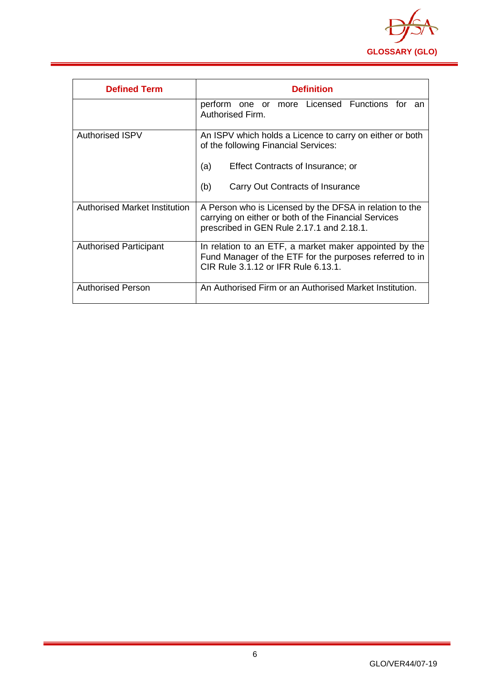

| <b>Defined Term</b>           | <b>Definition</b>                                                                                                                                                                       |
|-------------------------------|-----------------------------------------------------------------------------------------------------------------------------------------------------------------------------------------|
|                               | perform one or more Licensed Functions for<br>an<br>Authorised Firm.                                                                                                                    |
| <b>Authorised ISPV</b>        | An ISPV which holds a Licence to carry on either or both<br>of the following Financial Services:<br>Effect Contracts of Insurance; or<br>(a)<br>(b)<br>Carry Out Contracts of Insurance |
|                               |                                                                                                                                                                                         |
| Authorised Market Institution | A Person who is Licensed by the DFSA in relation to the<br>carrying on either or both of the Financial Services<br>prescribed in GEN Rule 2.17.1 and 2.18.1.                            |
| <b>Authorised Participant</b> | In relation to an ETF, a market maker appointed by the<br>Fund Manager of the ETF for the purposes referred to in<br>CIR Rule 3.1.12 or IFR Rule 6.13.1.                                |
| <b>Authorised Person</b>      | An Authorised Firm or an Authorised Market Institution.                                                                                                                                 |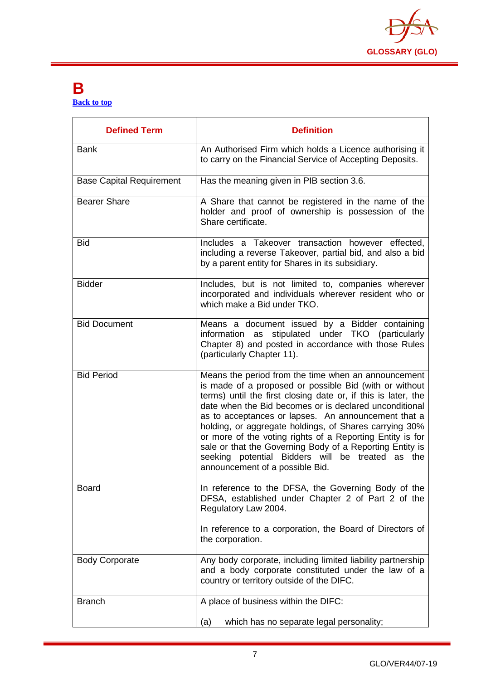

#### <span id="page-7-0"></span>**B [Back to top](#page-1-0)**

| <b>Defined Term</b>             | <b>Definition</b>                                                                                                                                                                                                                                                                                                                                                                                                                                                                                                                                                         |
|---------------------------------|---------------------------------------------------------------------------------------------------------------------------------------------------------------------------------------------------------------------------------------------------------------------------------------------------------------------------------------------------------------------------------------------------------------------------------------------------------------------------------------------------------------------------------------------------------------------------|
| <b>Bank</b>                     | An Authorised Firm which holds a Licence authorising it<br>to carry on the Financial Service of Accepting Deposits.                                                                                                                                                                                                                                                                                                                                                                                                                                                       |
| <b>Base Capital Requirement</b> | Has the meaning given in PIB section 3.6.                                                                                                                                                                                                                                                                                                                                                                                                                                                                                                                                 |
| <b>Bearer Share</b>             | A Share that cannot be registered in the name of the<br>holder and proof of ownership is possession of the<br>Share certificate.                                                                                                                                                                                                                                                                                                                                                                                                                                          |
| <b>Bid</b>                      | Includes a Takeover transaction however effected,<br>including a reverse Takeover, partial bid, and also a bid<br>by a parent entity for Shares in its subsidiary.                                                                                                                                                                                                                                                                                                                                                                                                        |
| <b>Bidder</b>                   | Includes, but is not limited to, companies wherever<br>incorporated and individuals wherever resident who or<br>which make a Bid under TKO.                                                                                                                                                                                                                                                                                                                                                                                                                               |
| <b>Bid Document</b>             | Means a document issued by a Bidder containing<br>information as stipulated under TKO (particularly<br>Chapter 8) and posted in accordance with those Rules<br>(particularly Chapter 11).                                                                                                                                                                                                                                                                                                                                                                                 |
| <b>Bid Period</b>               | Means the period from the time when an announcement<br>is made of a proposed or possible Bid (with or without<br>terms) until the first closing date or, if this is later, the<br>date when the Bid becomes or is declared unconditional<br>as to acceptances or lapses. An announcement that a<br>holding, or aggregate holdings, of Shares carrying 30%<br>or more of the voting rights of a Reporting Entity is for<br>sale or that the Governing Body of a Reporting Entity is<br>seeking potential Bidders will be treated as the<br>announcement of a possible Bid. |
| <b>Board</b>                    | In reference to the DFSA, the Governing Body of the<br>DFSA, established under Chapter 2 of Part 2 of the<br>Regulatory Law 2004.<br>In reference to a corporation, the Board of Directors of<br>the corporation.                                                                                                                                                                                                                                                                                                                                                         |
| <b>Body Corporate</b>           | Any body corporate, including limited liability partnership<br>and a body corporate constituted under the law of a<br>country or territory outside of the DIFC.                                                                                                                                                                                                                                                                                                                                                                                                           |
| <b>Branch</b>                   | A place of business within the DIFC:<br>which has no separate legal personality;<br>(a)                                                                                                                                                                                                                                                                                                                                                                                                                                                                                   |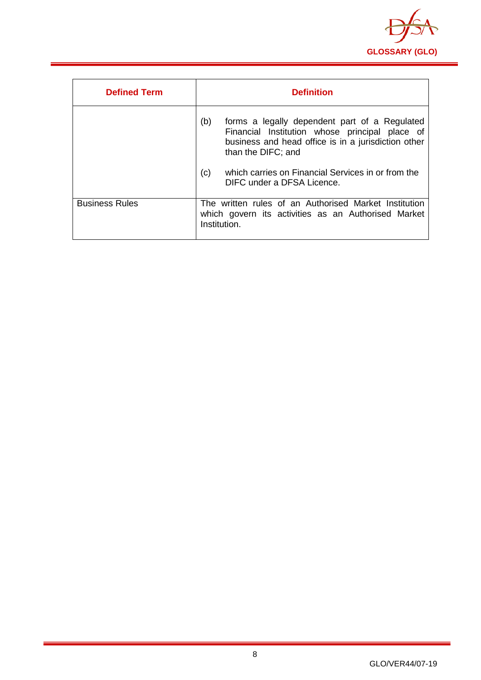

| <b>Defined Term</b>   | <b>Definition</b>                                                                                                                                                                   |
|-----------------------|-------------------------------------------------------------------------------------------------------------------------------------------------------------------------------------|
|                       | (b)<br>forms a legally dependent part of a Regulated<br>Financial Institution whose principal place of<br>business and head office is in a jurisdiction other<br>than the DIFC; and |
|                       | which carries on Financial Services in or from the<br>(c)<br>DIFC under a DFSA Licence.                                                                                             |
| <b>Business Rules</b> | The written rules of an Authorised Market Institution<br>which govern its activities as an Authorised Market<br>Institution.                                                        |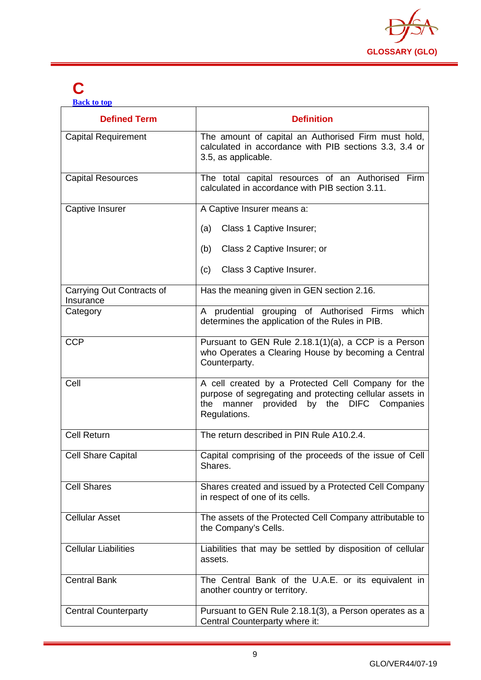

## <span id="page-9-0"></span>**C**

**[Back to top](#page-1-0)**

| <b>Defined Term</b>                    | <b>Definition</b>                                                                                                                                                              |
|----------------------------------------|--------------------------------------------------------------------------------------------------------------------------------------------------------------------------------|
| <b>Capital Requirement</b>             | The amount of capital an Authorised Firm must hold,<br>calculated in accordance with PIB sections 3.3, 3.4 or<br>3.5, as applicable.                                           |
| <b>Capital Resources</b>               | The total capital resources of an Authorised Firm<br>calculated in accordance with PIB section 3.11.                                                                           |
| Captive Insurer                        | A Captive Insurer means a:                                                                                                                                                     |
|                                        | Class 1 Captive Insurer;<br>(a)                                                                                                                                                |
|                                        | Class 2 Captive Insurer; or<br>(b)                                                                                                                                             |
|                                        | Class 3 Captive Insurer.<br>(c)                                                                                                                                                |
| Carrying Out Contracts of<br>Insurance | Has the meaning given in GEN section 2.16.                                                                                                                                     |
| Category                               | A prudential grouping of Authorised Firms which<br>determines the application of the Rules in PIB.                                                                             |
| <b>CCP</b>                             | Pursuant to GEN Rule 2.18.1(1)(a), a CCP is a Person<br>who Operates a Clearing House by becoming a Central<br>Counterparty.                                                   |
| Cell                                   | A cell created by a Protected Cell Company for the<br>purpose of segregating and protecting cellular assets in<br>manner provided by the DIFC Companies<br>the<br>Regulations. |
| <b>Cell Return</b>                     | The return described in PIN Rule A10.2.4.                                                                                                                                      |
| <b>Cell Share Capital</b>              | Capital comprising of the proceeds of the issue of Cell<br>Shares.                                                                                                             |
| <b>Cell Shares</b>                     | Shares created and issued by a Protected Cell Company<br>in respect of one of its cells.                                                                                       |
| <b>Cellular Asset</b>                  | The assets of the Protected Cell Company attributable to<br>the Company's Cells.                                                                                               |
| <b>Cellular Liabilities</b>            | Liabilities that may be settled by disposition of cellular<br>assets.                                                                                                          |
| <b>Central Bank</b>                    | The Central Bank of the U.A.E. or its equivalent in<br>another country or territory.                                                                                           |
| <b>Central Counterparty</b>            | Pursuant to GEN Rule 2.18.1(3), a Person operates as a<br>Central Counterparty where it:                                                                                       |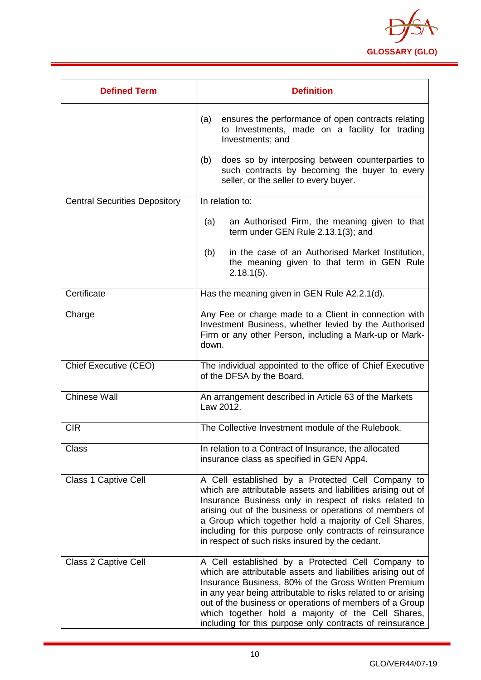

| <b>Defined Term</b>                  | <b>Definition</b>                                                                                                                                                                                                                                                                                                                                                                                                       |
|--------------------------------------|-------------------------------------------------------------------------------------------------------------------------------------------------------------------------------------------------------------------------------------------------------------------------------------------------------------------------------------------------------------------------------------------------------------------------|
|                                      | (a)<br>ensures the performance of open contracts relating<br>to Investments, made on a facility for trading<br>Investments; and                                                                                                                                                                                                                                                                                         |
|                                      | (b)<br>does so by interposing between counterparties to<br>such contracts by becoming the buyer to every<br>seller, or the seller to every buyer.                                                                                                                                                                                                                                                                       |
| <b>Central Securities Depository</b> | In relation to:                                                                                                                                                                                                                                                                                                                                                                                                         |
|                                      | (a)<br>an Authorised Firm, the meaning given to that<br>term under GEN Rule 2.13.1(3); and                                                                                                                                                                                                                                                                                                                              |
|                                      | in the case of an Authorised Market Institution,<br>(b)<br>the meaning given to that term in GEN Rule<br>$2.18.1(5)$ .                                                                                                                                                                                                                                                                                                  |
| Certificate                          | Has the meaning given in GEN Rule A2.2.1(d).                                                                                                                                                                                                                                                                                                                                                                            |
| Charge                               | Any Fee or charge made to a Client in connection with<br>Investment Business, whether levied by the Authorised<br>Firm or any other Person, including a Mark-up or Mark-<br>down.                                                                                                                                                                                                                                       |
| Chief Executive (CEO)                | The individual appointed to the office of Chief Executive<br>of the DFSA by the Board.                                                                                                                                                                                                                                                                                                                                  |
| <b>Chinese Wall</b>                  | An arrangement described in Article 63 of the Markets<br>Law 2012.                                                                                                                                                                                                                                                                                                                                                      |
| <b>CIR</b>                           | The Collective Investment module of the Rulebook.                                                                                                                                                                                                                                                                                                                                                                       |
| <b>Class</b>                         | In relation to a Contract of Insurance, the allocated<br>insurance class as specified in GEN App4.                                                                                                                                                                                                                                                                                                                      |
| <b>Class 1 Captive Cell</b>          | A Cell established by a Protected Cell Company to<br>which are attributable assets and liabilities arising out of<br>Insurance Business only in respect of risks related to<br>arising out of the business or operations of members of<br>a Group which together hold a majority of Cell Shares,<br>including for this purpose only contracts of reinsurance<br>in respect of such risks insured by the cedant.         |
| <b>Class 2 Captive Cell</b>          | A Cell established by a Protected Cell Company to<br>which are attributable assets and liabilities arising out of<br>Insurance Business, 80% of the Gross Written Premium<br>in any year being attributable to risks related to or arising<br>out of the business or operations of members of a Group<br>which together hold a majority of the Cell Shares,<br>including for this purpose only contracts of reinsurance |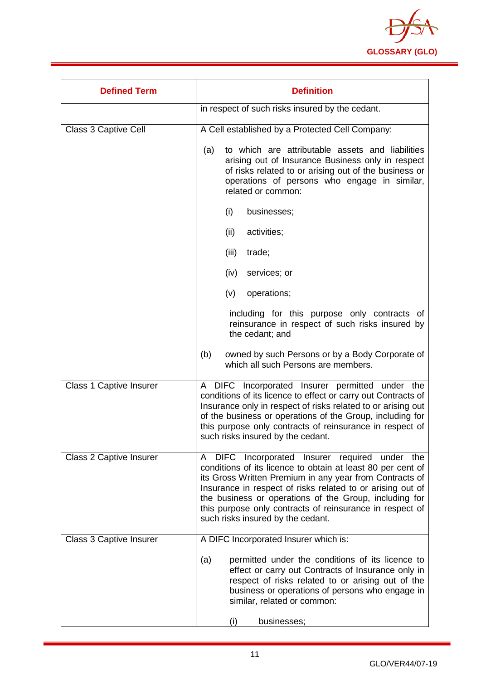

| <b>Defined Term</b>            | <b>Definition</b>                                                                                                                                                                                                                                                                                                                                                                                 |
|--------------------------------|---------------------------------------------------------------------------------------------------------------------------------------------------------------------------------------------------------------------------------------------------------------------------------------------------------------------------------------------------------------------------------------------------|
|                                | in respect of such risks insured by the cedant.                                                                                                                                                                                                                                                                                                                                                   |
| Class 3 Captive Cell           | A Cell established by a Protected Cell Company:                                                                                                                                                                                                                                                                                                                                                   |
|                                | to which are attributable assets and liabilities<br>(a)<br>arising out of Insurance Business only in respect<br>of risks related to or arising out of the business or<br>operations of persons who engage in similar,<br>related or common:                                                                                                                                                       |
|                                | (i)<br>businesses;                                                                                                                                                                                                                                                                                                                                                                                |
|                                | (ii)<br>activities;                                                                                                                                                                                                                                                                                                                                                                               |
|                                | (iii)<br>trade;                                                                                                                                                                                                                                                                                                                                                                                   |
|                                | services; or<br>(iv)                                                                                                                                                                                                                                                                                                                                                                              |
|                                | (v)<br>operations;                                                                                                                                                                                                                                                                                                                                                                                |
|                                | including for this purpose only contracts of<br>reinsurance in respect of such risks insured by<br>the cedant; and                                                                                                                                                                                                                                                                                |
|                                | (b)<br>owned by such Persons or by a Body Corporate of<br>which all such Persons are members.                                                                                                                                                                                                                                                                                                     |
| <b>Class 1 Captive Insurer</b> | A DIFC Incorporated Insurer permitted under the<br>conditions of its licence to effect or carry out Contracts of<br>Insurance only in respect of risks related to or arising out<br>of the business or operations of the Group, including for<br>this purpose only contracts of reinsurance in respect of<br>such risks insured by the cedant.                                                    |
| <b>Class 2 Captive Insurer</b> | A DIFC Incorporated Insurer required under the<br>conditions of its licence to obtain at least 80 per cent of<br>its Gross Written Premium in any year from Contracts of<br>Insurance in respect of risks related to or arising out of<br>the business or operations of the Group, including for<br>this purpose only contracts of reinsurance in respect of<br>such risks insured by the cedant. |
| Class 3 Captive Insurer        | A DIFC Incorporated Insurer which is:                                                                                                                                                                                                                                                                                                                                                             |
|                                | permitted under the conditions of its licence to<br>(a)<br>effect or carry out Contracts of Insurance only in<br>respect of risks related to or arising out of the<br>business or operations of persons who engage in<br>similar, related or common:<br>businesses;<br>(i)                                                                                                                        |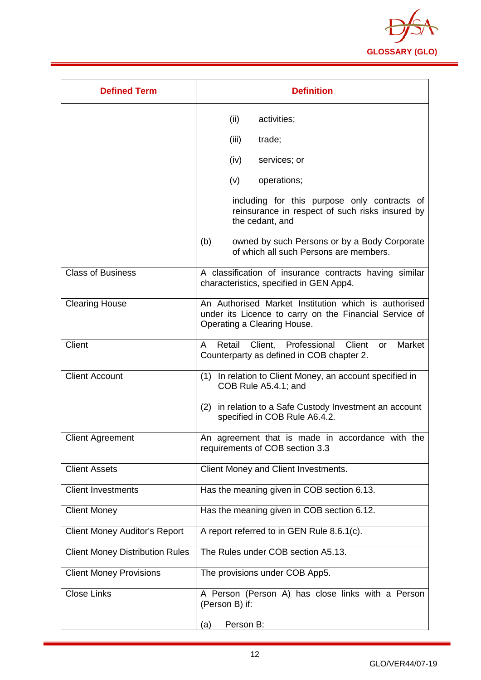

| <b>Defined Term</b>                    | <b>Definition</b>                                                                                                                             |
|----------------------------------------|-----------------------------------------------------------------------------------------------------------------------------------------------|
|                                        | (ii)<br>activities;                                                                                                                           |
|                                        | (iii)<br>trade;                                                                                                                               |
|                                        | (iv)<br>services; or                                                                                                                          |
|                                        | (v)<br>operations;                                                                                                                            |
|                                        | including for this purpose only contracts of<br>reinsurance in respect of such risks insured by<br>the cedant, and                            |
|                                        | (b)<br>owned by such Persons or by a Body Corporate<br>of which all such Persons are members.                                                 |
| <b>Class of Business</b>               | A classification of insurance contracts having similar<br>characteristics, specified in GEN App4.                                             |
| <b>Clearing House</b>                  | An Authorised Market Institution which is authorised<br>under its Licence to carry on the Financial Service of<br>Operating a Clearing House. |
| Client                                 | Retail Client, Professional Client<br>Market<br>A<br>or<br>Counterparty as defined in COB chapter 2.                                          |
| <b>Client Account</b>                  | (1) In relation to Client Money, an account specified in<br>COB Rule A5.4.1; and                                                              |
|                                        | (2) in relation to a Safe Custody Investment an account<br>specified in COB Rule A6.4.2.                                                      |
| <b>Client Agreement</b>                | An agreement that is made in accordance with the<br>requirements of COB section 3.3                                                           |
| <b>Client Assets</b>                   | Client Money and Client Investments.                                                                                                          |
| <b>Client Investments</b>              | Has the meaning given in COB section 6.13.                                                                                                    |
| <b>Client Money</b>                    | Has the meaning given in COB section 6.12.                                                                                                    |
| <b>Client Money Auditor's Report</b>   | A report referred to in GEN Rule 8.6.1(c).                                                                                                    |
| <b>Client Money Distribution Rules</b> | The Rules under COB section A5.13.                                                                                                            |
| <b>Client Money Provisions</b>         | The provisions under COB App5.                                                                                                                |
| <b>Close Links</b>                     | A Person (Person A) has close links with a Person<br>(Person B) if:                                                                           |
|                                        | Person B:<br>(a)                                                                                                                              |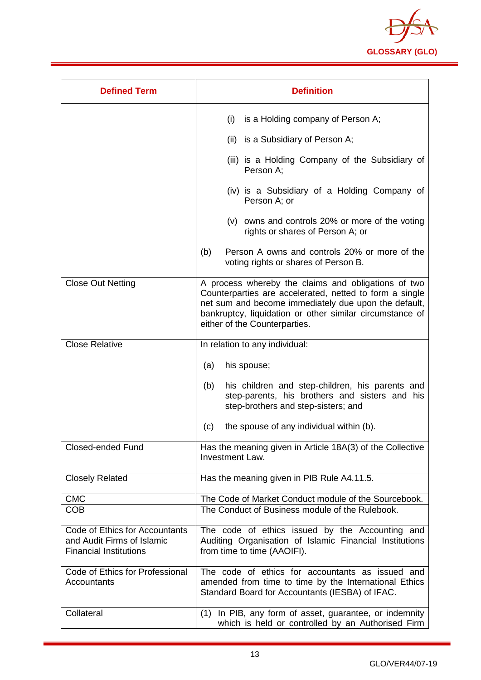

| <b>Defined Term</b>                                                                           | <b>Definition</b>                                                                                                                                                                                                                                                   |
|-----------------------------------------------------------------------------------------------|---------------------------------------------------------------------------------------------------------------------------------------------------------------------------------------------------------------------------------------------------------------------|
|                                                                                               | (i)<br>is a Holding company of Person A;                                                                                                                                                                                                                            |
|                                                                                               | (ii) is a Subsidiary of Person A;                                                                                                                                                                                                                                   |
|                                                                                               | (iii) is a Holding Company of the Subsidiary of<br>Person A:                                                                                                                                                                                                        |
|                                                                                               | (iv) is a Subsidiary of a Holding Company of<br>Person A; or                                                                                                                                                                                                        |
|                                                                                               | (v) owns and controls 20% or more of the voting<br>rights or shares of Person A; or                                                                                                                                                                                 |
|                                                                                               | (b)<br>Person A owns and controls 20% or more of the<br>voting rights or shares of Person B.                                                                                                                                                                        |
| <b>Close Out Netting</b>                                                                      | A process whereby the claims and obligations of two<br>Counterparties are accelerated, netted to form a single<br>net sum and become immediately due upon the default,<br>bankruptcy, liquidation or other similar circumstance of<br>either of the Counterparties. |
| <b>Close Relative</b>                                                                         | In relation to any individual:                                                                                                                                                                                                                                      |
|                                                                                               | (a)<br>his spouse;                                                                                                                                                                                                                                                  |
|                                                                                               | his children and step-children, his parents and<br>(b)<br>step-parents, his brothers and sisters and his<br>step-brothers and step-sisters; and                                                                                                                     |
|                                                                                               | the spouse of any individual within (b).<br>(c)                                                                                                                                                                                                                     |
| <b>Closed-ended Fund</b>                                                                      | Has the meaning given in Article 18A(3) of the Collective<br>Investment Law.                                                                                                                                                                                        |
| <b>Closely Related</b>                                                                        | Has the meaning given in PIB Rule A4.11.5.                                                                                                                                                                                                                          |
| <b>CMC</b>                                                                                    | The Code of Market Conduct module of the Sourcebook.                                                                                                                                                                                                                |
| <b>COB</b>                                                                                    | The Conduct of Business module of the Rulebook.                                                                                                                                                                                                                     |
| Code of Ethics for Accountants<br>and Audit Firms of Islamic<br><b>Financial Institutions</b> | The code of ethics issued by the Accounting and<br>Auditing Organisation of Islamic Financial Institutions<br>from time to time (AAOIFI).                                                                                                                           |
| Code of Ethics for Professional<br>Accountants                                                | The code of ethics for accountants as issued and<br>amended from time to time by the International Ethics<br>Standard Board for Accountants (IESBA) of IFAC.                                                                                                        |
| Collateral                                                                                    | (1) In PIB, any form of asset, guarantee, or indemnity<br>which is held or controlled by an Authorised Firm                                                                                                                                                         |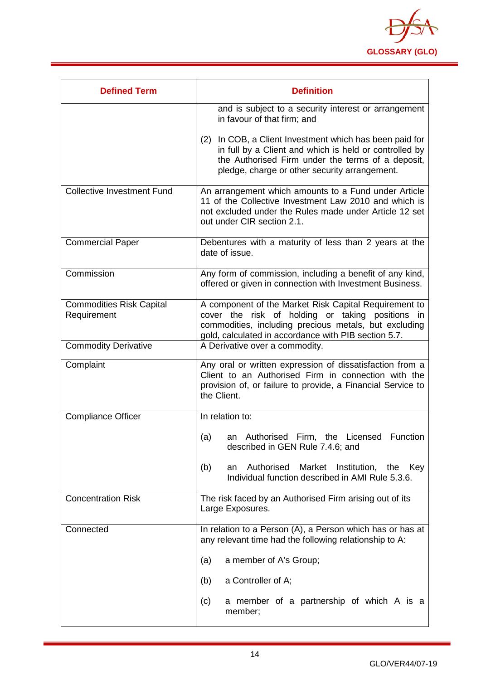

| <b>Defined Term</b>                            | <b>Definition</b>                                                                                                                                                                                                          |  |  |
|------------------------------------------------|----------------------------------------------------------------------------------------------------------------------------------------------------------------------------------------------------------------------------|--|--|
|                                                | and is subject to a security interest or arrangement<br>in favour of that firm; and                                                                                                                                        |  |  |
|                                                | In COB, a Client Investment which has been paid for<br>(2)<br>in full by a Client and which is held or controlled by<br>the Authorised Firm under the terms of a deposit,<br>pledge, charge or other security arrangement. |  |  |
| <b>Collective Investment Fund</b>              | An arrangement which amounts to a Fund under Article<br>11 of the Collective Investment Law 2010 and which is<br>not excluded under the Rules made under Article 12 set<br>out under CIR section 2.1.                      |  |  |
| <b>Commercial Paper</b>                        | Debentures with a maturity of less than 2 years at the<br>date of issue.                                                                                                                                                   |  |  |
| Commission                                     | Any form of commission, including a benefit of any kind,<br>offered or given in connection with Investment Business.                                                                                                       |  |  |
| <b>Commodities Risk Capital</b><br>Requirement | A component of the Market Risk Capital Requirement to<br>cover the risk of holding or taking positions in<br>commodities, including precious metals, but excluding<br>gold, calculated in accordance with PIB section 5.7. |  |  |
| <b>Commodity Derivative</b>                    | A Derivative over a commodity.                                                                                                                                                                                             |  |  |
| Complaint                                      | Any oral or written expression of dissatisfaction from a<br>Client to an Authorised Firm in connection with the<br>provision of, or failure to provide, a Financial Service to<br>the Client.                              |  |  |
| <b>Compliance Officer</b>                      | In relation to:                                                                                                                                                                                                            |  |  |
|                                                | <b>Function</b><br>(a)<br>Authorised<br>Firm, the<br>Licensed<br>an<br>described in GEN Rule 7.4.6; and                                                                                                                    |  |  |
|                                                | Authorised<br>Market<br>Institution,<br>(b)<br>the<br>Key<br>an<br>Individual function described in AMI Rule 5.3.6.                                                                                                        |  |  |
| <b>Concentration Risk</b>                      | The risk faced by an Authorised Firm arising out of its<br>Large Exposures.                                                                                                                                                |  |  |
| Connected                                      | In relation to a Person (A), a Person which has or has at<br>any relevant time had the following relationship to A:                                                                                                        |  |  |
|                                                | a member of A's Group;<br>(a)                                                                                                                                                                                              |  |  |
|                                                | a Controller of A;<br>(b)                                                                                                                                                                                                  |  |  |
|                                                | a member of a partnership of which A is a<br>(c)<br>member;                                                                                                                                                                |  |  |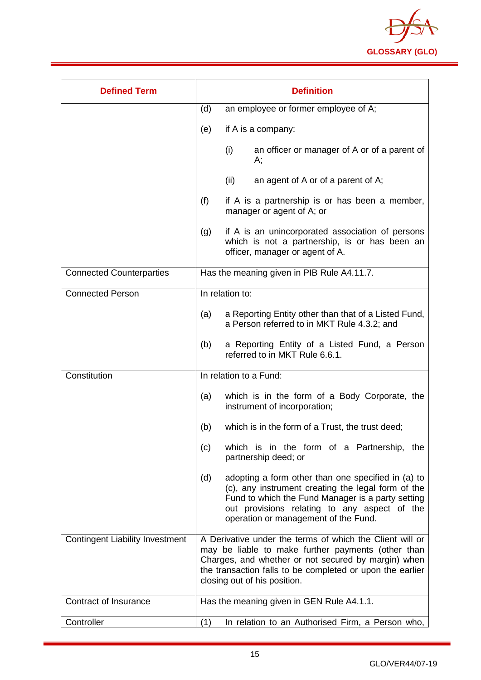

| <b>Defined Term</b>                    | <b>Definition</b>                                                                                                                                                                                                                                                  |  |
|----------------------------------------|--------------------------------------------------------------------------------------------------------------------------------------------------------------------------------------------------------------------------------------------------------------------|--|
|                                        | (d)<br>an employee or former employee of A;                                                                                                                                                                                                                        |  |
|                                        | if A is a company:<br>(e)                                                                                                                                                                                                                                          |  |
|                                        | (i)<br>an officer or manager of A or of a parent of<br>А;                                                                                                                                                                                                          |  |
|                                        | (ii)<br>an agent of A or of a parent of A;                                                                                                                                                                                                                         |  |
|                                        | (f)<br>if A is a partnership is or has been a member,<br>manager or agent of A; or                                                                                                                                                                                 |  |
|                                        | if A is an unincorporated association of persons<br>(g)<br>which is not a partnership, is or has been an<br>officer, manager or agent of A.                                                                                                                        |  |
| <b>Connected Counterparties</b>        | Has the meaning given in PIB Rule A4.11.7.                                                                                                                                                                                                                         |  |
| <b>Connected Person</b>                | In relation to:                                                                                                                                                                                                                                                    |  |
|                                        | a Reporting Entity other than that of a Listed Fund,<br>(a)<br>a Person referred to in MKT Rule 4.3.2; and                                                                                                                                                         |  |
|                                        | (b)<br>a Reporting Entity of a Listed Fund, a Person<br>referred to in MKT Rule 6.6.1.                                                                                                                                                                             |  |
| Constitution                           | In relation to a Fund:                                                                                                                                                                                                                                             |  |
|                                        | which is in the form of a Body Corporate, the<br>(a)<br>instrument of incorporation;                                                                                                                                                                               |  |
|                                        | (b)<br>which is in the form of a Trust, the trust deed;                                                                                                                                                                                                            |  |
|                                        | which is in the form of a Partnership, the<br>(c)<br>partnership deed; or                                                                                                                                                                                          |  |
|                                        | adopting a form other than one specified in (a) to<br>(d)<br>(c), any instrument creating the legal form of the<br>Fund to which the Fund Manager is a party setting<br>out provisions relating to any aspect of the<br>operation or management of the Fund.       |  |
| <b>Contingent Liability Investment</b> | A Derivative under the terms of which the Client will or<br>may be liable to make further payments (other than<br>Charges, and whether or not secured by margin) when<br>the transaction falls to be completed or upon the earlier<br>closing out of his position. |  |
| Contract of Insurance                  | Has the meaning given in GEN Rule A4.1.1.                                                                                                                                                                                                                          |  |
| Controller                             | (1)<br>In relation to an Authorised Firm, a Person who,                                                                                                                                                                                                            |  |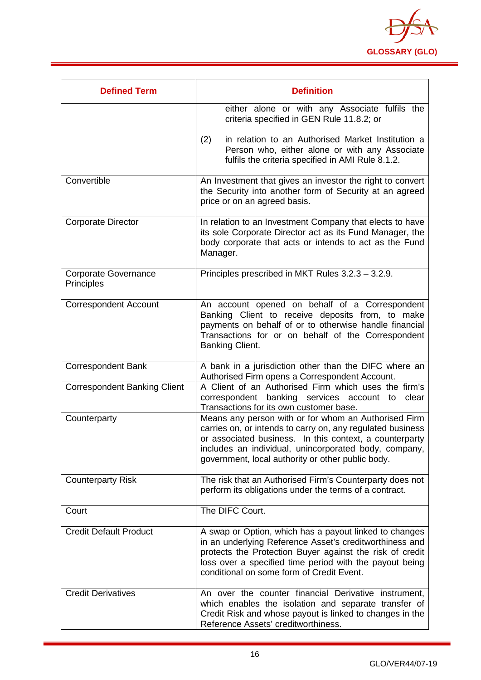

| <b>Defined Term</b>                       | <b>Definition</b>                                                                                                                                                                                                                                                                           |
|-------------------------------------------|---------------------------------------------------------------------------------------------------------------------------------------------------------------------------------------------------------------------------------------------------------------------------------------------|
|                                           | either alone or with any Associate fulfils the<br>criteria specified in GEN Rule 11.8.2; or                                                                                                                                                                                                 |
|                                           | in relation to an Authorised Market Institution a<br>(2)<br>Person who, either alone or with any Associate<br>fulfils the criteria specified in AMI Rule 8.1.2.                                                                                                                             |
| Convertible                               | An Investment that gives an investor the right to convert<br>the Security into another form of Security at an agreed<br>price or on an agreed basis.                                                                                                                                        |
| <b>Corporate Director</b>                 | In relation to an Investment Company that elects to have<br>its sole Corporate Director act as its Fund Manager, the<br>body corporate that acts or intends to act as the Fund<br>Manager.                                                                                                  |
| <b>Corporate Governance</b><br>Principles | Principles prescribed in MKT Rules 3.2.3 - 3.2.9.                                                                                                                                                                                                                                           |
| <b>Correspondent Account</b>              | An account opened on behalf of a Correspondent<br>Banking Client to receive deposits from, to make<br>payments on behalf of or to otherwise handle financial<br>Transactions for or on behalf of the Correspondent<br>Banking Client.                                                       |
| <b>Correspondent Bank</b>                 | A bank in a jurisdiction other than the DIFC where an<br>Authorised Firm opens a Correspondent Account.                                                                                                                                                                                     |
| <b>Correspondent Banking Client</b>       | A Client of an Authorised Firm which uses the firm's<br>correspondent banking services account to clear<br>Transactions for its own customer base.                                                                                                                                          |
| Counterparty                              | Means any person with or for whom an Authorised Firm<br>carries on, or intends to carry on, any regulated business<br>or associated business. In this context, a counterparty<br>includes an individual, unincorporated body, company,<br>government, local authority or other public body. |
| <b>Counterparty Risk</b>                  | The risk that an Authorised Firm's Counterparty does not<br>perform its obligations under the terms of a contract.                                                                                                                                                                          |
| Court                                     | The DIFC Court.                                                                                                                                                                                                                                                                             |
| <b>Credit Default Product</b>             | A swap or Option, which has a payout linked to changes<br>in an underlying Reference Asset's creditworthiness and<br>protects the Protection Buyer against the risk of credit<br>loss over a specified time period with the payout being<br>conditional on some form of Credit Event.       |
| <b>Credit Derivatives</b>                 | An over the counter financial Derivative instrument,<br>which enables the isolation and separate transfer of<br>Credit Risk and whose payout is linked to changes in the<br>Reference Assets' creditworthiness.                                                                             |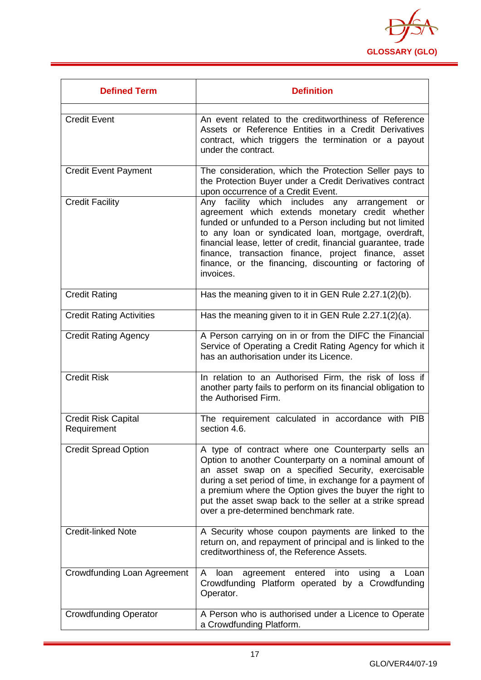

| <b>Defined Term</b>                       | <b>Definition</b>                                                                                                                                                                                                                                                                                                                                                                                                     |
|-------------------------------------------|-----------------------------------------------------------------------------------------------------------------------------------------------------------------------------------------------------------------------------------------------------------------------------------------------------------------------------------------------------------------------------------------------------------------------|
| <b>Credit Event</b>                       | An event related to the creditworthiness of Reference<br>Assets or Reference Entities in a Credit Derivatives<br>contract, which triggers the termination or a payout<br>under the contract.                                                                                                                                                                                                                          |
| <b>Credit Event Payment</b>               | The consideration, which the Protection Seller pays to<br>the Protection Buyer under a Credit Derivatives contract<br>upon occurrence of a Credit Event.                                                                                                                                                                                                                                                              |
| <b>Credit Facility</b>                    | Any facility which includes any arrangement or<br>agreement which extends monetary credit whether<br>funded or unfunded to a Person including but not limited<br>to any loan or syndicated loan, mortgage, overdraft,<br>financial lease, letter of credit, financial guarantee, trade<br>finance, transaction finance, project finance, asset<br>finance, or the financing, discounting or factoring of<br>invoices. |
| <b>Credit Rating</b>                      | Has the meaning given to it in GEN Rule 2.27.1(2)(b).                                                                                                                                                                                                                                                                                                                                                                 |
| <b>Credit Rating Activities</b>           | Has the meaning given to it in GEN Rule 2.27.1(2)(a).                                                                                                                                                                                                                                                                                                                                                                 |
| <b>Credit Rating Agency</b>               | A Person carrying on in or from the DIFC the Financial<br>Service of Operating a Credit Rating Agency for which it<br>has an authorisation under its Licence.                                                                                                                                                                                                                                                         |
| <b>Credit Risk</b>                        | In relation to an Authorised Firm, the risk of loss if<br>another party fails to perform on its financial obligation to<br>the Authorised Firm.                                                                                                                                                                                                                                                                       |
| <b>Credit Risk Capital</b><br>Requirement | The requirement calculated in accordance with PIB<br>section 4.6.                                                                                                                                                                                                                                                                                                                                                     |
| <b>Credit Spread Option</b>               | A type of contract where one Counterparty sells an<br>Option to another Counterparty on a nominal amount of<br>an asset swap on a specified Security, exercisable<br>during a set period of time, in exchange for a payment of<br>a premium where the Option gives the buyer the right to<br>put the asset swap back to the seller at a strike spread<br>over a pre-determined benchmark rate.                        |
| <b>Credit-linked Note</b>                 | A Security whose coupon payments are linked to the<br>return on, and repayment of principal and is linked to the<br>creditworthiness of, the Reference Assets.                                                                                                                                                                                                                                                        |
| Crowdfunding Loan Agreement               | A<br>loan<br>agreement<br>entered<br>into<br>using<br>Loan<br>a<br>Crowdfunding Platform operated by a Crowdfunding<br>Operator.                                                                                                                                                                                                                                                                                      |
| <b>Crowdfunding Operator</b>              | A Person who is authorised under a Licence to Operate<br>a Crowdfunding Platform.                                                                                                                                                                                                                                                                                                                                     |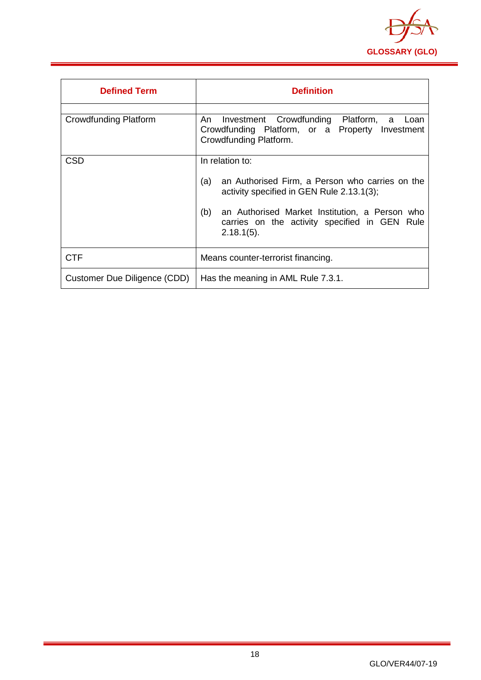

<span id="page-18-0"></span>

| <b>Defined Term</b>          | <b>Definition</b>                                                                                                                                                                                                                                 |  |
|------------------------------|---------------------------------------------------------------------------------------------------------------------------------------------------------------------------------------------------------------------------------------------------|--|
| <b>Crowdfunding Platform</b> | Investment Crowdfunding Platform,<br>An.<br>a<br>Loan<br>Crowdfunding Platform, or a Property Investment<br>Crowdfunding Platform.                                                                                                                |  |
| <b>CSD</b>                   | In relation to:<br>an Authorised Firm, a Person who carries on the<br>(a)<br>activity specified in GEN Rule 2.13.1(3);<br>an Authorised Market Institution, a Person who<br>(b)<br>carries on the activity specified in GEN Rule<br>$2.18.1(5)$ . |  |
| <b>CTF</b>                   | Means counter-terrorist financing.                                                                                                                                                                                                                |  |
| Customer Due Diligence (CDD) | Has the meaning in AML Rule 7.3.1.                                                                                                                                                                                                                |  |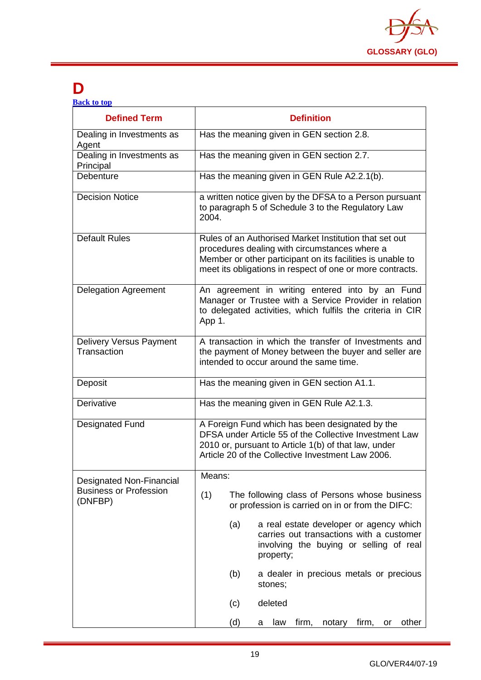

### **D**

**[Back to top](#page-1-0)**

| <b>Defined Term</b>                           | <b>Definition</b>                                                                                                                                                                                                                  |  |  |
|-----------------------------------------------|------------------------------------------------------------------------------------------------------------------------------------------------------------------------------------------------------------------------------------|--|--|
| Dealing in Investments as<br>Agent            | Has the meaning given in GEN section 2.8.                                                                                                                                                                                          |  |  |
| Dealing in Investments as<br>Principal        | Has the meaning given in GEN section 2.7.                                                                                                                                                                                          |  |  |
| Debenture                                     | Has the meaning given in GEN Rule A2.2.1(b).                                                                                                                                                                                       |  |  |
| <b>Decision Notice</b>                        | a written notice given by the DFSA to a Person pursuant<br>to paragraph 5 of Schedule 3 to the Regulatory Law<br>2004.                                                                                                             |  |  |
| <b>Default Rules</b>                          | Rules of an Authorised Market Institution that set out<br>procedures dealing with circumstances where a<br>Member or other participant on its facilities is unable to<br>meet its obligations in respect of one or more contracts. |  |  |
| <b>Delegation Agreement</b>                   | An agreement in writing entered into by an Fund<br>Manager or Trustee with a Service Provider in relation<br>to delegated activities, which fulfils the criteria in CIR<br>App 1.                                                  |  |  |
| <b>Delivery Versus Payment</b><br>Transaction | A transaction in which the transfer of Investments and<br>the payment of Money between the buyer and seller are<br>intended to occur around the same time.                                                                         |  |  |
| Deposit                                       | Has the meaning given in GEN section A1.1.                                                                                                                                                                                         |  |  |
| Derivative                                    | Has the meaning given in GEN Rule A2.1.3.                                                                                                                                                                                          |  |  |
| <b>Designated Fund</b>                        | A Foreign Fund which has been designated by the<br>DFSA under Article 55 of the Collective Investment Law<br>2010 or, pursuant to Article 1(b) of that law, under<br>Article 20 of the Collective Investment Law 2006.             |  |  |
| Designated Non-Financial                      | Means:                                                                                                                                                                                                                             |  |  |
| <b>Business or Profession</b><br>(DNFBP)      | (1)<br>The following class of Persons whose business<br>or profession is carried on in or from the DIFC:                                                                                                                           |  |  |
|                                               | a real estate developer or agency which<br>(a)<br>carries out transactions with a customer<br>involving the buying or selling of real<br>property;                                                                                 |  |  |
|                                               | (b)<br>a dealer in precious metals or precious<br>stones;                                                                                                                                                                          |  |  |
|                                               | deleted<br>(c)                                                                                                                                                                                                                     |  |  |
|                                               | (d)<br>firm,<br>other<br>law<br>firm,<br>notary<br>or<br>а                                                                                                                                                                         |  |  |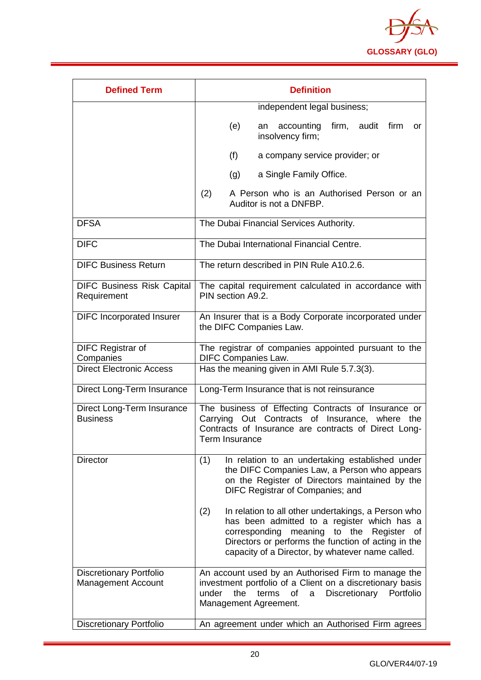

| <b>Defined Term</b>                                         | <b>Definition</b>                                                                                                                                                                                                                                                      |  |  |
|-------------------------------------------------------------|------------------------------------------------------------------------------------------------------------------------------------------------------------------------------------------------------------------------------------------------------------------------|--|--|
|                                                             | independent legal business;                                                                                                                                                                                                                                            |  |  |
|                                                             | firm, audit firm<br>(e)<br>accounting<br>an<br>or<br>insolvency firm;                                                                                                                                                                                                  |  |  |
|                                                             | (f)<br>a company service provider; or                                                                                                                                                                                                                                  |  |  |
|                                                             | a Single Family Office.<br>(g)                                                                                                                                                                                                                                         |  |  |
|                                                             | (2)<br>A Person who is an Authorised Person or an<br>Auditor is not a DNFBP.                                                                                                                                                                                           |  |  |
| <b>DFSA</b>                                                 | The Dubai Financial Services Authority.                                                                                                                                                                                                                                |  |  |
| <b>DIFC</b>                                                 | The Dubai International Financial Centre.                                                                                                                                                                                                                              |  |  |
| <b>DIFC Business Return</b>                                 | The return described in PIN Rule A10.2.6.                                                                                                                                                                                                                              |  |  |
| <b>DIFC Business Risk Capital</b><br>Requirement            | The capital requirement calculated in accordance with<br>PIN section A9.2.                                                                                                                                                                                             |  |  |
| <b>DIFC Incorporated Insurer</b>                            | An Insurer that is a Body Corporate incorporated under<br>the DIFC Companies Law.                                                                                                                                                                                      |  |  |
| <b>DIFC Registrar of</b><br>Companies                       | The registrar of companies appointed pursuant to the<br><b>DIFC Companies Law.</b>                                                                                                                                                                                     |  |  |
| <b>Direct Electronic Access</b>                             | Has the meaning given in AMI Rule 5.7.3(3).                                                                                                                                                                                                                            |  |  |
| Direct Long-Term Insurance                                  | Long-Term Insurance that is not reinsurance                                                                                                                                                                                                                            |  |  |
| Direct Long-Term Insurance<br><b>Business</b>               | The business of Effecting Contracts of Insurance or<br>Carrying Out Contracts of Insurance, where the<br>Contracts of Insurance are contracts of Direct Long-<br>Term Insurance                                                                                        |  |  |
| <b>Director</b>                                             | (1)<br>In relation to an undertaking established under<br>the DIFC Companies Law, a Person who appears<br>on the Register of Directors maintained by the<br>DIFC Registrar of Companies; and                                                                           |  |  |
|                                                             | (2)<br>In relation to all other undertakings, a Person who<br>has been admitted to a register which has a<br>meaning to the Register<br>corresponding<br>οf<br>Directors or performs the function of acting in the<br>capacity of a Director, by whatever name called. |  |  |
| <b>Discretionary Portfolio</b><br><b>Management Account</b> | An account used by an Authorised Firm to manage the<br>investment portfolio of a Client on a discretionary basis<br>under<br>the<br>terms<br>Discretionary<br>of<br>Portfolio<br>a<br>Management Agreement.                                                            |  |  |
| <b>Discretionary Portfolio</b>                              | An agreement under which an Authorised Firm agrees                                                                                                                                                                                                                     |  |  |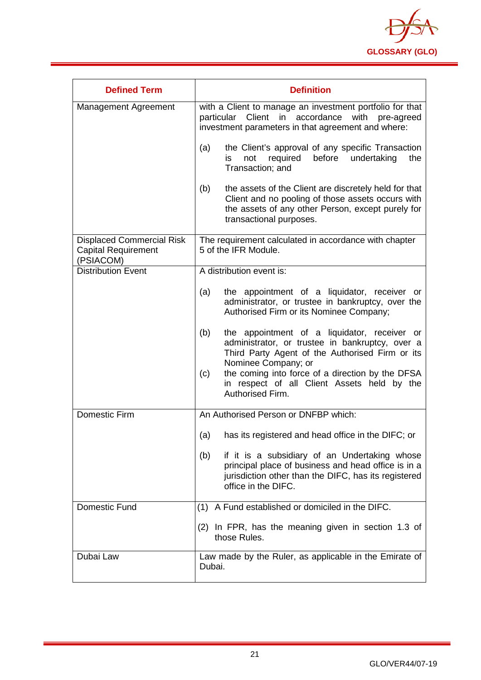

| <b>Defined Term</b>                                                         | <b>Definition</b>                                                                                                                                                                                                                                                                                              |  |  |
|-----------------------------------------------------------------------------|----------------------------------------------------------------------------------------------------------------------------------------------------------------------------------------------------------------------------------------------------------------------------------------------------------------|--|--|
| Management Agreement                                                        | with a Client to manage an investment portfolio for that<br>particular Client in accordance with<br>pre-agreed<br>investment parameters in that agreement and where:                                                                                                                                           |  |  |
|                                                                             | the Client's approval of any specific Transaction<br>(a)<br>before<br>undertaking<br>not<br>required<br>the<br>is.<br>Transaction; and                                                                                                                                                                         |  |  |
|                                                                             | (b)<br>the assets of the Client are discretely held for that<br>Client and no pooling of those assets occurs with<br>the assets of any other Person, except purely for<br>transactional purposes.                                                                                                              |  |  |
| <b>Displaced Commercial Risk</b><br><b>Capital Requirement</b><br>(PSIACOM) | The requirement calculated in accordance with chapter<br>5 of the IFR Module.                                                                                                                                                                                                                                  |  |  |
| <b>Distribution Event</b>                                                   | A distribution event is:                                                                                                                                                                                                                                                                                       |  |  |
|                                                                             | the appointment of a liquidator, receiver or<br>(a)<br>administrator, or trustee in bankruptcy, over the<br>Authorised Firm or its Nominee Company;                                                                                                                                                            |  |  |
|                                                                             | (b)<br>the appointment of a liquidator, receiver or<br>administrator, or trustee in bankruptcy, over a<br>Third Party Agent of the Authorised Firm or its<br>Nominee Company; or<br>the coming into force of a direction by the DFSA<br>(c)<br>in respect of all Client Assets held by the<br>Authorised Firm. |  |  |
| <b>Domestic Firm</b>                                                        | An Authorised Person or DNFBP which:                                                                                                                                                                                                                                                                           |  |  |
|                                                                             | has its registered and head office in the DIFC; or<br>(a)                                                                                                                                                                                                                                                      |  |  |
|                                                                             | if it is a subsidiary of an Undertaking whose<br>(b)<br>principal place of business and head office is in a<br>jurisdiction other than the DIFC, has its registered<br>office in the DIFC.                                                                                                                     |  |  |
| <b>Domestic Fund</b>                                                        | A Fund established or domiciled in the DIFC.<br>(1)                                                                                                                                                                                                                                                            |  |  |
|                                                                             | (2) In FPR, has the meaning given in section 1.3 of<br>those Rules.                                                                                                                                                                                                                                            |  |  |
| Dubai Law                                                                   | Law made by the Ruler, as applicable in the Emirate of<br>Dubai.                                                                                                                                                                                                                                               |  |  |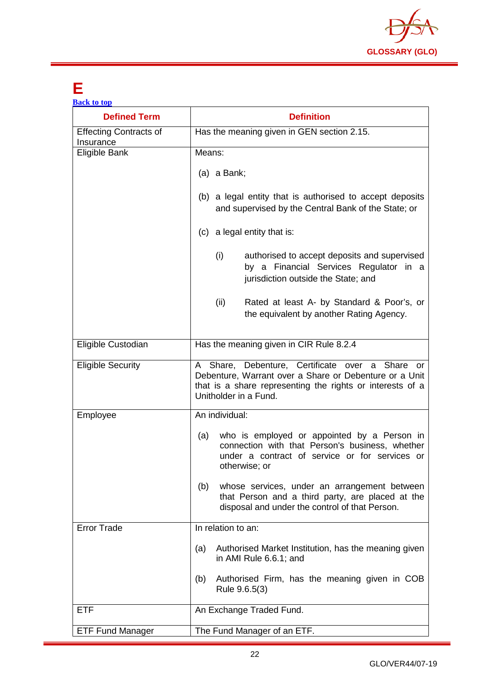

## <span id="page-22-0"></span>**E**

| <b>Back to top</b>                         |                                                                                                                                                                                                 |  |  |
|--------------------------------------------|-------------------------------------------------------------------------------------------------------------------------------------------------------------------------------------------------|--|--|
| <b>Defined Term</b>                        | <b>Definition</b>                                                                                                                                                                               |  |  |
| <b>Effecting Contracts of</b><br>Insurance | Has the meaning given in GEN section 2.15.                                                                                                                                                      |  |  |
| Eligible Bank                              | Means:                                                                                                                                                                                          |  |  |
|                                            | $(a)$ a Bank;                                                                                                                                                                                   |  |  |
|                                            | (b) a legal entity that is authorised to accept deposits<br>and supervised by the Central Bank of the State; or                                                                                 |  |  |
|                                            | (c) a legal entity that is:                                                                                                                                                                     |  |  |
|                                            | (i)<br>authorised to accept deposits and supervised<br>by a Financial Services Regulator in a<br>jurisdiction outside the State; and                                                            |  |  |
|                                            | (ii)<br>Rated at least A- by Standard & Poor's, or<br>the equivalent by another Rating Agency.                                                                                                  |  |  |
| Eligible Custodian                         | Has the meaning given in CIR Rule 8.2.4                                                                                                                                                         |  |  |
| <b>Eligible Security</b>                   | A Share, Debenture, Certificate over a Share or<br>Debenture, Warrant over a Share or Debenture or a Unit<br>that is a share representing the rights or interests of a<br>Unitholder in a Fund. |  |  |
| Employee                                   | An individual:                                                                                                                                                                                  |  |  |
|                                            | who is employed or appointed by a Person in<br>(a)<br>connection with that Person's business, whether<br>under a contract of service or for services or<br>otherwise; or                        |  |  |
|                                            | whose services, under an arrangement between<br>(b)<br>that Person and a third party, are placed at the<br>disposal and under the control of that Person.                                       |  |  |
| <b>Error Trade</b>                         | In relation to an:                                                                                                                                                                              |  |  |
|                                            | Authorised Market Institution, has the meaning given<br>(a)<br>in AMI Rule 6.6.1; and                                                                                                           |  |  |
|                                            | Authorised Firm, has the meaning given in COB<br>(b)<br>Rule 9.6.5(3)                                                                                                                           |  |  |
| <b>ETF</b>                                 | An Exchange Traded Fund.                                                                                                                                                                        |  |  |
| <b>ETF Fund Manager</b>                    | The Fund Manager of an ETF.                                                                                                                                                                     |  |  |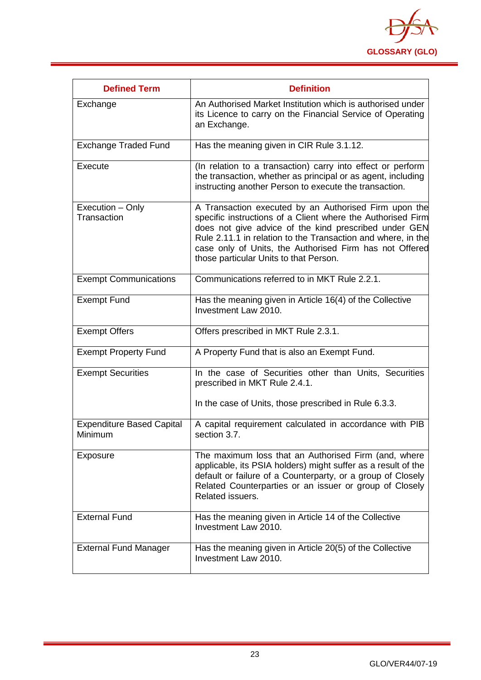

<span id="page-23-0"></span>

| <b>Defined Term</b>                         | <b>Definition</b>                                                                                                                                                                                                                                                                                                                                  |
|---------------------------------------------|----------------------------------------------------------------------------------------------------------------------------------------------------------------------------------------------------------------------------------------------------------------------------------------------------------------------------------------------------|
| Exchange                                    | An Authorised Market Institution which is authorised under<br>its Licence to carry on the Financial Service of Operating<br>an Exchange.                                                                                                                                                                                                           |
| <b>Exchange Traded Fund</b>                 | Has the meaning given in CIR Rule 3.1.12.                                                                                                                                                                                                                                                                                                          |
| Execute                                     | (In relation to a transaction) carry into effect or perform<br>the transaction, whether as principal or as agent, including<br>instructing another Person to execute the transaction.                                                                                                                                                              |
| Execution - Only<br>Transaction             | A Transaction executed by an Authorised Firm upon the<br>specific instructions of a Client where the Authorised Firm<br>does not give advice of the kind prescribed under GEN<br>Rule 2.11.1 in relation to the Transaction and where, in the<br>case only of Units, the Authorised Firm has not Offered<br>those particular Units to that Person. |
| <b>Exempt Communications</b>                | Communications referred to in MKT Rule 2.2.1.                                                                                                                                                                                                                                                                                                      |
| <b>Exempt Fund</b>                          | Has the meaning given in Article 16(4) of the Collective<br>Investment Law 2010.                                                                                                                                                                                                                                                                   |
| <b>Exempt Offers</b>                        | Offers prescribed in MKT Rule 2.3.1.                                                                                                                                                                                                                                                                                                               |
| <b>Exempt Property Fund</b>                 | A Property Fund that is also an Exempt Fund.                                                                                                                                                                                                                                                                                                       |
| <b>Exempt Securities</b>                    | In the case of Securities other than Units, Securities<br>prescribed in MKT Rule 2.4.1.                                                                                                                                                                                                                                                            |
|                                             | In the case of Units, those prescribed in Rule 6.3.3.                                                                                                                                                                                                                                                                                              |
| <b>Expenditure Based Capital</b><br>Minimum | A capital requirement calculated in accordance with PIB<br>section 3.7.                                                                                                                                                                                                                                                                            |
| Exposure                                    | The maximum loss that an Authorised Firm (and, where<br>applicable, its PSIA holders) might suffer as a result of the<br>default or failure of a Counterparty, or a group of Closely<br>Related Counterparties or an issuer or group of Closely<br>Related issuers.                                                                                |
| <b>External Fund</b>                        | Has the meaning given in Article 14 of the Collective<br>Investment Law 2010.                                                                                                                                                                                                                                                                      |
| <b>External Fund Manager</b>                | Has the meaning given in Article 20(5) of the Collective<br>Investment Law 2010.                                                                                                                                                                                                                                                                   |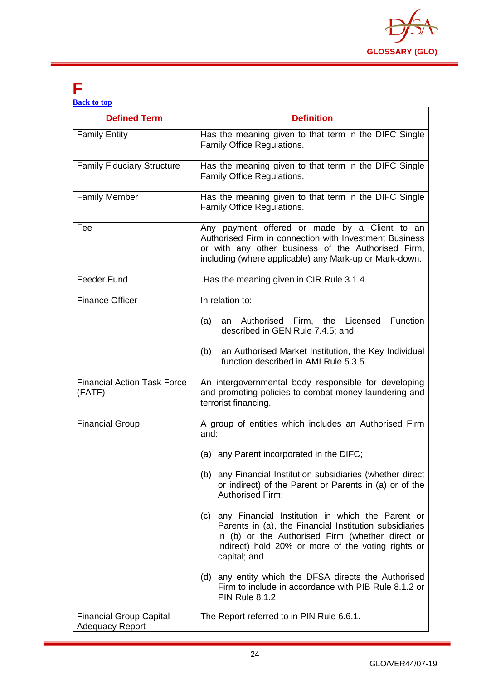

## **F**

|  | <b>Back to top</b> |  |
|--|--------------------|--|
|  |                    |  |

| <b>Defined Term</b>                                      | <b>Definition</b>                                                                                                                                                                                                                           |  |
|----------------------------------------------------------|---------------------------------------------------------------------------------------------------------------------------------------------------------------------------------------------------------------------------------------------|--|
| <b>Family Entity</b>                                     | Has the meaning given to that term in the DIFC Single<br>Family Office Regulations.                                                                                                                                                         |  |
| <b>Family Fiduciary Structure</b>                        | Has the meaning given to that term in the DIFC Single<br>Family Office Regulations.                                                                                                                                                         |  |
| <b>Family Member</b>                                     | Has the meaning given to that term in the DIFC Single<br>Family Office Regulations.                                                                                                                                                         |  |
| Fee                                                      | Any payment offered or made by a Client to an<br>Authorised Firm in connection with Investment Business<br>or with any other business of the Authorised Firm,<br>including (where applicable) any Mark-up or Mark-down.                     |  |
| <b>Feeder Fund</b>                                       | Has the meaning given in CIR Rule 3.1.4                                                                                                                                                                                                     |  |
| <b>Finance Officer</b>                                   | In relation to:                                                                                                                                                                                                                             |  |
|                                                          | an Authorised Firm, the Licensed Function<br>(a)<br>described in GEN Rule 7.4.5; and                                                                                                                                                        |  |
|                                                          | an Authorised Market Institution, the Key Individual<br>(b)<br>function described in AMI Rule 5.3.5.                                                                                                                                        |  |
| <b>Financial Action Task Force</b><br>(FATF)             | An intergovernmental body responsible for developing<br>and promoting policies to combat money laundering and<br>terrorist financing.                                                                                                       |  |
| <b>Financial Group</b>                                   | A group of entities which includes an Authorised Firm<br>and:                                                                                                                                                                               |  |
|                                                          | (a) any Parent incorporated in the DIFC;                                                                                                                                                                                                    |  |
|                                                          | (b) any Financial Institution subsidiaries (whether direct<br>or indirect) of the Parent or Parents in (a) or of the<br>Authorised Firm;                                                                                                    |  |
|                                                          | any Financial Institution in which the Parent or<br>(c)<br>Parents in (a), the Financial Institution subsidiaries<br>in (b) or the Authorised Firm (whether direct or<br>indirect) hold 20% or more of the voting rights or<br>capital; and |  |
|                                                          | (d) any entity which the DFSA directs the Authorised<br>Firm to include in accordance with PIB Rule 8.1.2 or<br><b>PIN Rule 8.1.2.</b>                                                                                                      |  |
| <b>Financial Group Capital</b><br><b>Adequacy Report</b> | The Report referred to in PIN Rule 6.6.1.                                                                                                                                                                                                   |  |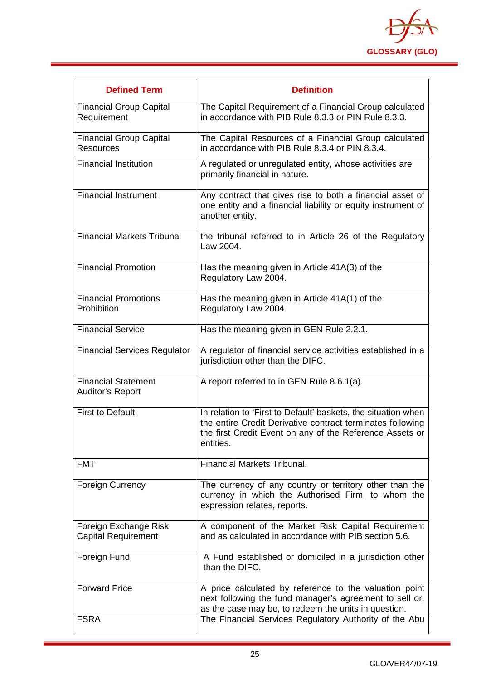

| <b>Defined Term</b>                                   | <b>Definition</b>                                                                                                                                                                                    |
|-------------------------------------------------------|------------------------------------------------------------------------------------------------------------------------------------------------------------------------------------------------------|
| <b>Financial Group Capital</b><br>Requirement         | The Capital Requirement of a Financial Group calculated<br>in accordance with PIB Rule 8.3.3 or PIN Rule 8.3.3.                                                                                      |
| <b>Financial Group Capital</b><br><b>Resources</b>    | The Capital Resources of a Financial Group calculated<br>in accordance with PIB Rule 8.3.4 or PIN 8.3.4.                                                                                             |
| <b>Financial Institution</b>                          | A regulated or unregulated entity, whose activities are<br>primarily financial in nature.                                                                                                            |
| <b>Financial Instrument</b>                           | Any contract that gives rise to both a financial asset of<br>one entity and a financial liability or equity instrument of<br>another entity.                                                         |
| <b>Financial Markets Tribunal</b>                     | the tribunal referred to in Article 26 of the Regulatory<br>Law 2004.                                                                                                                                |
| <b>Financial Promotion</b>                            | Has the meaning given in Article 41A(3) of the<br>Regulatory Law 2004.                                                                                                                               |
| <b>Financial Promotions</b><br>Prohibition            | Has the meaning given in Article 41A(1) of the<br>Regulatory Law 2004.                                                                                                                               |
| <b>Financial Service</b>                              | Has the meaning given in GEN Rule 2.2.1.                                                                                                                                                             |
| <b>Financial Services Regulator</b>                   | A regulator of financial service activities established in a<br>jurisdiction other than the DIFC.                                                                                                    |
| <b>Financial Statement</b><br><b>Auditor's Report</b> | A report referred to in GEN Rule 8.6.1(a).                                                                                                                                                           |
| <b>First to Default</b>                               | In relation to 'First to Default' baskets, the situation when<br>the entire Credit Derivative contract terminates following<br>the first Credit Event on any of the Reference Assets or<br>entities. |
| <b>FMT</b>                                            | <b>Financial Markets Tribunal.</b>                                                                                                                                                                   |
| <b>Foreign Currency</b>                               | The currency of any country or territory other than the<br>currency in which the Authorised Firm, to whom the<br>expression relates, reports.                                                        |
| Foreign Exchange Risk<br><b>Capital Requirement</b>   | A component of the Market Risk Capital Requirement<br>and as calculated in accordance with PIB section 5.6.                                                                                          |
| Foreign Fund                                          | A Fund established or domiciled in a jurisdiction other<br>than the DIFC.                                                                                                                            |
| <b>Forward Price</b>                                  | A price calculated by reference to the valuation point<br>next following the fund manager's agreement to sell or,<br>as the case may be, to redeem the units in question.                            |
| <b>FSRA</b>                                           | The Financial Services Regulatory Authority of the Abu                                                                                                                                               |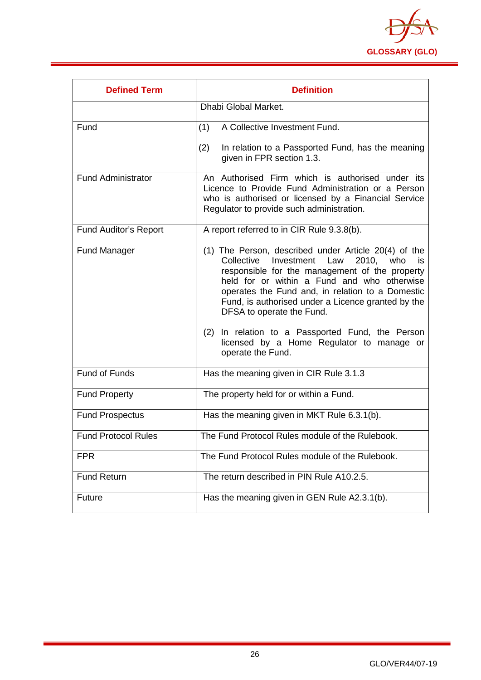

<span id="page-26-0"></span>

| <b>Defined Term</b>          | <b>Definition</b>                                                                                                                                                                                                                                                                                                                                                                                                                                                     |
|------------------------------|-----------------------------------------------------------------------------------------------------------------------------------------------------------------------------------------------------------------------------------------------------------------------------------------------------------------------------------------------------------------------------------------------------------------------------------------------------------------------|
|                              | Dhabi Global Market.                                                                                                                                                                                                                                                                                                                                                                                                                                                  |
| Fund                         | A Collective Investment Fund.<br>(1)                                                                                                                                                                                                                                                                                                                                                                                                                                  |
|                              | (2)<br>In relation to a Passported Fund, has the meaning<br>given in FPR section 1.3.                                                                                                                                                                                                                                                                                                                                                                                 |
| Fund Administrator           | An Authorised Firm which is authorised under its<br>Licence to Provide Fund Administration or a Person<br>who is authorised or licensed by a Financial Service<br>Regulator to provide such administration.                                                                                                                                                                                                                                                           |
| <b>Fund Auditor's Report</b> | A report referred to in CIR Rule 9.3.8(b).                                                                                                                                                                                                                                                                                                                                                                                                                            |
| <b>Fund Manager</b>          | (1) The Person, described under Article 20(4) of the<br>Investment Law<br>2010, who<br>Collective<br>is<br>responsible for the management of the property<br>held for or within a Fund and who otherwise<br>operates the Fund and, in relation to a Domestic<br>Fund, is authorised under a Licence granted by the<br>DFSA to operate the Fund.<br>(2) In relation to a Passported Fund, the Person<br>licensed by a Home Regulator to manage or<br>operate the Fund. |
| <b>Fund of Funds</b>         | Has the meaning given in CIR Rule 3.1.3                                                                                                                                                                                                                                                                                                                                                                                                                               |
| <b>Fund Property</b>         | The property held for or within a Fund.                                                                                                                                                                                                                                                                                                                                                                                                                               |
| <b>Fund Prospectus</b>       | Has the meaning given in MKT Rule 6.3.1(b).                                                                                                                                                                                                                                                                                                                                                                                                                           |
| <b>Fund Protocol Rules</b>   | The Fund Protocol Rules module of the Rulebook.                                                                                                                                                                                                                                                                                                                                                                                                                       |
| <b>FPR</b>                   | The Fund Protocol Rules module of the Rulebook.                                                                                                                                                                                                                                                                                                                                                                                                                       |
| <b>Fund Return</b>           | The return described in PIN Rule A10.2.5.                                                                                                                                                                                                                                                                                                                                                                                                                             |
| Future                       | Has the meaning given in GEN Rule A2.3.1(b).                                                                                                                                                                                                                                                                                                                                                                                                                          |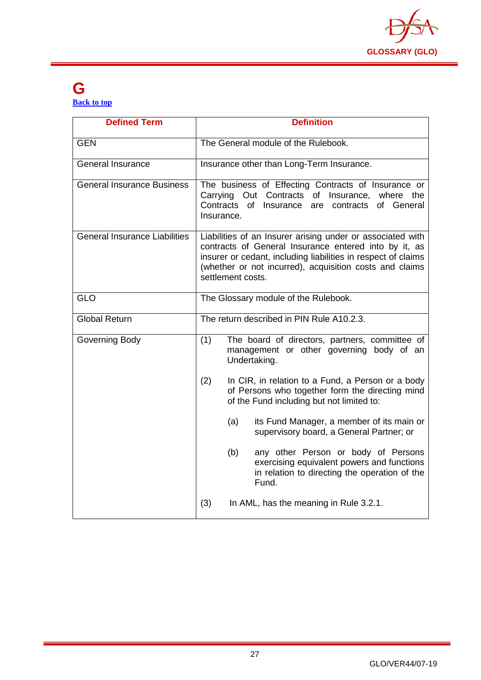

#### **G [Back to top](#page-1-0)**

| <b>Defined Term</b>                  | <b>Definition</b>                                                                                                                                                                                                                                                    |
|--------------------------------------|----------------------------------------------------------------------------------------------------------------------------------------------------------------------------------------------------------------------------------------------------------------------|
| <b>GEN</b>                           | The General module of the Rulebook.                                                                                                                                                                                                                                  |
| <b>General Insurance</b>             | Insurance other than Long-Term Insurance.                                                                                                                                                                                                                            |
| <b>General Insurance Business</b>    | The business of Effecting Contracts of Insurance or<br>Carrying Out Contracts of<br>Insurance, where the<br>Contracts<br>of<br>of General<br>Insurance<br>are<br>contracts<br>Insurance.                                                                             |
| <b>General Insurance Liabilities</b> | Liabilities of an Insurer arising under or associated with<br>contracts of General Insurance entered into by it, as<br>insurer or cedant, including liabilities in respect of claims<br>(whether or not incurred), acquisition costs and claims<br>settlement costs. |
| <b>GLO</b>                           | The Glossary module of the Rulebook.                                                                                                                                                                                                                                 |
| <b>Global Return</b>                 | The return described in PIN Rule A10.2.3.                                                                                                                                                                                                                            |
| Governing Body                       | (1)<br>The board of directors, partners, committee of<br>management or other governing body of an<br>Undertaking.                                                                                                                                                    |
|                                      | (2)<br>In CIR, in relation to a Fund, a Person or a body<br>of Persons who together form the directing mind<br>of the Fund including but not limited to:                                                                                                             |
|                                      | its Fund Manager, a member of its main or<br>(a)<br>supervisory board, a General Partner; or                                                                                                                                                                         |
|                                      | (b)<br>any other Person or body of Persons<br>exercising equivalent powers and functions<br>in relation to directing the operation of the<br>Fund.                                                                                                                   |
|                                      | (3)<br>In AML, has the meaning in Rule 3.2.1.                                                                                                                                                                                                                        |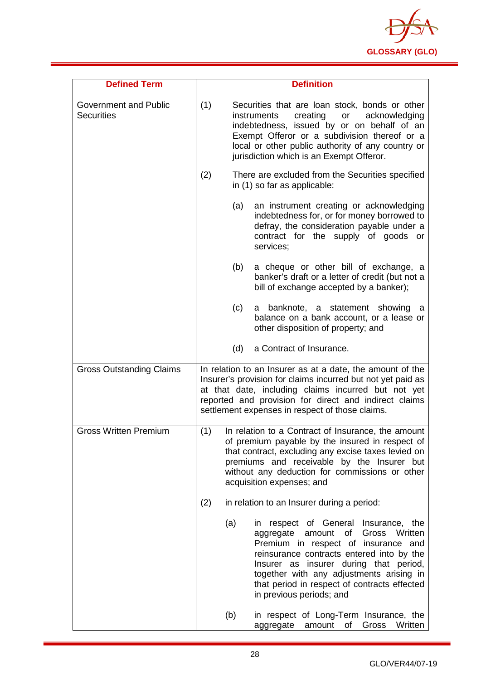

| <b>Defined Term</b>                               |     | <b>Definition</b>                                                                                                                                                                                                                                                                                                                     |
|---------------------------------------------------|-----|---------------------------------------------------------------------------------------------------------------------------------------------------------------------------------------------------------------------------------------------------------------------------------------------------------------------------------------|
| <b>Government and Public</b><br><b>Securities</b> | (1) | Securities that are loan stock, bonds or other<br>creating<br>acknowledging<br>instruments<br>or<br>indebtedness, issued by or on behalf of an<br>Exempt Offeror or a subdivision thereof or a<br>local or other public authority of any country or<br>jurisdiction which is an Exempt Offeror.                                       |
|                                                   | (2) | There are excluded from the Securities specified<br>in (1) so far as applicable:                                                                                                                                                                                                                                                      |
|                                                   | (a) | an instrument creating or acknowledging<br>indebtedness for, or for money borrowed to<br>defray, the consideration payable under a<br>contract for the supply of goods or<br>services;                                                                                                                                                |
|                                                   | (b) | a cheque or other bill of exchange, a<br>banker's draft or a letter of credit (but not a<br>bill of exchange accepted by a banker);                                                                                                                                                                                                   |
|                                                   | (c) | a banknote, a statement showing<br>а<br>balance on a bank account, or a lease or<br>other disposition of property; and                                                                                                                                                                                                                |
|                                                   | (d) | a Contract of Insurance.                                                                                                                                                                                                                                                                                                              |
| <b>Gross Outstanding Claims</b>                   |     | In relation to an Insurer as at a date, the amount of the<br>Insurer's provision for claims incurred but not yet paid as<br>at that date, including claims incurred but not yet<br>reported and provision for direct and indirect claims<br>settlement expenses in respect of those claims.                                           |
| <b>Gross Written Premium</b>                      | (1) | In relation to a Contract of Insurance, the amount<br>of premium payable by the insured in respect of<br>that contract, excluding any excise taxes levied on<br>premiums and receivable by the Insurer but<br>without any deduction for commissions or other<br>acquisition expenses; and                                             |
|                                                   | (2) | in relation to an Insurer during a period:                                                                                                                                                                                                                                                                                            |
|                                                   | (a) | in respect of General Insurance, the<br>amount of<br>Gross Written<br>aggregate<br>Premium in respect of insurance and<br>reinsurance contracts entered into by the<br>Insurer as insurer during that period,<br>together with any adjustments arising in<br>that period in respect of contracts effected<br>in previous periods; and |
|                                                   | (b) | in respect of Long-Term Insurance, the<br>Gross<br>Written<br>aggregate<br>amount of                                                                                                                                                                                                                                                  |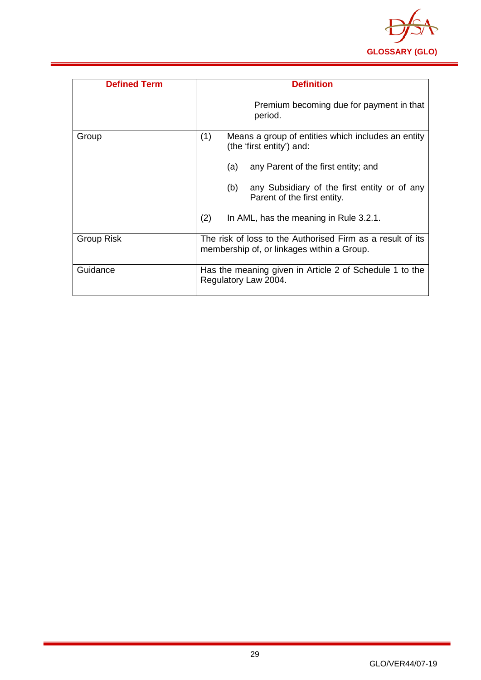

| <b>Defined Term</b> | <b>Definition</b>                                                                                        |
|---------------------|----------------------------------------------------------------------------------------------------------|
|                     | Premium becoming due for payment in that<br>period.                                                      |
| Group               | (1)<br>Means a group of entities which includes an entity<br>(the 'first entity') and:                   |
|                     | any Parent of the first entity; and<br>(a)                                                               |
|                     | any Subsidiary of the first entity or of any<br>(b)<br>Parent of the first entity.                       |
|                     | (2)<br>In AML, has the meaning in Rule 3.2.1.                                                            |
| <b>Group Risk</b>   | The risk of loss to the Authorised Firm as a result of its<br>membership of, or linkages within a Group. |
| Guidance            | Has the meaning given in Article 2 of Schedule 1 to the<br>Regulatory Law 2004.                          |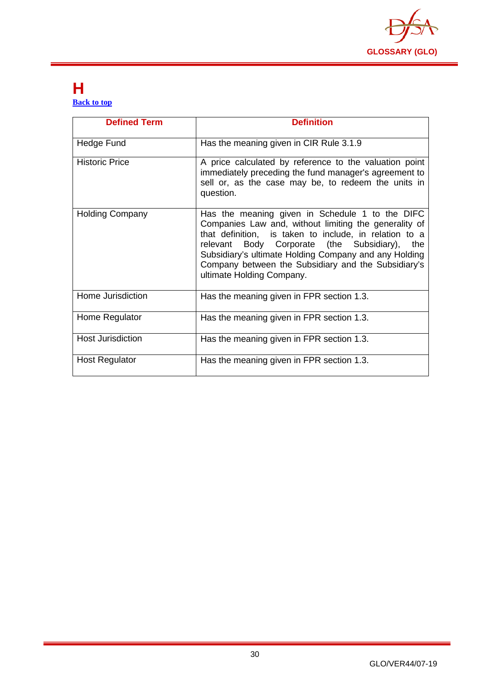

#### <span id="page-30-0"></span>**H [Back to top](#page-1-0)**

| <b>Defined Term</b>    | <b>Definition</b>                                                                                                                                                                                                                                                                                                                                                      |
|------------------------|------------------------------------------------------------------------------------------------------------------------------------------------------------------------------------------------------------------------------------------------------------------------------------------------------------------------------------------------------------------------|
| Hedge Fund             | Has the meaning given in CIR Rule 3.1.9                                                                                                                                                                                                                                                                                                                                |
| <b>Historic Price</b>  | A price calculated by reference to the valuation point<br>immediately preceding the fund manager's agreement to<br>sell or, as the case may be, to redeem the units in<br>question.                                                                                                                                                                                    |
| <b>Holding Company</b> | Has the meaning given in Schedule 1 to the DIFC<br>Companies Law and, without limiting the generality of<br>that definition, is taken to include, in relation to a<br>Body Corporate (the Subsidiary),<br>relevant<br>the<br>Subsidiary's ultimate Holding Company and any Holding<br>Company between the Subsidiary and the Subsidiary's<br>ultimate Holding Company. |
| Home Jurisdiction      | Has the meaning given in FPR section 1.3.                                                                                                                                                                                                                                                                                                                              |
| Home Regulator         | Has the meaning given in FPR section 1.3.                                                                                                                                                                                                                                                                                                                              |
| Host Jurisdiction      | Has the meaning given in FPR section 1.3.                                                                                                                                                                                                                                                                                                                              |
| Host Regulator         | Has the meaning given in FPR section 1.3.                                                                                                                                                                                                                                                                                                                              |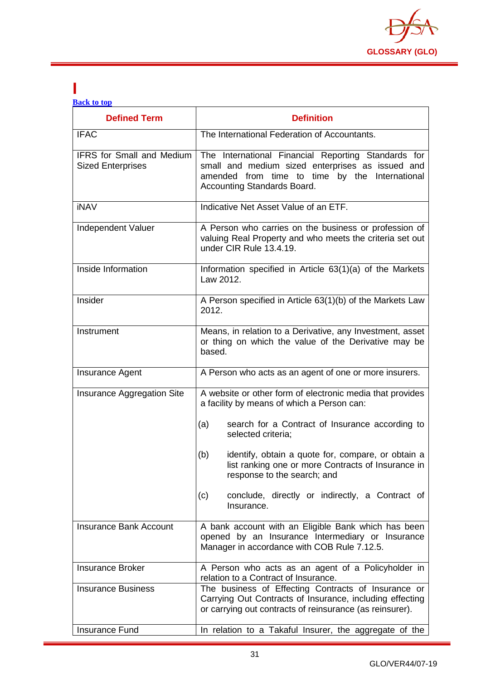

#### <span id="page-31-0"></span>**I [Back to top](#page-1-0)**

| <b>Defined Term</b>                                          | <b>Definition</b>                                                                                                                                                                        |
|--------------------------------------------------------------|------------------------------------------------------------------------------------------------------------------------------------------------------------------------------------------|
| <b>IFAC</b>                                                  | The International Federation of Accountants.                                                                                                                                             |
| <b>IFRS for Small and Medium</b><br><b>Sized Enterprises</b> | The International Financial Reporting Standards for<br>small and medium sized enterprises as issued and<br>amended from time to time by the International<br>Accounting Standards Board. |
| <b>iNAV</b>                                                  | Indicative Net Asset Value of an ETF.                                                                                                                                                    |
| Independent Valuer                                           | A Person who carries on the business or profession of<br>valuing Real Property and who meets the criteria set out<br>under CIR Rule 13.4.19.                                             |
| Inside Information                                           | Information specified in Article 63(1)(a) of the Markets<br>Law 2012.                                                                                                                    |
| Insider                                                      | A Person specified in Article 63(1)(b) of the Markets Law<br>2012.                                                                                                                       |
| Instrument                                                   | Means, in relation to a Derivative, any Investment, asset<br>or thing on which the value of the Derivative may be<br>based.                                                              |
| <b>Insurance Agent</b>                                       | A Person who acts as an agent of one or more insurers.                                                                                                                                   |
| <b>Insurance Aggregation Site</b>                            | A website or other form of electronic media that provides<br>a facility by means of which a Person can:                                                                                  |
|                                                              | search for a Contract of Insurance according to<br>(a)<br>selected criteria;                                                                                                             |
|                                                              | (b)<br>identify, obtain a quote for, compare, or obtain a<br>list ranking one or more Contracts of Insurance in<br>response to the search; and                                           |
|                                                              | conclude, directly or indirectly, a Contract of<br>(c)<br>Insurance.                                                                                                                     |
| <b>Insurance Bank Account</b>                                | A bank account with an Eligible Bank which has been<br>opened by an Insurance Intermediary or Insurance<br>Manager in accordance with COB Rule 7.12.5.                                   |
| <b>Insurance Broker</b>                                      | A Person who acts as an agent of a Policyholder in<br>relation to a Contract of Insurance.                                                                                               |
| <b>Insurance Business</b>                                    | The business of Effecting Contracts of Insurance or<br>Carrying Out Contracts of Insurance, including effecting<br>or carrying out contracts of reinsurance (as reinsurer).              |
| <b>Insurance Fund</b>                                        | In relation to a Takaful Insurer, the aggregate of the                                                                                                                                   |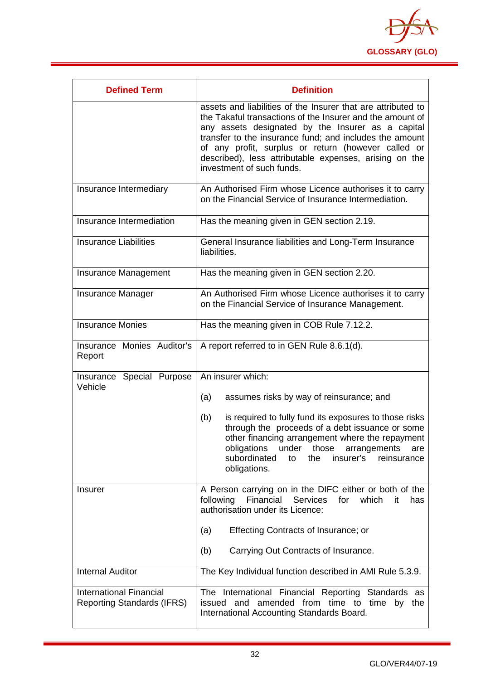

| <b>Defined Term</b>                                                 | <b>Definition</b>                                                                                                                                                                                                                                                                                                                                                                       |
|---------------------------------------------------------------------|-----------------------------------------------------------------------------------------------------------------------------------------------------------------------------------------------------------------------------------------------------------------------------------------------------------------------------------------------------------------------------------------|
|                                                                     | assets and liabilities of the Insurer that are attributed to<br>the Takaful transactions of the Insurer and the amount of<br>any assets designated by the Insurer as a capital<br>transfer to the insurance fund; and includes the amount<br>of any profit, surplus or return (however called or<br>described), less attributable expenses, arising on the<br>investment of such funds. |
| Insurance Intermediary                                              | An Authorised Firm whose Licence authorises it to carry<br>on the Financial Service of Insurance Intermediation.                                                                                                                                                                                                                                                                        |
| Insurance Intermediation                                            | Has the meaning given in GEN section 2.19.                                                                                                                                                                                                                                                                                                                                              |
| <b>Insurance Liabilities</b>                                        | General Insurance liabilities and Long-Term Insurance<br>liabilities.                                                                                                                                                                                                                                                                                                                   |
| Insurance Management                                                | Has the meaning given in GEN section 2.20.                                                                                                                                                                                                                                                                                                                                              |
| <b>Insurance Manager</b>                                            | An Authorised Firm whose Licence authorises it to carry<br>on the Financial Service of Insurance Management.                                                                                                                                                                                                                                                                            |
| <b>Insurance Monies</b>                                             | Has the meaning given in COB Rule 7.12.2.                                                                                                                                                                                                                                                                                                                                               |
| Insurance Monies Auditor's<br>Report                                | A report referred to in GEN Rule 8.6.1(d).                                                                                                                                                                                                                                                                                                                                              |
| Insurance Special Purpose<br>Vehicle                                | An insurer which:                                                                                                                                                                                                                                                                                                                                                                       |
|                                                                     | assumes risks by way of reinsurance; and<br>(a)                                                                                                                                                                                                                                                                                                                                         |
|                                                                     | (b)<br>is required to fully fund its exposures to those risks<br>through the proceeds of a debt issuance or some<br>other financing arrangement where the repayment<br>obligations under those<br>arrangements<br>are<br>subordinated<br>to<br>the<br>insurer's<br>reinsurance<br>obligations.                                                                                          |
| Insurer                                                             | A Person carrying on in the DIFC either or both of the<br>following Financial Services for which<br>it.<br>has<br>authorisation under its Licence:                                                                                                                                                                                                                                      |
|                                                                     | Effecting Contracts of Insurance; or<br>(a)                                                                                                                                                                                                                                                                                                                                             |
|                                                                     | Carrying Out Contracts of Insurance.<br>(b)                                                                                                                                                                                                                                                                                                                                             |
| <b>Internal Auditor</b>                                             | The Key Individual function described in AMI Rule 5.3.9.                                                                                                                                                                                                                                                                                                                                |
| <b>International Financial</b><br><b>Reporting Standards (IFRS)</b> | The International Financial Reporting Standards as<br>issued and amended from time to time by the<br>International Accounting Standards Board.                                                                                                                                                                                                                                          |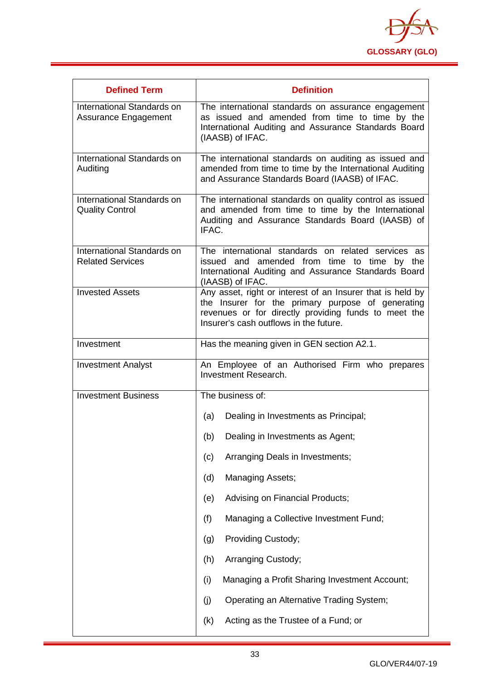

| <b>Defined Term</b>                                   | <b>Definition</b>                                                                                                                                                                                                 |
|-------------------------------------------------------|-------------------------------------------------------------------------------------------------------------------------------------------------------------------------------------------------------------------|
| International Standards on<br>Assurance Engagement    | The international standards on assurance engagement<br>as issued and amended from time to time by the<br>International Auditing and Assurance Standards Board<br>(IAASB) of IFAC.                                 |
| International Standards on<br>Auditing                | The international standards on auditing as issued and<br>amended from time to time by the International Auditing<br>and Assurance Standards Board (IAASB) of IFAC.                                                |
| International Standards on<br><b>Quality Control</b>  | The international standards on quality control as issued<br>and amended from time to time by the International<br>Auditing and Assurance Standards Board (IAASB) of<br>IFAC.                                      |
| International Standards on<br><b>Related Services</b> | The international standards on related services as<br>issued and amended from time to time by the<br>International Auditing and Assurance Standards Board<br>(IAASB) of IFAC.                                     |
| <b>Invested Assets</b>                                | Any asset, right or interest of an Insurer that is held by<br>the Insurer for the primary purpose of generating<br>revenues or for directly providing funds to meet the<br>Insurer's cash outflows in the future. |
| Investment                                            | Has the meaning given in GEN section A2.1.                                                                                                                                                                        |
| <b>Investment Analyst</b>                             | An Employee of an Authorised Firm who prepares<br>Investment Research.                                                                                                                                            |
| <b>Investment Business</b>                            | The business of:                                                                                                                                                                                                  |
|                                                       | Dealing in Investments as Principal;<br>(a)                                                                                                                                                                       |
|                                                       | Dealing in Investments as Agent;<br>(b)                                                                                                                                                                           |
|                                                       | Arranging Deals in Investments;<br>(c)                                                                                                                                                                            |
|                                                       | <b>Managing Assets;</b><br>(d)                                                                                                                                                                                    |
|                                                       | Advising on Financial Products;<br>(e)                                                                                                                                                                            |
|                                                       | Managing a Collective Investment Fund;<br>(f)                                                                                                                                                                     |
|                                                       | Providing Custody;<br>(g)                                                                                                                                                                                         |
|                                                       | (h)<br>Arranging Custody;                                                                                                                                                                                         |
|                                                       | (i)<br>Managing a Profit Sharing Investment Account;                                                                                                                                                              |
|                                                       | (j)<br>Operating an Alternative Trading System;                                                                                                                                                                   |
|                                                       | Acting as the Trustee of a Fund; or<br>(k)                                                                                                                                                                        |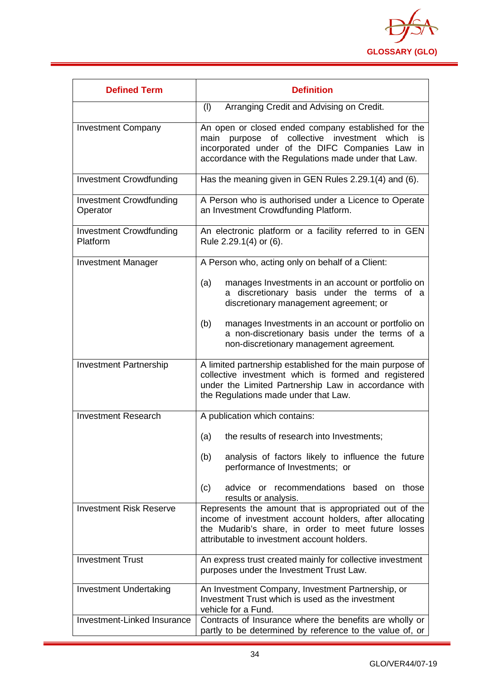

| <b>Defined Term</b>                        | <b>Definition</b>                                                                                                                                                                                                               |
|--------------------------------------------|---------------------------------------------------------------------------------------------------------------------------------------------------------------------------------------------------------------------------------|
|                                            | (1)<br>Arranging Credit and Advising on Credit.                                                                                                                                                                                 |
| <b>Investment Company</b>                  | An open or closed ended company established for the<br>collective investment<br>main<br>purpose<br>of<br>which<br>is<br>incorporated under of the DIFC Companies Law in<br>accordance with the Regulations made under that Law. |
| <b>Investment Crowdfunding</b>             | Has the meaning given in GEN Rules 2.29.1(4) and (6).                                                                                                                                                                           |
| <b>Investment Crowdfunding</b><br>Operator | A Person who is authorised under a Licence to Operate<br>an Investment Crowdfunding Platform.                                                                                                                                   |
| <b>Investment Crowdfunding</b><br>Platform | An electronic platform or a facility referred to in GEN<br>Rule 2.29.1(4) or (6).                                                                                                                                               |
| <b>Investment Manager</b>                  | A Person who, acting only on behalf of a Client:                                                                                                                                                                                |
|                                            | (a)<br>manages Investments in an account or portfolio on<br>discretionary basis under the terms of a<br>а<br>discretionary management agreement; or                                                                             |
|                                            | manages Investments in an account or portfolio on<br>(b)<br>a non-discretionary basis under the terms of a<br>non-discretionary management agreement.                                                                           |
| <b>Investment Partnership</b>              | A limited partnership established for the main purpose of<br>collective investment which is formed and registered<br>under the Limited Partnership Law in accordance with<br>the Regulations made under that Law.               |
| <b>Investment Research</b>                 | A publication which contains:                                                                                                                                                                                                   |
|                                            | (a)<br>the results of research into Investments;                                                                                                                                                                                |
|                                            | analysis of factors likely to influence the future<br>(b)<br>performance of Investments; or                                                                                                                                     |
|                                            | advice or recommendations based on those<br>(c)<br>results or analysis.                                                                                                                                                         |
| <b>Investment Risk Reserve</b>             | Represents the amount that is appropriated out of the<br>income of investment account holders, after allocating<br>the Mudarib's share, in order to meet future losses<br>attributable to investment account holders.           |
| <b>Investment Trust</b>                    | An express trust created mainly for collective investment<br>purposes under the Investment Trust Law.                                                                                                                           |
| <b>Investment Undertaking</b>              | An Investment Company, Investment Partnership, or<br>Investment Trust which is used as the investment<br>vehicle for a Fund.                                                                                                    |
| Investment-Linked Insurance                | Contracts of Insurance where the benefits are wholly or<br>partly to be determined by reference to the value of, or                                                                                                             |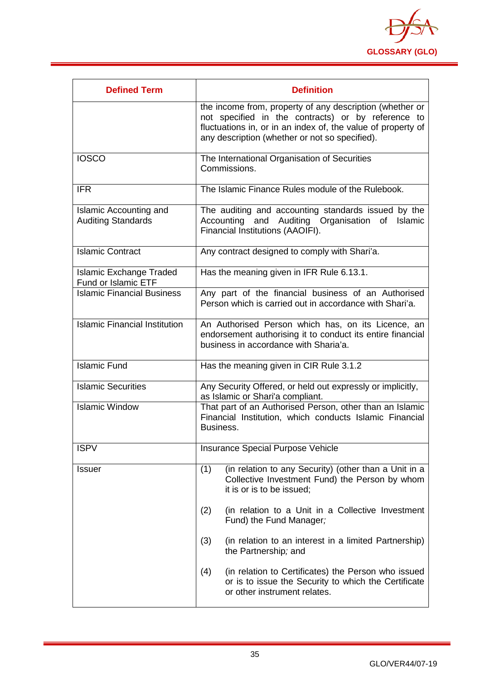

<span id="page-35-0"></span>

| <b>Defined Term</b>                                        | <b>Definition</b>                                                                                                                                                                                                                |
|------------------------------------------------------------|----------------------------------------------------------------------------------------------------------------------------------------------------------------------------------------------------------------------------------|
|                                                            | the income from, property of any description (whether or<br>not specified in the contracts) or by reference to<br>fluctuations in, or in an index of, the value of property of<br>any description (whether or not so specified). |
| <b>IOSCO</b>                                               | The International Organisation of Securities<br>Commissions.                                                                                                                                                                     |
| <b>IFR</b>                                                 | The Islamic Finance Rules module of the Rulebook.                                                                                                                                                                                |
| <b>Islamic Accounting and</b><br><b>Auditing Standards</b> | The auditing and accounting standards issued by the<br>Accounting and Auditing Organisation of<br>Islamic<br>Financial Institutions (AAOIFI).                                                                                    |
| <b>Islamic Contract</b>                                    | Any contract designed to comply with Shari'a.                                                                                                                                                                                    |
| <b>Islamic Exchange Traded</b><br>Fund or Islamic ETF      | Has the meaning given in IFR Rule 6.13.1.                                                                                                                                                                                        |
| <b>Islamic Financial Business</b>                          | Any part of the financial business of an Authorised<br>Person which is carried out in accordance with Shari'a.                                                                                                                   |
| <b>Islamic Financial Institution</b>                       | An Authorised Person which has, on its Licence, an<br>endorsement authorising it to conduct its entire financial<br>business in accordance with Sharia'a.                                                                        |
| <b>Islamic Fund</b>                                        | Has the meaning given in CIR Rule 3.1.2                                                                                                                                                                                          |
| <b>Islamic Securities</b>                                  | Any Security Offered, or held out expressly or implicitly,<br>as Islamic or Shari'a compliant.                                                                                                                                   |
| <b>Islamic Window</b>                                      | That part of an Authorised Person, other than an Islamic<br>Financial Institution, which conducts Islamic Financial<br>Business.                                                                                                 |
| <b>ISPV</b>                                                | <b>Insurance Special Purpose Vehicle</b>                                                                                                                                                                                         |
| <b>Issuer</b>                                              | (in relation to any Security) (other than a Unit in a<br>(1)<br>Collective Investment Fund) the Person by whom<br>it is or is to be issued;                                                                                      |
|                                                            | (in relation to a Unit in a Collective Investment<br>(2)<br>Fund) the Fund Manager;                                                                                                                                              |
|                                                            | (3)<br>(in relation to an interest in a limited Partnership)<br>the Partnership; and                                                                                                                                             |
|                                                            | (4)<br>(in relation to Certificates) the Person who issued<br>or is to issue the Security to which the Certificate<br>or other instrument relates.                                                                               |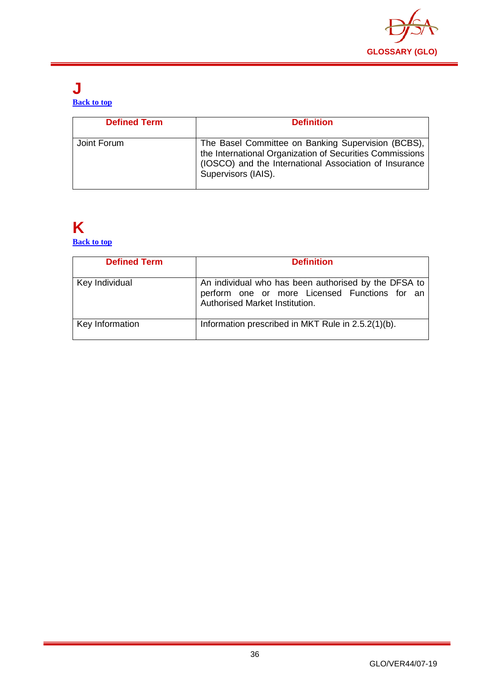

#### **J [Back to top](#page-1-0)**

| <b>Defined Term</b> | <b>Definition</b>                                                                                                                                                                               |
|---------------------|-------------------------------------------------------------------------------------------------------------------------------------------------------------------------------------------------|
| Joint Forum         | The Basel Committee on Banking Supervision (BCBS),<br>the International Organization of Securities Commissions<br>(IOSCO) and the International Association of Insurance<br>Supervisors (IAIS). |

## <span id="page-36-0"></span>**K**

**[Back to top](#page-1-0)**

| <b>Defined Term</b> | <b>Definition</b>                                                                                                                       |
|---------------------|-----------------------------------------------------------------------------------------------------------------------------------------|
| Key Individual      | An individual who has been authorised by the DFSA to<br>perform one or more Licensed Functions for an<br>Authorised Market Institution. |
| Key Information     | Information prescribed in MKT Rule in 2.5.2(1)(b).                                                                                      |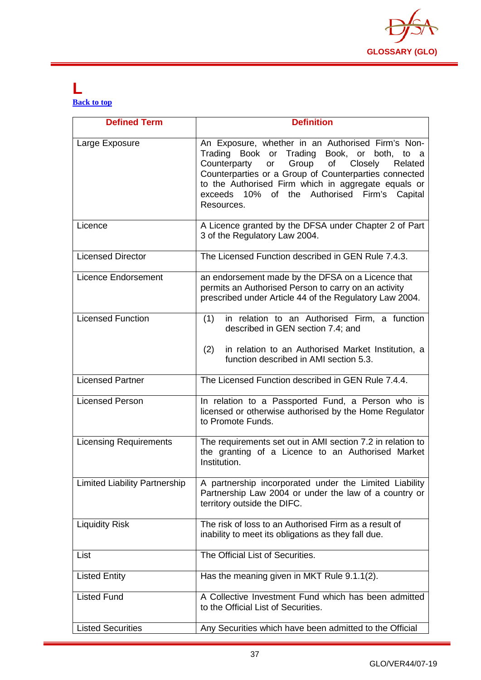

#### <span id="page-37-0"></span>**L [Back to top](#page-1-0)**

| <b>Defined Term</b>                  | <b>Definition</b>                                                                                                                                                                                                                                                                                                                |
|--------------------------------------|----------------------------------------------------------------------------------------------------------------------------------------------------------------------------------------------------------------------------------------------------------------------------------------------------------------------------------|
| Large Exposure                       | An Exposure, whether in an Authorised Firm's Non-<br>Trading Book or Trading Book, or both, to a<br>or Group of Closely<br>Counterparty<br>Related<br>Counterparties or a Group of Counterparties connected<br>to the Authorised Firm which in aggregate equals or<br>exceeds 10% of the Authorised Firm's Capital<br>Resources. |
| Licence                              | A Licence granted by the DFSA under Chapter 2 of Part<br>3 of the Regulatory Law 2004.                                                                                                                                                                                                                                           |
| <b>Licensed Director</b>             | The Licensed Function described in GEN Rule 7.4.3.                                                                                                                                                                                                                                                                               |
| <b>Licence Endorsement</b>           | an endorsement made by the DFSA on a Licence that<br>permits an Authorised Person to carry on an activity<br>prescribed under Article 44 of the Regulatory Law 2004.                                                                                                                                                             |
| <b>Licensed Function</b>             | in relation to an Authorised Firm, a function<br>(1)<br>described in GEN section 7.4; and<br>(2)<br>in relation to an Authorised Market Institution, a<br>function described in AMI section 5.3.                                                                                                                                 |
| <b>Licensed Partner</b>              | The Licensed Function described in GEN Rule 7.4.4.                                                                                                                                                                                                                                                                               |
| <b>Licensed Person</b>               | In relation to a Passported Fund, a Person who is<br>licensed or otherwise authorised by the Home Regulator<br>to Promote Funds.                                                                                                                                                                                                 |
| <b>Licensing Requirements</b>        | The requirements set out in AMI section 7.2 in relation to<br>the granting of a Licence to an Authorised Market<br>Institution.                                                                                                                                                                                                  |
| <b>Limited Liability Partnership</b> | A partnership incorporated under the Limited Liability<br>Partnership Law 2004 or under the law of a country or<br>territory outside the DIFC.                                                                                                                                                                                   |
| <b>Liquidity Risk</b>                | The risk of loss to an Authorised Firm as a result of<br>inability to meet its obligations as they fall due.                                                                                                                                                                                                                     |
| List                                 | The Official List of Securities.                                                                                                                                                                                                                                                                                                 |
| <b>Listed Entity</b>                 | Has the meaning given in MKT Rule 9.1.1(2).                                                                                                                                                                                                                                                                                      |
| <b>Listed Fund</b>                   | A Collective Investment Fund which has been admitted<br>to the Official List of Securities.                                                                                                                                                                                                                                      |
| <b>Listed Securities</b>             | Any Securities which have been admitted to the Official                                                                                                                                                                                                                                                                          |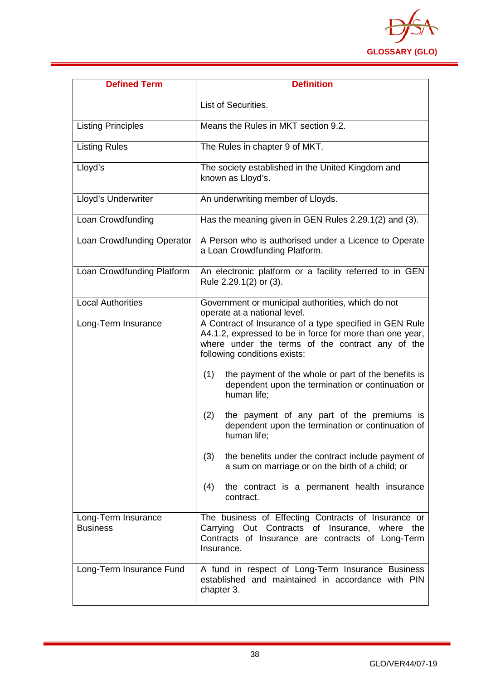

| <b>Defined Term</b>                    | <b>Definition</b>                                                                                                                                                                                       |  |  |
|----------------------------------------|---------------------------------------------------------------------------------------------------------------------------------------------------------------------------------------------------------|--|--|
|                                        | List of Securities.                                                                                                                                                                                     |  |  |
| <b>Listing Principles</b>              | Means the Rules in MKT section 9.2.                                                                                                                                                                     |  |  |
| <b>Listing Rules</b>                   | The Rules in chapter 9 of MKT.                                                                                                                                                                          |  |  |
| Lloyd's                                | The society established in the United Kingdom and<br>known as Lloyd's.                                                                                                                                  |  |  |
| Lloyd's Underwriter                    | An underwriting member of Lloyds.                                                                                                                                                                       |  |  |
| Loan Crowdfunding                      | Has the meaning given in GEN Rules 2.29.1(2) and (3).                                                                                                                                                   |  |  |
| Loan Crowdfunding Operator             | A Person who is authorised under a Licence to Operate<br>a Loan Crowdfunding Platform.                                                                                                                  |  |  |
| Loan Crowdfunding Platform             | An electronic platform or a facility referred to in GEN<br>Rule 2.29.1(2) or (3).                                                                                                                       |  |  |
| <b>Local Authorities</b>               | Government or municipal authorities, which do not<br>operate at a national level.                                                                                                                       |  |  |
| Long-Term Insurance                    | A Contract of Insurance of a type specified in GEN Rule<br>A4.1.2, expressed to be in force for more than one year,<br>where under the terms of the contract any of the<br>following conditions exists: |  |  |
|                                        | the payment of the whole or part of the benefits is<br>(1)<br>dependent upon the termination or continuation or<br>human life;                                                                          |  |  |
|                                        | the payment of any part of the premiums is<br>(2)<br>dependent upon the termination or continuation of<br>human life;                                                                                   |  |  |
|                                        | the benefits under the contract include payment of<br>(3)<br>a sum on marriage or on the birth of a child; or                                                                                           |  |  |
|                                        | the contract is a permanent health insurance<br>(4)<br>contract.                                                                                                                                        |  |  |
| Long-Term Insurance<br><b>Business</b> | The business of Effecting Contracts of Insurance or<br>Carrying Out Contracts of Insurance, where<br>the<br>Contracts of Insurance are contracts of Long-Term<br>Insurance.                             |  |  |
| Long-Term Insurance Fund               | A fund in respect of Long-Term Insurance Business<br>established and maintained in accordance with PIN<br>chapter 3.                                                                                    |  |  |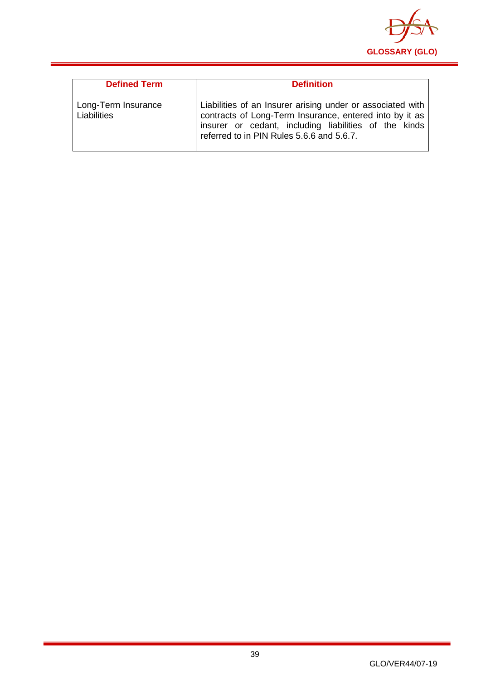

| <b>Defined Term</b>                | <b>Definition</b>                                                                                                                                                                                                           |
|------------------------------------|-----------------------------------------------------------------------------------------------------------------------------------------------------------------------------------------------------------------------------|
| Long-Term Insurance<br>Liabilities | Liabilities of an Insurer arising under or associated with<br>contracts of Long-Term Insurance, entered into by it as<br>insurer or cedant, including liabilities of the kinds<br>referred to in PIN Rules 5.6.6 and 5.6.7. |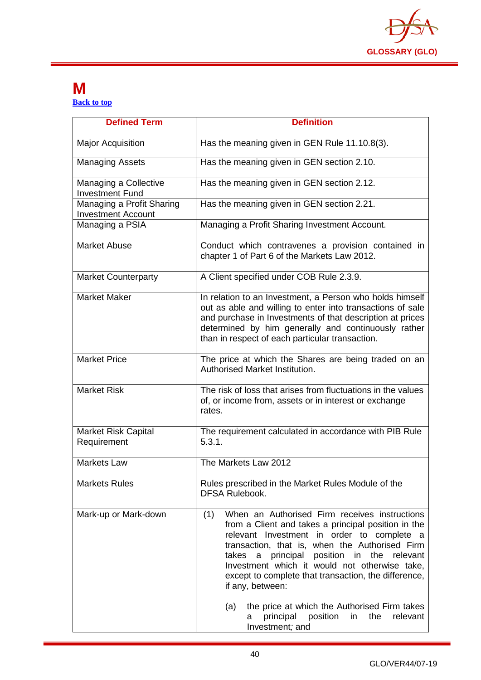

#### <span id="page-40-0"></span>**M [Back to top](#page-1-0)**

| <b>Defined Term</b>                                    | <b>Definition</b>                                                                                                                                                                                                                                                                                                                                                                                                                                                                                                          |  |  |
|--------------------------------------------------------|----------------------------------------------------------------------------------------------------------------------------------------------------------------------------------------------------------------------------------------------------------------------------------------------------------------------------------------------------------------------------------------------------------------------------------------------------------------------------------------------------------------------------|--|--|
| <b>Major Acquisition</b>                               | Has the meaning given in GEN Rule 11.10.8(3).                                                                                                                                                                                                                                                                                                                                                                                                                                                                              |  |  |
| <b>Managing Assets</b>                                 | Has the meaning given in GEN section 2.10.                                                                                                                                                                                                                                                                                                                                                                                                                                                                                 |  |  |
| Managing a Collective<br><b>Investment Fund</b>        | Has the meaning given in GEN section 2.12.                                                                                                                                                                                                                                                                                                                                                                                                                                                                                 |  |  |
| Managing a Profit Sharing<br><b>Investment Account</b> | Has the meaning given in GEN section 2.21.                                                                                                                                                                                                                                                                                                                                                                                                                                                                                 |  |  |
| Managing a PSIA                                        | Managing a Profit Sharing Investment Account.                                                                                                                                                                                                                                                                                                                                                                                                                                                                              |  |  |
| <b>Market Abuse</b>                                    | Conduct which contravenes a provision contained in<br>chapter 1 of Part 6 of the Markets Law 2012.                                                                                                                                                                                                                                                                                                                                                                                                                         |  |  |
| <b>Market Counterparty</b>                             | A Client specified under COB Rule 2.3.9.                                                                                                                                                                                                                                                                                                                                                                                                                                                                                   |  |  |
| <b>Market Maker</b>                                    | In relation to an Investment, a Person who holds himself<br>out as able and willing to enter into transactions of sale<br>and purchase in Investments of that description at prices<br>determined by him generally and continuously rather<br>than in respect of each particular transaction.                                                                                                                                                                                                                              |  |  |
| <b>Market Price</b>                                    | The price at which the Shares are being traded on an<br>Authorised Market Institution.                                                                                                                                                                                                                                                                                                                                                                                                                                     |  |  |
| <b>Market Risk</b>                                     | The risk of loss that arises from fluctuations in the values<br>of, or income from, assets or in interest or exchange<br>rates.                                                                                                                                                                                                                                                                                                                                                                                            |  |  |
| Market Risk Capital<br>Requirement                     | The requirement calculated in accordance with PIB Rule<br>5.3.1.                                                                                                                                                                                                                                                                                                                                                                                                                                                           |  |  |
| <b>Markets Law</b>                                     | The Markets Law 2012                                                                                                                                                                                                                                                                                                                                                                                                                                                                                                       |  |  |
| <b>Markets Rules</b>                                   | Rules prescribed in the Market Rules Module of the<br><b>DFSA Rulebook.</b>                                                                                                                                                                                                                                                                                                                                                                                                                                                |  |  |
| Mark-up or Mark-down                                   | When an Authorised Firm receives instructions<br>(1)<br>from a Client and takes a principal position in the<br>relevant Investment in order to complete a<br>transaction, that is, when the Authorised Firm<br>a principal position in the relevant<br>takes<br>Investment which it would not otherwise take,<br>except to complete that transaction, the difference,<br>if any, between:<br>the price at which the Authorised Firm takes<br>(a)<br>position<br>principal<br>the<br>relevant<br>in<br>a<br>Investment; and |  |  |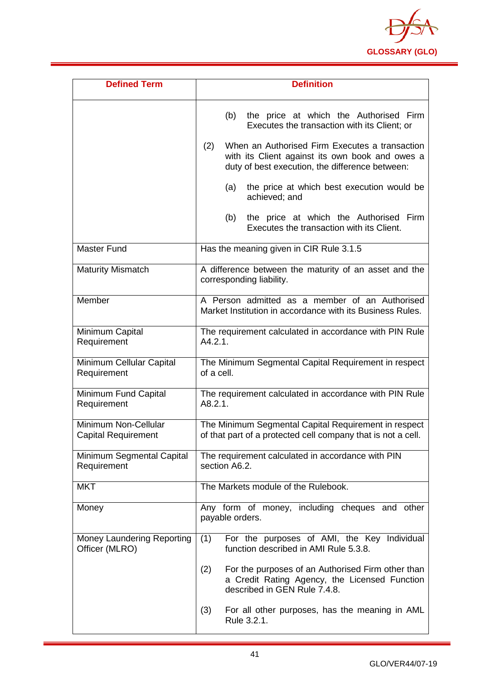

| <b>Defined Term</b>                                | <b>Definition</b>                                                                                                                                           |  |  |
|----------------------------------------------------|-------------------------------------------------------------------------------------------------------------------------------------------------------------|--|--|
|                                                    | the price at which the Authorised Firm<br>(b)<br>Executes the transaction with its Client; or                                                               |  |  |
|                                                    | When an Authorised Firm Executes a transaction<br>(2)<br>with its Client against its own book and owes a<br>duty of best execution, the difference between: |  |  |
|                                                    | the price at which best execution would be<br>(a)<br>achieved; and                                                                                          |  |  |
|                                                    | the price at which the Authorised Firm<br>(b)<br>Executes the transaction with its Client.                                                                  |  |  |
| <b>Master Fund</b>                                 | Has the meaning given in CIR Rule 3.1.5                                                                                                                     |  |  |
| <b>Maturity Mismatch</b>                           | A difference between the maturity of an asset and the<br>corresponding liability.                                                                           |  |  |
| Member                                             | A Person admitted as a member of an Authorised<br>Market Institution in accordance with its Business Rules.                                                 |  |  |
| Minimum Capital<br>Requirement                     | The requirement calculated in accordance with PIN Rule<br>A4.2.1.                                                                                           |  |  |
| Minimum Cellular Capital<br>Requirement            | The Minimum Segmental Capital Requirement in respect<br>of a cell.                                                                                          |  |  |
| Minimum Fund Capital<br>Requirement                | The requirement calculated in accordance with PIN Rule<br>A8.2.1.                                                                                           |  |  |
| Minimum Non-Cellular<br><b>Capital Requirement</b> | The Minimum Segmental Capital Requirement in respect<br>of that part of a protected cell company that is not a cell.                                        |  |  |
| Minimum Segmental Capital<br>Requirement           | The requirement calculated in accordance with PIN<br>section A6.2.                                                                                          |  |  |
| <b>MKT</b>                                         | The Markets module of the Rulebook.                                                                                                                         |  |  |
| Money                                              | Any form of money, including cheques and other<br>payable orders.                                                                                           |  |  |
| Money Laundering Reporting<br>Officer (MLRO)       | For the purposes of AMI, the Key Individual<br>(1)<br>function described in AMI Rule 5.3.8.                                                                 |  |  |
|                                                    | For the purposes of an Authorised Firm other than<br>(2)<br>a Credit Rating Agency, the Licensed Function<br>described in GEN Rule 7.4.8.                   |  |  |
|                                                    | For all other purposes, has the meaning in AML<br>(3)<br>Rule 3.2.1.                                                                                        |  |  |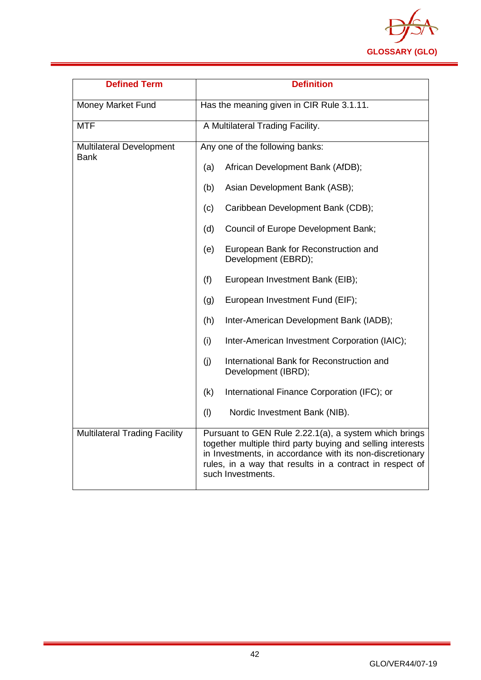

| <b>Defined Term</b>                            | <b>Definition</b>                                                                                                                                                                                                                                                |  |  |
|------------------------------------------------|------------------------------------------------------------------------------------------------------------------------------------------------------------------------------------------------------------------------------------------------------------------|--|--|
| Money Market Fund                              | Has the meaning given in CIR Rule 3.1.11.                                                                                                                                                                                                                        |  |  |
| <b>MTF</b>                                     | A Multilateral Trading Facility.                                                                                                                                                                                                                                 |  |  |
| <b>Multilateral Development</b><br><b>Bank</b> | Any one of the following banks:                                                                                                                                                                                                                                  |  |  |
|                                                | (a)<br>African Development Bank (AfDB);                                                                                                                                                                                                                          |  |  |
|                                                | Asian Development Bank (ASB);<br>(b)                                                                                                                                                                                                                             |  |  |
|                                                | Caribbean Development Bank (CDB);<br>(c)                                                                                                                                                                                                                         |  |  |
|                                                | Council of Europe Development Bank;<br>(d)                                                                                                                                                                                                                       |  |  |
|                                                | European Bank for Reconstruction and<br>(e)<br>Development (EBRD);                                                                                                                                                                                               |  |  |
|                                                | (f)<br>European Investment Bank (EIB);                                                                                                                                                                                                                           |  |  |
|                                                | European Investment Fund (EIF);<br>(g)                                                                                                                                                                                                                           |  |  |
|                                                | Inter-American Development Bank (IADB);<br>(h)                                                                                                                                                                                                                   |  |  |
|                                                | (i)<br>Inter-American Investment Corporation (IAIC);                                                                                                                                                                                                             |  |  |
|                                                | (j)<br>International Bank for Reconstruction and<br>Development (IBRD);                                                                                                                                                                                          |  |  |
|                                                | International Finance Corporation (IFC); or<br>(k)                                                                                                                                                                                                               |  |  |
|                                                | (1)<br>Nordic Investment Bank (NIB).                                                                                                                                                                                                                             |  |  |
| <b>Multilateral Trading Facility</b>           | Pursuant to GEN Rule 2.22.1(a), a system which brings<br>together multiple third party buying and selling interests<br>in Investments, in accordance with its non-discretionary<br>rules, in a way that results in a contract in respect of<br>such Investments. |  |  |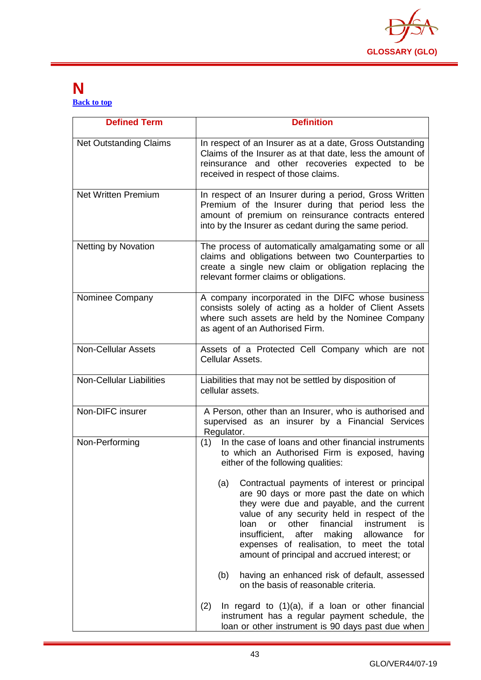

#### <span id="page-43-0"></span>**N [Back to top](#page-1-0)**

| <b>Defined Term</b>             | <b>Definition</b>                                                                                                                                                                                                                                                                                                                                                                                        |  |  |
|---------------------------------|----------------------------------------------------------------------------------------------------------------------------------------------------------------------------------------------------------------------------------------------------------------------------------------------------------------------------------------------------------------------------------------------------------|--|--|
| <b>Net Outstanding Claims</b>   | In respect of an Insurer as at a date, Gross Outstanding<br>Claims of the Insurer as at that date, less the amount of<br>reinsurance and other recoveries expected to be<br>received in respect of those claims.                                                                                                                                                                                         |  |  |
| <b>Net Written Premium</b>      | In respect of an Insurer during a period, Gross Written<br>Premium of the Insurer during that period less the<br>amount of premium on reinsurance contracts entered<br>into by the Insurer as cedant during the same period.                                                                                                                                                                             |  |  |
| <b>Netting by Novation</b>      | The process of automatically amalgamating some or all<br>claims and obligations between two Counterparties to<br>create a single new claim or obligation replacing the<br>relevant former claims or obligations.                                                                                                                                                                                         |  |  |
| Nominee Company                 | A company incorporated in the DIFC whose business<br>consists solely of acting as a holder of Client Assets<br>where such assets are held by the Nominee Company<br>as agent of an Authorised Firm.                                                                                                                                                                                                      |  |  |
| <b>Non-Cellular Assets</b>      | Assets of a Protected Cell Company which are not<br>Cellular Assets.                                                                                                                                                                                                                                                                                                                                     |  |  |
| <b>Non-Cellular Liabilities</b> | Liabilities that may not be settled by disposition of<br>cellular assets.                                                                                                                                                                                                                                                                                                                                |  |  |
| Non-DIFC insurer                | A Person, other than an Insurer, who is authorised and<br>supervised as an insurer by a Financial Services<br>Regulator.                                                                                                                                                                                                                                                                                 |  |  |
| Non-Performing                  | (1) In the case of loans and other financial instruments<br>to which an Authorised Firm is exposed, having<br>either of the following qualities:                                                                                                                                                                                                                                                         |  |  |
|                                 | (a)<br>Contractual payments of interest or principal<br>are 90 days or more past the date on which<br>they were due and payable, and the current<br>value of any security held in respect of the<br>financial<br>loan<br>other<br>instrument<br>or<br>is<br>insufficient,<br>after making allowance<br>for<br>expenses of realisation, to meet the total<br>amount of principal and accrued interest; or |  |  |
|                                 | having an enhanced risk of default, assessed<br>(b)<br>on the basis of reasonable criteria.                                                                                                                                                                                                                                                                                                              |  |  |
|                                 | (2)<br>In regard to $(1)(a)$ , if a loan or other financial<br>instrument has a regular payment schedule, the<br>loan or other instrument is 90 days past due when                                                                                                                                                                                                                                       |  |  |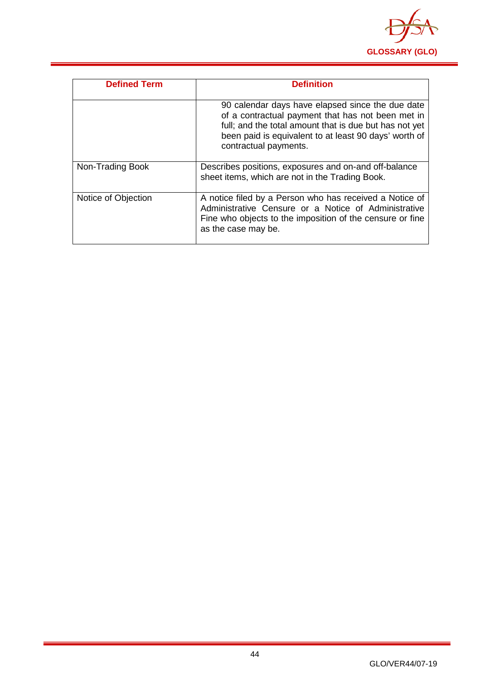

| <b>Defined Term</b> | <b>Definition</b>                                                                                                                                                                                                                                 |
|---------------------|---------------------------------------------------------------------------------------------------------------------------------------------------------------------------------------------------------------------------------------------------|
|                     | 90 calendar days have elapsed since the due date<br>of a contractual payment that has not been met in<br>full; and the total amount that is due but has not yet<br>been paid is equivalent to at least 90 days' worth of<br>contractual payments. |
| Non-Trading Book    | Describes positions, exposures and on-and off-balance<br>sheet items, which are not in the Trading Book.                                                                                                                                          |
| Notice of Objection | A notice filed by a Person who has received a Notice of<br>Administrative Censure or a Notice of Administrative<br>Fine who objects to the imposition of the censure or fine<br>as the case may be.                                               |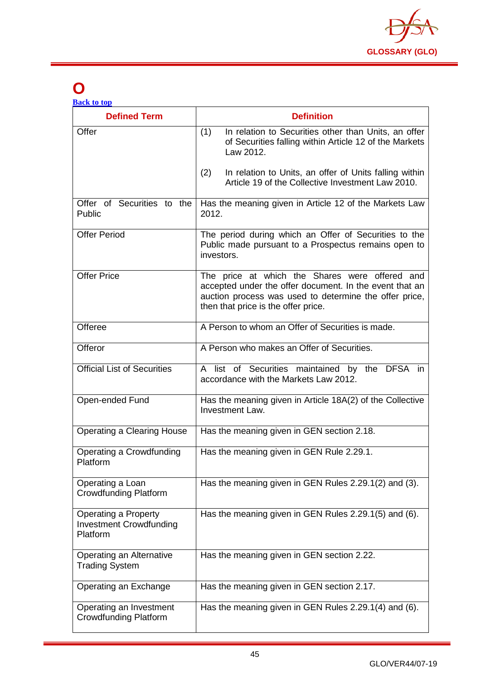

## <span id="page-45-0"></span>**O**

| <b>Back to top</b> |  |  |
|--------------------|--|--|
|                    |  |  |

| <b>Defined Term</b>                                                | <b>Definition</b>                                                                                                                                                                                          |
|--------------------------------------------------------------------|------------------------------------------------------------------------------------------------------------------------------------------------------------------------------------------------------------|
| Offer                                                              | In relation to Securities other than Units, an offer<br>(1)<br>of Securities falling within Article 12 of the Markets<br>Law 2012.                                                                         |
|                                                                    | In relation to Units, an offer of Units falling within<br>(2)<br>Article 19 of the Collective Investment Law 2010.                                                                                         |
| Offer of Securities to the<br>Public                               | Has the meaning given in Article 12 of the Markets Law<br>2012.                                                                                                                                            |
| <b>Offer Period</b>                                                | The period during which an Offer of Securities to the<br>Public made pursuant to a Prospectus remains open to<br>investors.                                                                                |
| <b>Offer Price</b>                                                 | The price at which the Shares were offered and<br>accepted under the offer document. In the event that an<br>auction process was used to determine the offer price,<br>then that price is the offer price. |
| Offeree                                                            | A Person to whom an Offer of Securities is made.                                                                                                                                                           |
| Offeror                                                            | A Person who makes an Offer of Securities.                                                                                                                                                                 |
| <b>Official List of Securities</b>                                 | A list of Securities maintained by the DFSA in<br>accordance with the Markets Law 2012.                                                                                                                    |
| Open-ended Fund                                                    | Has the meaning given in Article 18A(2) of the Collective<br><b>Investment Law.</b>                                                                                                                        |
| <b>Operating a Clearing House</b>                                  | Has the meaning given in GEN section 2.18.                                                                                                                                                                 |
| Operating a Crowdfunding<br>Platform                               | Has the meaning given in GEN Rule 2.29.1.                                                                                                                                                                  |
| Operating a Loan<br><b>Crowdfunding Platform</b>                   | Has the meaning given in GEN Rules 2.29.1(2) and (3).                                                                                                                                                      |
| Operating a Property<br><b>Investment Crowdfunding</b><br>Platform | Has the meaning given in GEN Rules 2.29.1(5) and (6).                                                                                                                                                      |
| Operating an Alternative<br><b>Trading System</b>                  | Has the meaning given in GEN section 2.22.                                                                                                                                                                 |
| Operating an Exchange                                              | Has the meaning given in GEN section 2.17.                                                                                                                                                                 |
| Operating an Investment<br><b>Crowdfunding Platform</b>            | Has the meaning given in GEN Rules 2.29.1(4) and (6).                                                                                                                                                      |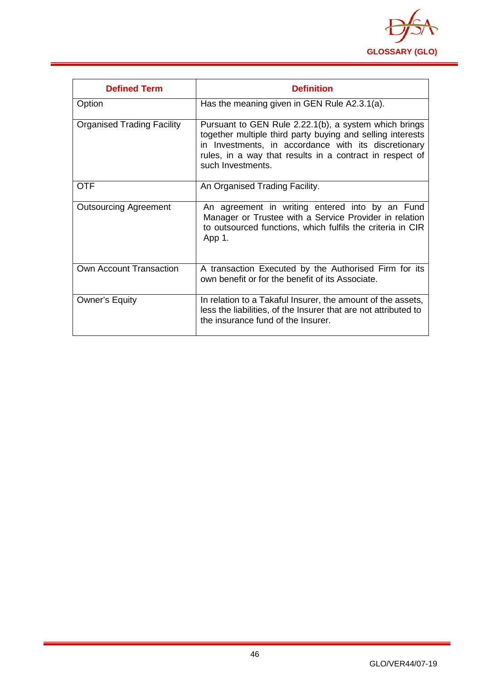

| <b>Defined Term</b>               | <b>Definition</b>                                                                                                                                                                                                                                            |
|-----------------------------------|--------------------------------------------------------------------------------------------------------------------------------------------------------------------------------------------------------------------------------------------------------------|
| Option                            | Has the meaning given in GEN Rule A2.3.1(a).                                                                                                                                                                                                                 |
| <b>Organised Trading Facility</b> | Pursuant to GEN Rule 2.22.1(b), a system which brings<br>together multiple third party buying and selling interests<br>in Investments, in accordance with its discretionary<br>rules, in a way that results in a contract in respect of<br>such Investments. |
| <b>OTF</b>                        | An Organised Trading Facility.                                                                                                                                                                                                                               |
| <b>Outsourcing Agreement</b>      | An agreement in writing entered into by an Fund<br>Manager or Trustee with a Service Provider in relation<br>to outsourced functions, which fulfils the criteria in CIR<br>App 1.                                                                            |
| Own Account Transaction           | A transaction Executed by the Authorised Firm for its<br>own benefit or for the benefit of its Associate.                                                                                                                                                    |
| <b>Owner's Equity</b>             | In relation to a Takaful Insurer, the amount of the assets,<br>less the liabilities, of the Insurer that are not attributed to<br>the insurance fund of the Insurer.                                                                                         |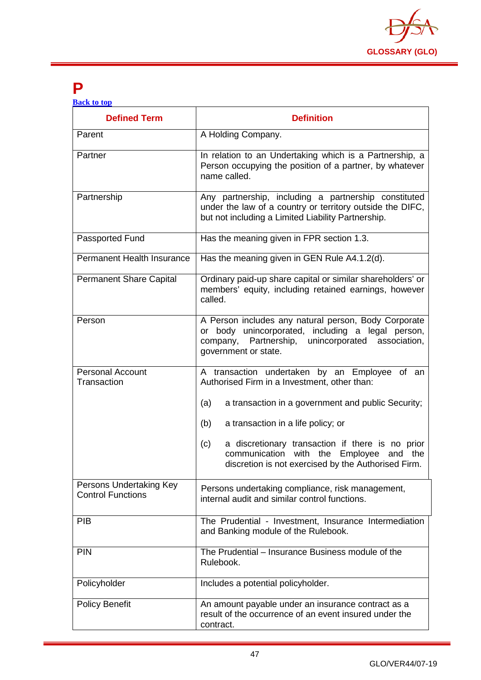

### <span id="page-47-0"></span>**P**

| <b>Back to top</b> |  |  |
|--------------------|--|--|
|                    |  |  |

| <b>Defined Term</b>                                 | <b>Definition</b>                                                                                                                                                                               |
|-----------------------------------------------------|-------------------------------------------------------------------------------------------------------------------------------------------------------------------------------------------------|
| Parent                                              | A Holding Company.                                                                                                                                                                              |
| Partner                                             | In relation to an Undertaking which is a Partnership, a<br>Person occupying the position of a partner, by whatever<br>name called.                                                              |
| Partnership                                         | Any partnership, including a partnership constituted<br>under the law of a country or territory outside the DIFC,<br>but not including a Limited Liability Partnership.                         |
| Passported Fund                                     | Has the meaning given in FPR section 1.3.                                                                                                                                                       |
| <b>Permanent Health Insurance</b>                   | Has the meaning given in GEN Rule A4.1.2(d).                                                                                                                                                    |
| <b>Permanent Share Capital</b>                      | Ordinary paid-up share capital or similar shareholders' or<br>members' equity, including retained earnings, however<br>called.                                                                  |
| Person                                              | A Person includes any natural person, Body Corporate<br>or body unincorporated, including a legal person,<br>Partnership,<br>unincorporated<br>association,<br>company,<br>government or state. |
| <b>Personal Account</b><br>Transaction              | A transaction undertaken by an Employee of an<br>Authorised Firm in a Investment, other than:                                                                                                   |
|                                                     | (a)<br>a transaction in a government and public Security;                                                                                                                                       |
|                                                     | (b)<br>a transaction in a life policy; or                                                                                                                                                       |
|                                                     | a discretionary transaction if there is no prior<br>(c)<br>communication<br>with the Employee and the<br>discretion is not exercised by the Authorised Firm.                                    |
| Persons Undertaking Key<br><b>Control Functions</b> | Persons undertaking compliance, risk management,<br>internal audit and similar control functions.                                                                                               |
| <b>PIB</b>                                          | The Prudential - Investment, Insurance Intermediation<br>and Banking module of the Rulebook.                                                                                                    |
| <b>PIN</b>                                          | The Prudential – Insurance Business module of the<br>Rulebook.                                                                                                                                  |
| Policyholder                                        | Includes a potential policyholder.                                                                                                                                                              |
| <b>Policy Benefit</b>                               | An amount payable under an insurance contract as a<br>result of the occurrence of an event insured under the<br>contract.                                                                       |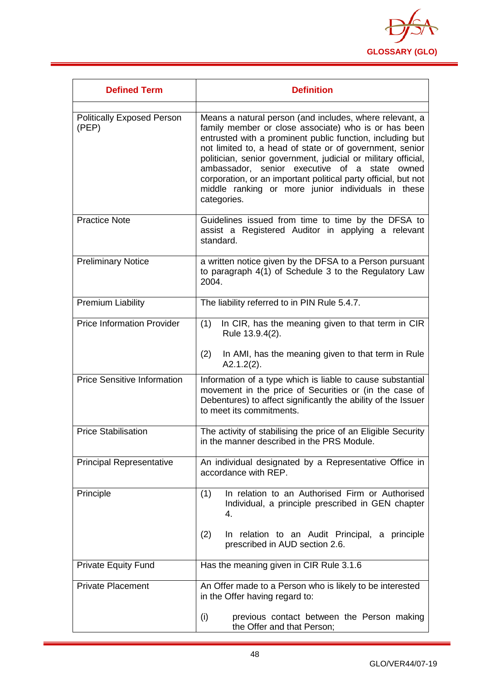

| <b>Defined Term</b>                        | <b>Definition</b>                                                                                                                                                                                                                                                                                                                                                                                                                                                                                 |
|--------------------------------------------|---------------------------------------------------------------------------------------------------------------------------------------------------------------------------------------------------------------------------------------------------------------------------------------------------------------------------------------------------------------------------------------------------------------------------------------------------------------------------------------------------|
| <b>Politically Exposed Person</b><br>(PEP) | Means a natural person (and includes, where relevant, a<br>family member or close associate) who is or has been<br>entrusted with a prominent public function, including but<br>not limited to, a head of state or of government, senior<br>politician, senior government, judicial or military official,<br>ambassador, senior executive of a state owned<br>corporation, or an important political party official, but not<br>middle ranking or more junior individuals in these<br>categories. |
| <b>Practice Note</b>                       | Guidelines issued from time to time by the DFSA to<br>assist a Registered Auditor in applying a relevant<br>standard.                                                                                                                                                                                                                                                                                                                                                                             |
| <b>Preliminary Notice</b>                  | a written notice given by the DFSA to a Person pursuant<br>to paragraph 4(1) of Schedule 3 to the Regulatory Law<br>2004.                                                                                                                                                                                                                                                                                                                                                                         |
| <b>Premium Liability</b>                   | The liability referred to in PIN Rule 5.4.7.                                                                                                                                                                                                                                                                                                                                                                                                                                                      |
| <b>Price Information Provider</b>          | In CIR, has the meaning given to that term in CIR<br>(1)<br>Rule 13.9.4(2).<br>(2)<br>In AMI, has the meaning given to that term in Rule<br>$A2.1.2(2)$ .                                                                                                                                                                                                                                                                                                                                         |
| <b>Price Sensitive Information</b>         | Information of a type which is liable to cause substantial<br>movement in the price of Securities or (in the case of<br>Debentures) to affect significantly the ability of the Issuer<br>to meet its commitments.                                                                                                                                                                                                                                                                                 |
| <b>Price Stabilisation</b>                 | The activity of stabilising the price of an Eligible Security<br>in the manner described in the PRS Module.                                                                                                                                                                                                                                                                                                                                                                                       |
| <b>Principal Representative</b>            | An individual designated by a Representative Office in<br>accordance with REP.                                                                                                                                                                                                                                                                                                                                                                                                                    |
| Principle                                  | In relation to an Authorised Firm or Authorised<br>(1)<br>Individual, a principle prescribed in GEN chapter<br>4.                                                                                                                                                                                                                                                                                                                                                                                 |
|                                            | (2)<br>In relation to an Audit Principal, a principle<br>prescribed in AUD section 2.6.                                                                                                                                                                                                                                                                                                                                                                                                           |
| <b>Private Equity Fund</b>                 | Has the meaning given in CIR Rule 3.1.6                                                                                                                                                                                                                                                                                                                                                                                                                                                           |
| <b>Private Placement</b>                   | An Offer made to a Person who is likely to be interested<br>in the Offer having regard to:                                                                                                                                                                                                                                                                                                                                                                                                        |
|                                            | (i)<br>previous contact between the Person making<br>the Offer and that Person;                                                                                                                                                                                                                                                                                                                                                                                                                   |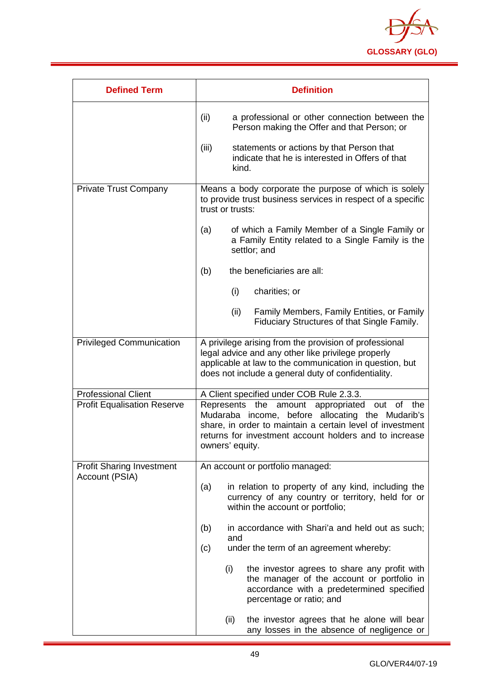

| <b>Defined Term</b>                | <b>Definition</b>                                                                                                                                                                                                                                       |  |
|------------------------------------|---------------------------------------------------------------------------------------------------------------------------------------------------------------------------------------------------------------------------------------------------------|--|
|                                    | (ii)<br>a professional or other connection between the<br>Person making the Offer and that Person; or                                                                                                                                                   |  |
|                                    | (iii)<br>statements or actions by that Person that<br>indicate that he is interested in Offers of that<br>kind.                                                                                                                                         |  |
| <b>Private Trust Company</b>       | Means a body corporate the purpose of which is solely<br>to provide trust business services in respect of a specific<br>trust or trusts:                                                                                                                |  |
|                                    | of which a Family Member of a Single Family or<br>(a)<br>a Family Entity related to a Single Family is the<br>settlor; and                                                                                                                              |  |
|                                    | the beneficiaries are all:<br>(b)                                                                                                                                                                                                                       |  |
|                                    | (i)<br>charities; or                                                                                                                                                                                                                                    |  |
|                                    | (ii)<br>Family Members, Family Entities, or Family<br>Fiduciary Structures of that Single Family.                                                                                                                                                       |  |
| <b>Privileged Communication</b>    | A privilege arising from the provision of professional<br>legal advice and any other like privilege properly<br>applicable at law to the communication in question, but<br>does not include a general duty of confidentiality.                          |  |
| <b>Professional Client</b>         | A Client specified under COB Rule 2.3.3.                                                                                                                                                                                                                |  |
| <b>Profit Equalisation Reserve</b> | amount appropriated<br>out of<br>Represents<br>the<br>the<br>Mudaraba income, before allocating the Mudarib's<br>share, in order to maintain a certain level of investment<br>returns for investment account holders and to increase<br>owners' equity. |  |
| <b>Profit Sharing Investment</b>   | An account or portfolio managed:                                                                                                                                                                                                                        |  |
| Account (PSIA)                     | (a)<br>in relation to property of any kind, including the<br>currency of any country or territory, held for or<br>within the account or portfolio;                                                                                                      |  |
|                                    | in accordance with Shari'a and held out as such;<br>(b)<br>and                                                                                                                                                                                          |  |
|                                    | under the term of an agreement whereby:<br>(c)                                                                                                                                                                                                          |  |
|                                    | (i)<br>the investor agrees to share any profit with<br>the manager of the account or portfolio in<br>accordance with a predetermined specified<br>percentage or ratio; and                                                                              |  |
|                                    | the investor agrees that he alone will bear<br>(ii)<br>any losses in the absence of negligence or                                                                                                                                                       |  |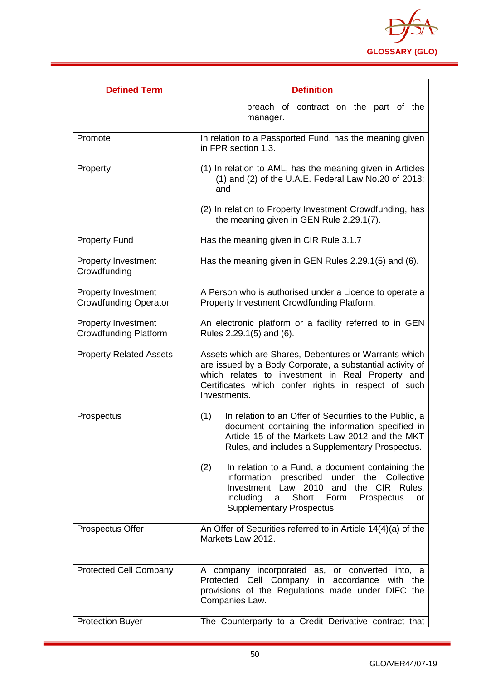

| <b>Defined Term</b>                                        | <b>Definition</b>                                                                                                                                                                                                                              |
|------------------------------------------------------------|------------------------------------------------------------------------------------------------------------------------------------------------------------------------------------------------------------------------------------------------|
|                                                            | breach of contract on the part of the<br>manager.                                                                                                                                                                                              |
| Promote                                                    | In relation to a Passported Fund, has the meaning given<br>in FPR section 1.3.                                                                                                                                                                 |
| Property                                                   | (1) In relation to AML, has the meaning given in Articles<br>$(1)$ and $(2)$ of the U.A.E. Federal Law No.20 of 2018;<br>and                                                                                                                   |
|                                                            | (2) In relation to Property Investment Crowdfunding, has<br>the meaning given in GEN Rule 2.29.1(7).                                                                                                                                           |
| <b>Property Fund</b>                                       | Has the meaning given in CIR Rule 3.1.7                                                                                                                                                                                                        |
| <b>Property Investment</b><br>Crowdfunding                 | Has the meaning given in GEN Rules 2.29.1(5) and (6).                                                                                                                                                                                          |
| <b>Property Investment</b><br><b>Crowdfunding Operator</b> | A Person who is authorised under a Licence to operate a<br>Property Investment Crowdfunding Platform.                                                                                                                                          |
| <b>Property Investment</b><br><b>Crowdfunding Platform</b> | An electronic platform or a facility referred to in GEN<br>Rules 2.29.1(5) and (6).                                                                                                                                                            |
| <b>Property Related Assets</b>                             | Assets which are Shares, Debentures or Warrants which<br>are issued by a Body Corporate, a substantial activity of<br>which relates to investment in Real Property and<br>Certificates which confer rights in respect of such<br>Investments.  |
| Prospectus                                                 | In relation to an Offer of Securities to the Public, a<br>(1)<br>document containing the information specified in<br>Article 15 of the Markets Law 2012 and the MKT<br>Rules, and includes a Supplementary Prospectus.                         |
|                                                            | (2)<br>In relation to a Fund, a document containing the<br>information prescribed under the Collective<br>Investment Law 2010<br>and the CIR Rules,<br>Short<br>Form<br>including<br>Prospectus<br><b>or</b><br>a<br>Supplementary Prospectus. |
| <b>Prospectus Offer</b>                                    | An Offer of Securities referred to in Article 14(4)(a) of the<br>Markets Law 2012.                                                                                                                                                             |
| <b>Protected Cell Company</b>                              | A company incorporated as, or converted into, a<br>Protected Cell Company in accordance<br>with the<br>provisions of the Regulations made under DIFC the<br>Companies Law.                                                                     |
| <b>Protection Buyer</b>                                    | The Counterparty to a Credit Derivative contract that                                                                                                                                                                                          |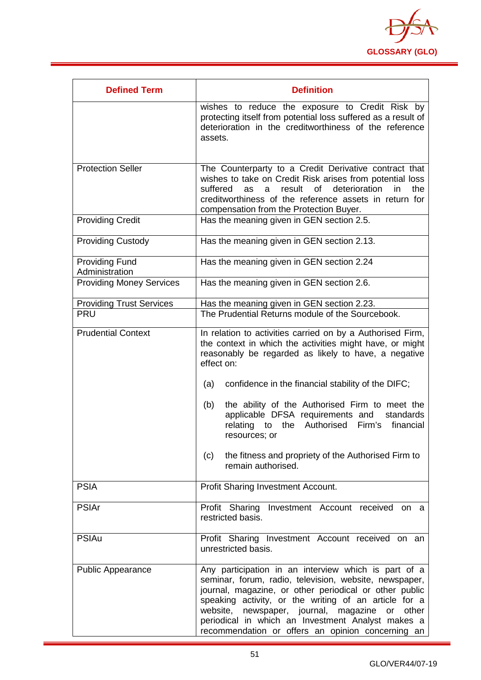

| <b>Defined Term</b>                     | <b>Definition</b>                                                                                                                                                                                                                                                                                                                                                                                                                                                                                             |
|-----------------------------------------|---------------------------------------------------------------------------------------------------------------------------------------------------------------------------------------------------------------------------------------------------------------------------------------------------------------------------------------------------------------------------------------------------------------------------------------------------------------------------------------------------------------|
|                                         | wishes to reduce the exposure to Credit Risk by<br>protecting itself from potential loss suffered as a result of<br>deterioration in the creditworthiness of the reference<br>assets.                                                                                                                                                                                                                                                                                                                         |
| <b>Protection Seller</b>                | The Counterparty to a Credit Derivative contract that                                                                                                                                                                                                                                                                                                                                                                                                                                                         |
|                                         | wishes to take on Credit Risk arises from potential loss<br>result<br>of<br>deterioration<br>suffered<br>in<br>the<br>as<br>a<br>creditworthiness of the reference assets in return for<br>compensation from the Protection Buyer.                                                                                                                                                                                                                                                                            |
| <b>Providing Credit</b>                 | Has the meaning given in GEN section 2.5.                                                                                                                                                                                                                                                                                                                                                                                                                                                                     |
| <b>Providing Custody</b>                | Has the meaning given in GEN section 2.13.                                                                                                                                                                                                                                                                                                                                                                                                                                                                    |
| <b>Providing Fund</b><br>Administration | Has the meaning given in GEN section 2.24                                                                                                                                                                                                                                                                                                                                                                                                                                                                     |
| <b>Providing Money Services</b>         | Has the meaning given in GEN section 2.6.                                                                                                                                                                                                                                                                                                                                                                                                                                                                     |
| <b>Providing Trust Services</b>         | Has the meaning given in GEN section 2.23.                                                                                                                                                                                                                                                                                                                                                                                                                                                                    |
| <b>PRU</b>                              | The Prudential Returns module of the Sourcebook.                                                                                                                                                                                                                                                                                                                                                                                                                                                              |
| <b>Prudential Context</b>               | In relation to activities carried on by a Authorised Firm,<br>the context in which the activities might have, or might<br>reasonably be regarded as likely to have, a negative<br>effect on:<br>confidence in the financial stability of the DIFC;<br>(a)<br>the ability of the Authorised Firm to meet the<br>(b)<br>applicable DFSA requirements and<br>standards<br>the Authorised<br>Firm's<br>relating<br>financial<br>to<br>resources; or<br>the fitness and propriety of the Authorised Firm to<br>(c) |
|                                         | remain authorised.                                                                                                                                                                                                                                                                                                                                                                                                                                                                                            |
| <b>PSIA</b>                             | Profit Sharing Investment Account.                                                                                                                                                                                                                                                                                                                                                                                                                                                                            |
| <b>PSIAr</b>                            | Profit Sharing Investment Account received on a<br>restricted basis.                                                                                                                                                                                                                                                                                                                                                                                                                                          |
| <b>PSIAu</b>                            | Profit Sharing Investment Account received on an<br>unrestricted basis.                                                                                                                                                                                                                                                                                                                                                                                                                                       |
| <b>Public Appearance</b>                | Any participation in an interview which is part of a<br>seminar, forum, radio, television, website, newspaper,<br>journal, magazine, or other periodical or other public<br>speaking activity, or the writing of an article for a<br>website, newspaper, journal, magazine<br>or<br>other<br>periodical in which an Investment Analyst makes a<br>recommendation or offers an opinion concerning an                                                                                                           |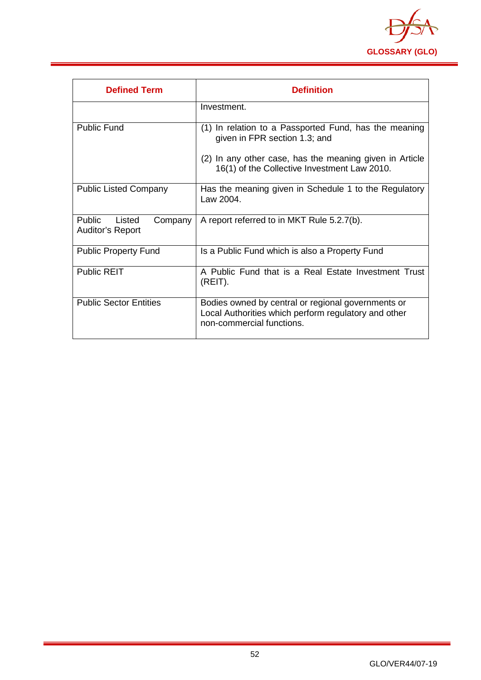

| <b>Defined Term</b>                             | <b>Definition</b>                                                                                                                       |
|-------------------------------------------------|-----------------------------------------------------------------------------------------------------------------------------------------|
|                                                 | Investment.                                                                                                                             |
| Public Fund                                     | (1) In relation to a Passported Fund, has the meaning<br>given in FPR section 1.3; and                                                  |
|                                                 | (2) In any other case, has the meaning given in Article<br>16(1) of the Collective Investment Law 2010.                                 |
| <b>Public Listed Company</b>                    | Has the meaning given in Schedule 1 to the Regulatory<br>Law 2004.                                                                      |
| Public<br>Listed<br>Company<br>Auditor's Report | A report referred to in MKT Rule 5.2.7(b).                                                                                              |
| <b>Public Property Fund</b>                     | Is a Public Fund which is also a Property Fund                                                                                          |
| <b>Public REIT</b>                              | A Public Fund that is a Real Estate Investment Trust<br>(REIT).                                                                         |
| <b>Public Sector Entities</b>                   | Bodies owned by central or regional governments or<br>Local Authorities which perform regulatory and other<br>non-commercial functions. |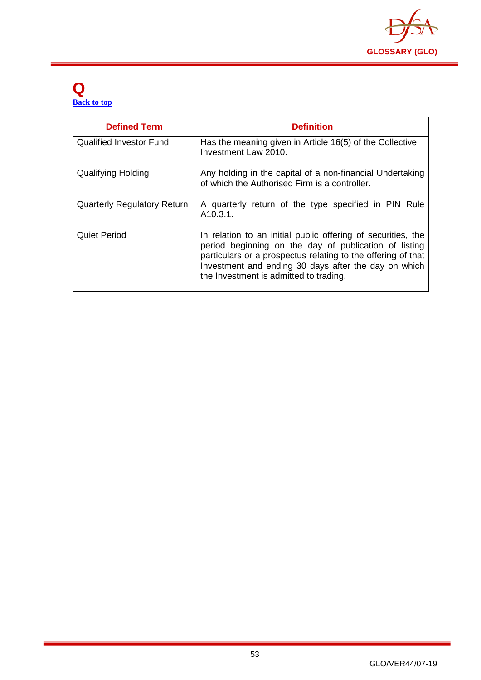

#### <span id="page-53-0"></span>**Q [Back to top](#page-1-0)**

| <b>Defined Term</b>                | <b>Definition</b>                                                                                                                                                                                                                                                                       |
|------------------------------------|-----------------------------------------------------------------------------------------------------------------------------------------------------------------------------------------------------------------------------------------------------------------------------------------|
| <b>Qualified Investor Fund</b>     | Has the meaning given in Article 16(5) of the Collective<br>Investment Law 2010.                                                                                                                                                                                                        |
| Qualifying Holding                 | Any holding in the capital of a non-financial Undertaking<br>of which the Authorised Firm is a controller.                                                                                                                                                                              |
| <b>Quarterly Regulatory Return</b> | A quarterly return of the type specified in PIN Rule<br>A <sub>10.3.1</sub> .                                                                                                                                                                                                           |
| <b>Quiet Period</b>                | In relation to an initial public offering of securities, the<br>period beginning on the day of publication of listing<br>particulars or a prospectus relating to the offering of that<br>Investment and ending 30 days after the day on which<br>the Investment is admitted to trading. |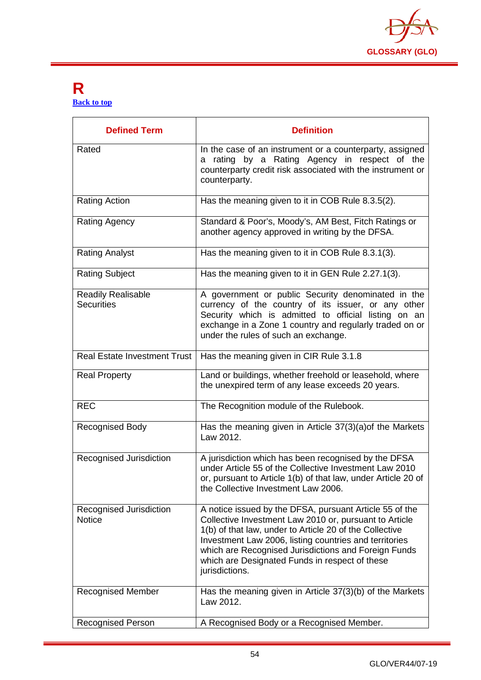

#### <span id="page-54-0"></span>**R [Back to top](#page-1-0)**

| <b>Defined Term</b>                            | <b>Definition</b>                                                                                                                                                                                                                                                                                                                                                  |
|------------------------------------------------|--------------------------------------------------------------------------------------------------------------------------------------------------------------------------------------------------------------------------------------------------------------------------------------------------------------------------------------------------------------------|
| Rated                                          | In the case of an instrument or a counterparty, assigned<br>a rating by a Rating Agency in respect of the<br>counterparty credit risk associated with the instrument or<br>counterparty.                                                                                                                                                                           |
| <b>Rating Action</b>                           | Has the meaning given to it in COB Rule 8.3.5(2).                                                                                                                                                                                                                                                                                                                  |
| <b>Rating Agency</b>                           | Standard & Poor's, Moody's, AM Best, Fitch Ratings or<br>another agency approved in writing by the DFSA.                                                                                                                                                                                                                                                           |
| <b>Rating Analyst</b>                          | Has the meaning given to it in COB Rule 8.3.1(3).                                                                                                                                                                                                                                                                                                                  |
| <b>Rating Subject</b>                          | Has the meaning given to it in GEN Rule 2.27.1(3).                                                                                                                                                                                                                                                                                                                 |
| <b>Readily Realisable</b><br><b>Securities</b> | A government or public Security denominated in the<br>currency of the country of its issuer, or any other<br>Security which is admitted to official listing on an<br>exchange in a Zone 1 country and regularly traded on or<br>under the rules of such an exchange.                                                                                               |
| <b>Real Estate Investment Trust</b>            | Has the meaning given in CIR Rule 3.1.8                                                                                                                                                                                                                                                                                                                            |
| <b>Real Property</b>                           | Land or buildings, whether freehold or leasehold, where<br>the unexpired term of any lease exceeds 20 years.                                                                                                                                                                                                                                                       |
| <b>REC</b>                                     | The Recognition module of the Rulebook.                                                                                                                                                                                                                                                                                                                            |
| <b>Recognised Body</b>                         | Has the meaning given in Article 37(3)(a) of the Markets<br>Law 2012.                                                                                                                                                                                                                                                                                              |
| Recognised Jurisdiction                        | A jurisdiction which has been recognised by the DFSA<br>under Article 55 of the Collective Investment Law 2010<br>or, pursuant to Article 1(b) of that law, under Article 20 of<br>the Collective Investment Law 2006.                                                                                                                                             |
| Recognised Jurisdiction<br><b>Notice</b>       | A notice issued by the DFSA, pursuant Article 55 of the<br>Collective Investment Law 2010 or, pursuant to Article<br>1(b) of that law, under to Article 20 of the Collective<br>Investment Law 2006, listing countries and territories<br>which are Recognised Jurisdictions and Foreign Funds<br>which are Designated Funds in respect of these<br>jurisdictions. |
| <b>Recognised Member</b>                       | Has the meaning given in Article 37(3)(b) of the Markets<br>Law 2012.                                                                                                                                                                                                                                                                                              |
| <b>Recognised Person</b>                       | A Recognised Body or a Recognised Member.                                                                                                                                                                                                                                                                                                                          |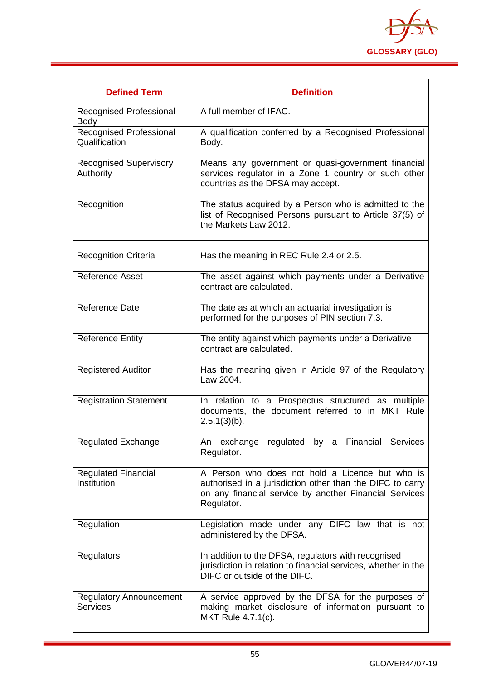

| <b>Defined Term</b>                               | <b>Definition</b>                                                                                                                                                                    |
|---------------------------------------------------|--------------------------------------------------------------------------------------------------------------------------------------------------------------------------------------|
| Recognised Professional<br><b>Body</b>            | A full member of IFAC.                                                                                                                                                               |
| Recognised Professional<br>Qualification          | A qualification conferred by a Recognised Professional<br>Body.                                                                                                                      |
| <b>Recognised Supervisory</b><br>Authority        | Means any government or quasi-government financial<br>services regulator in a Zone 1 country or such other<br>countries as the DFSA may accept.                                      |
| Recognition                                       | The status acquired by a Person who is admitted to the<br>list of Recognised Persons pursuant to Article 37(5) of<br>the Markets Law 2012.                                           |
| <b>Recognition Criteria</b>                       | Has the meaning in REC Rule 2.4 or 2.5.                                                                                                                                              |
| <b>Reference Asset</b>                            | The asset against which payments under a Derivative<br>contract are calculated.                                                                                                      |
| <b>Reference Date</b>                             | The date as at which an actuarial investigation is<br>performed for the purposes of PIN section 7.3.                                                                                 |
| <b>Reference Entity</b>                           | The entity against which payments under a Derivative<br>contract are calculated.                                                                                                     |
| <b>Registered Auditor</b>                         | Has the meaning given in Article 97 of the Regulatory<br>Law 2004.                                                                                                                   |
| <b>Registration Statement</b>                     | In relation to a Prospectus structured as multiple<br>documents, the document referred to in MKT Rule<br>$2.5.1(3)(b)$ .                                                             |
| <b>Regulated Exchange</b>                         | An exchange regulated by a Financial Services<br>Regulator.                                                                                                                          |
| <b>Regulated Financial</b><br>Institution         | A Person who does not hold a Licence but who is<br>authorised in a jurisdiction other than the DIFC to carry<br>on any financial service by another Financial Services<br>Regulator. |
| Regulation                                        | Legislation made under any DIFC law that is not<br>administered by the DFSA.                                                                                                         |
| <b>Regulators</b>                                 | In addition to the DFSA, regulators with recognised<br>jurisdiction in relation to financial services, whether in the<br>DIFC or outside of the DIFC.                                |
| <b>Regulatory Announcement</b><br><b>Services</b> | A service approved by the DFSA for the purposes of<br>making market disclosure of information pursuant to<br>MKT Rule 4.7.1(c).                                                      |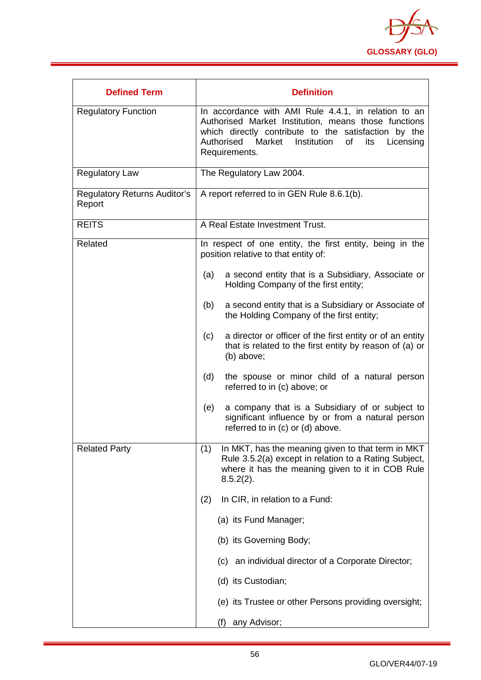

| <b>Defined Term</b>                           | <b>Definition</b>                                                                                                                                                                                                                                   |
|-----------------------------------------------|-----------------------------------------------------------------------------------------------------------------------------------------------------------------------------------------------------------------------------------------------------|
| <b>Regulatory Function</b>                    | In accordance with AMI Rule 4.4.1, in relation to an<br>Authorised Market Institution, means those functions<br>which directly contribute to the satisfaction by the<br>Authorised Market<br>Institution<br>of<br>its<br>Licensing<br>Requirements. |
| <b>Regulatory Law</b>                         | The Regulatory Law 2004.                                                                                                                                                                                                                            |
| <b>Regulatory Returns Auditor's</b><br>Report | A report referred to in GEN Rule 8.6.1(b).                                                                                                                                                                                                          |
| <b>REITS</b>                                  | A Real Estate Investment Trust.                                                                                                                                                                                                                     |
| Related                                       | In respect of one entity, the first entity, being in the<br>position relative to that entity of:                                                                                                                                                    |
|                                               | a second entity that is a Subsidiary, Associate or<br>(a)<br>Holding Company of the first entity;                                                                                                                                                   |
|                                               | a second entity that is a Subsidiary or Associate of<br>(b)<br>the Holding Company of the first entity;                                                                                                                                             |
|                                               | a director or officer of the first entity or of an entity<br>(c)<br>that is related to the first entity by reason of (a) or<br>(b) above;                                                                                                           |
|                                               | (d)<br>the spouse or minor child of a natural person<br>referred to in (c) above; or                                                                                                                                                                |
|                                               | a company that is a Subsidiary of or subject to<br>(e)<br>significant influence by or from a natural person<br>referred to in (c) or (d) above.                                                                                                     |
| <b>Related Party</b>                          | (1)<br>In MKT, has the meaning given to that term in MKT<br>Rule 3.5.2(a) except in relation to a Rating Subject,<br>where it has the meaning given to it in COB Rule<br>$8.5.2(2)$ .                                                               |
|                                               | In CIR, in relation to a Fund:<br>(2)                                                                                                                                                                                                               |
|                                               | (a) its Fund Manager;                                                                                                                                                                                                                               |
|                                               | (b) its Governing Body;                                                                                                                                                                                                                             |
|                                               | (c) an individual director of a Corporate Director;                                                                                                                                                                                                 |
|                                               | (d) its Custodian;                                                                                                                                                                                                                                  |
|                                               | (e) its Trustee or other Persons providing oversight;                                                                                                                                                                                               |
|                                               | any Advisor;<br>(f)                                                                                                                                                                                                                                 |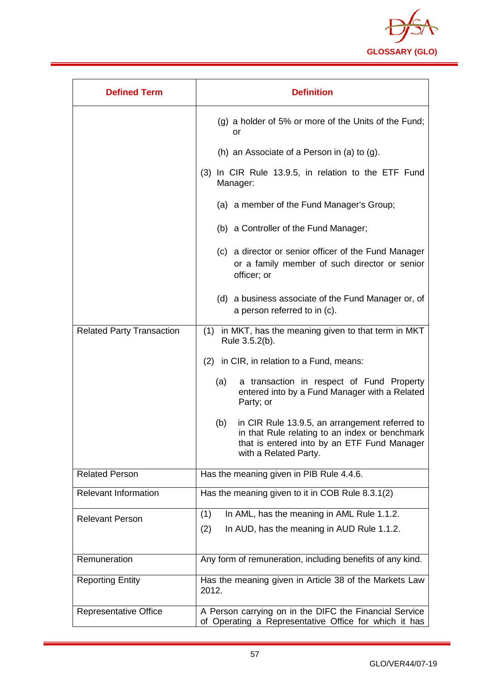

| <b>Defined Term</b>              | <b>Definition</b>                                                                                                                                                               |
|----------------------------------|---------------------------------------------------------------------------------------------------------------------------------------------------------------------------------|
|                                  | (g) a holder of 5% or more of the Units of the Fund;<br>or                                                                                                                      |
|                                  | (h) an Associate of a Person in (a) to (g).                                                                                                                                     |
|                                  | In CIR Rule 13.9.5, in relation to the ETF Fund<br>(3)<br>Manager:                                                                                                              |
|                                  | (a) a member of the Fund Manager's Group;                                                                                                                                       |
|                                  | (b) a Controller of the Fund Manager;                                                                                                                                           |
|                                  | (c) a director or senior officer of the Fund Manager<br>or a family member of such director or senior<br>officer; or                                                            |
|                                  | (d) a business associate of the Fund Manager or, of<br>a person referred to in (c).                                                                                             |
| <b>Related Party Transaction</b> | (1) in MKT, has the meaning given to that term in MKT<br>Rule 3.5.2(b).                                                                                                         |
|                                  | (2) in CIR, in relation to a Fund, means:                                                                                                                                       |
|                                  | (a)<br>a transaction in respect of Fund Property<br>entered into by a Fund Manager with a Related<br>Party; or                                                                  |
|                                  | in CIR Rule 13.9.5, an arrangement referred to<br>(b)<br>in that Rule relating to an index or benchmark<br>that is entered into by an ETF Fund Manager<br>with a Related Party. |
| <b>Related Person</b>            | Has the meaning given in PIB Rule 4.4.6.                                                                                                                                        |
| <b>Relevant Information</b>      | Has the meaning given to it in COB Rule 8.3.1(2)                                                                                                                                |
| <b>Relevant Person</b>           | In AML, has the meaning in AML Rule 1.1.2.<br>(1)                                                                                                                               |
|                                  | (2)<br>In AUD, has the meaning in AUD Rule 1.1.2.                                                                                                                               |
| Remuneration                     | Any form of remuneration, including benefits of any kind.                                                                                                                       |
| <b>Reporting Entity</b>          | Has the meaning given in Article 38 of the Markets Law<br>2012.                                                                                                                 |
| <b>Representative Office</b>     | A Person carrying on in the DIFC the Financial Service<br>of Operating a Representative Office for which it has                                                                 |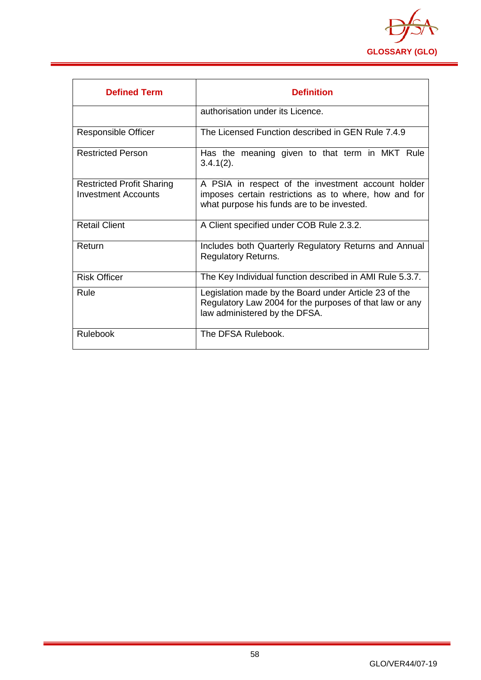

| <b>Defined Term</b>                                     | <b>Definition</b>                                                                                                                                         |
|---------------------------------------------------------|-----------------------------------------------------------------------------------------------------------------------------------------------------------|
|                                                         | authorisation under its Licence.                                                                                                                          |
| Responsible Officer                                     | The Licensed Function described in GEN Rule 7.4.9                                                                                                         |
| <b>Restricted Person</b>                                | Has the meaning given to that term in MKT Rule<br>$3.4.1(2)$ .                                                                                            |
| <b>Restricted Profit Sharing</b><br>Investment Accounts | A PSIA in respect of the investment account holder<br>imposes certain restrictions as to where, how and for<br>what purpose his funds are to be invested. |
| <b>Retail Client</b>                                    | A Client specified under COB Rule 2.3.2.                                                                                                                  |
| Return                                                  | Includes both Quarterly Regulatory Returns and Annual<br><b>Regulatory Returns.</b>                                                                       |
| <b>Risk Officer</b>                                     | The Key Individual function described in AMI Rule 5.3.7.                                                                                                  |
| Rule                                                    | Legislation made by the Board under Article 23 of the<br>Regulatory Law 2004 for the purposes of that law or any<br>law administered by the DFSA.         |
| <b>Rulebook</b>                                         | The DFSA Rulebook.                                                                                                                                        |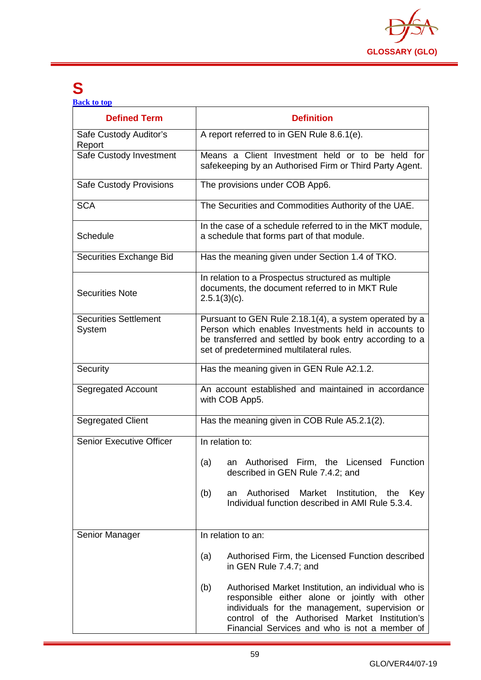

## <span id="page-59-0"></span>**S**

**[Back to top](#page-1-0)**

| <b>Defined Term</b>                    | <b>Definition</b>                                                                                                                                                                                                                                                 |
|----------------------------------------|-------------------------------------------------------------------------------------------------------------------------------------------------------------------------------------------------------------------------------------------------------------------|
| Safe Custody Auditor's<br>Report       | A report referred to in GEN Rule 8.6.1(e).                                                                                                                                                                                                                        |
| Safe Custody Investment                | Means a Client Investment held or to be held for<br>safekeeping by an Authorised Firm or Third Party Agent.                                                                                                                                                       |
| <b>Safe Custody Provisions</b>         | The provisions under COB App6.                                                                                                                                                                                                                                    |
| <b>SCA</b>                             | The Securities and Commodities Authority of the UAE.                                                                                                                                                                                                              |
| Schedule                               | In the case of a schedule referred to in the MKT module,<br>a schedule that forms part of that module.                                                                                                                                                            |
| Securities Exchange Bid                | Has the meaning given under Section 1.4 of TKO.                                                                                                                                                                                                                   |
| <b>Securities Note</b>                 | In relation to a Prospectus structured as multiple<br>documents, the document referred to in MKT Rule<br>$2.5.1(3)(c)$ .                                                                                                                                          |
| <b>Securities Settlement</b><br>System | Pursuant to GEN Rule 2.18.1(4), a system operated by a<br>Person which enables Investments held in accounts to<br>be transferred and settled by book entry according to a<br>set of predetermined multilateral rules.                                             |
| Security                               | Has the meaning given in GEN Rule A2.1.2.                                                                                                                                                                                                                         |
| <b>Segregated Account</b>              | An account established and maintained in accordance<br>with COB App5.                                                                                                                                                                                             |
| Segregated Client                      | Has the meaning given in COB Rule A5.2.1(2).                                                                                                                                                                                                                      |
| <b>Senior Executive Officer</b>        | In relation to:                                                                                                                                                                                                                                                   |
|                                        | an Authorised Firm, the Licensed Function<br>(a)<br>described in GEN Rule 7.4.2; and                                                                                                                                                                              |
|                                        | Authorised<br>Market<br>Institution,<br>(b)<br>an<br>the<br>Key<br>Individual function described in AMI Rule 5.3.4.                                                                                                                                               |
| Senior Manager                         | In relation to an:                                                                                                                                                                                                                                                |
|                                        | (a)<br>Authorised Firm, the Licensed Function described<br>in GEN Rule 7.4.7; and                                                                                                                                                                                 |
|                                        | (b)<br>Authorised Market Institution, an individual who is<br>responsible either alone or jointly with other<br>individuals for the management, supervision or<br>control of the Authorised Market Institution's<br>Financial Services and who is not a member of |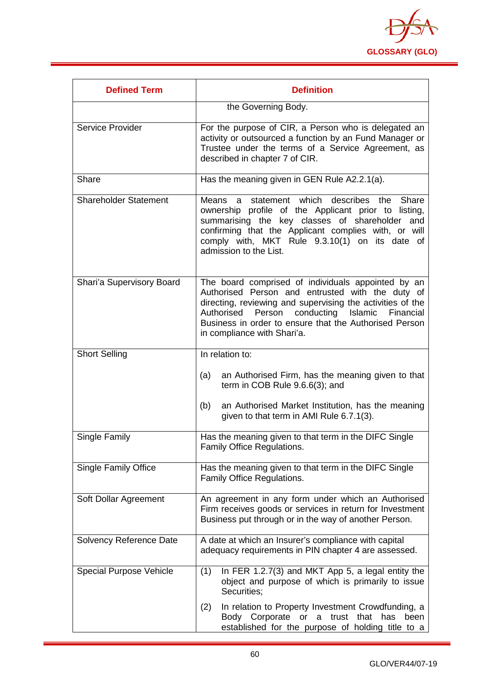

| <b>Defined Term</b>            | <b>Definition</b>                                                                                                                                                                                                                                                                                                           |
|--------------------------------|-----------------------------------------------------------------------------------------------------------------------------------------------------------------------------------------------------------------------------------------------------------------------------------------------------------------------------|
|                                | the Governing Body.                                                                                                                                                                                                                                                                                                         |
| Service Provider               | For the purpose of CIR, a Person who is delegated an<br>activity or outsourced a function by an Fund Manager or<br>Trustee under the terms of a Service Agreement, as<br>described in chapter 7 of CIR.                                                                                                                     |
| Share                          | Has the meaning given in GEN Rule A2.2.1(a).                                                                                                                                                                                                                                                                                |
| <b>Shareholder Statement</b>   | statement which describes<br>Means<br>Share<br>the<br>a<br>ownership profile of the Applicant prior to listing,<br>summarising the key classes of shareholder and<br>confirming that the Applicant complies with, or will<br>comply with, MKT Rule 9.3.10(1) on its date of<br>admission to the List.                       |
| Shari'a Supervisory Board      | The board comprised of individuals appointed by an<br>Authorised Person and entrusted with the duty of<br>directing, reviewing and supervising the activities of the<br>Authorised<br>Person<br>conducting<br>Islamic<br>Financial<br>Business in order to ensure that the Authorised Person<br>in compliance with Shari'a. |
| <b>Short Selling</b>           | In relation to:                                                                                                                                                                                                                                                                                                             |
|                                | an Authorised Firm, has the meaning given to that<br>(a)<br>term in COB Rule 9.6.6(3); and                                                                                                                                                                                                                                  |
|                                | (b)<br>an Authorised Market Institution, has the meaning<br>given to that term in AMI Rule 6.7.1(3).                                                                                                                                                                                                                        |
| Single Family                  | Has the meaning given to that term in the DIFC Single<br>Family Office Regulations.                                                                                                                                                                                                                                         |
| <b>Single Family Office</b>    | Has the meaning given to that term in the DIFC Single<br>Family Office Regulations.                                                                                                                                                                                                                                         |
| Soft Dollar Agreement          | An agreement in any form under which an Authorised<br>Firm receives goods or services in return for Investment<br>Business put through or in the way of another Person.                                                                                                                                                     |
| <b>Solvency Reference Date</b> | A date at which an Insurer's compliance with capital<br>adequacy requirements in PIN chapter 4 are assessed.                                                                                                                                                                                                                |
| <b>Special Purpose Vehicle</b> | In FER 1.2.7(3) and MKT App 5, a legal entity the<br>(1)<br>object and purpose of which is primarily to issue<br>Securities;                                                                                                                                                                                                |
|                                | In relation to Property Investment Crowdfunding, a<br>(2)<br>Body Corporate<br>that<br>or<br>a<br>trust<br>has<br>been<br>established for the purpose of holding title to a                                                                                                                                                 |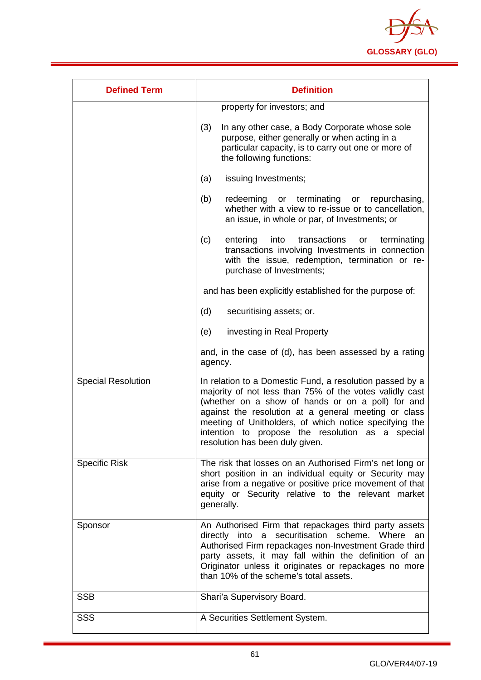

| <b>Defined Term</b>       | <b>Definition</b>                                                                                                                                                                                                                                                                                                                                                                 |
|---------------------------|-----------------------------------------------------------------------------------------------------------------------------------------------------------------------------------------------------------------------------------------------------------------------------------------------------------------------------------------------------------------------------------|
|                           | property for investors; and                                                                                                                                                                                                                                                                                                                                                       |
|                           | (3)<br>In any other case, a Body Corporate whose sole<br>purpose, either generally or when acting in a<br>particular capacity, is to carry out one or more of<br>the following functions:                                                                                                                                                                                         |
|                           | issuing Investments;<br>(a)                                                                                                                                                                                                                                                                                                                                                       |
|                           | (b)<br>redeeming<br>or terminating or repurchasing,<br>whether with a view to re-issue or to cancellation,<br>an issue, in whole or par, of Investments; or                                                                                                                                                                                                                       |
|                           | transactions<br>(c)<br>into<br>terminating<br>entering<br>or<br>transactions involving Investments in connection<br>with the issue, redemption, termination or re-<br>purchase of Investments;                                                                                                                                                                                    |
|                           | and has been explicitly established for the purpose of:                                                                                                                                                                                                                                                                                                                           |
|                           | (d)<br>securitising assets; or.                                                                                                                                                                                                                                                                                                                                                   |
|                           | investing in Real Property<br>(e)                                                                                                                                                                                                                                                                                                                                                 |
|                           | and, in the case of (d), has been assessed by a rating<br>agency.                                                                                                                                                                                                                                                                                                                 |
| <b>Special Resolution</b> | In relation to a Domestic Fund, a resolution passed by a<br>majority of not less than 75% of the votes validly cast<br>(whether on a show of hands or on a poll) for and<br>against the resolution at a general meeting or class<br>meeting of Unitholders, of which notice specifying the<br>intention to propose the resolution as a special<br>resolution has been duly given. |
| <b>Specific Risk</b>      | The risk that losses on an Authorised Firm's net long or<br>short position in an individual equity or Security may<br>arise from a negative or positive price movement of that<br>equity or Security relative to the relevant market<br>generally.                                                                                                                                |
| Sponsor                   | An Authorised Firm that repackages third party assets<br>directly into a securitisation scheme. Where an<br>Authorised Firm repackages non-Investment Grade third<br>party assets, it may fall within the definition of an<br>Originator unless it originates or repackages no more<br>than 10% of the scheme's total assets.                                                     |
| <b>SSB</b>                | Shari'a Supervisory Board.                                                                                                                                                                                                                                                                                                                                                        |
| <b>SSS</b>                | A Securities Settlement System.                                                                                                                                                                                                                                                                                                                                                   |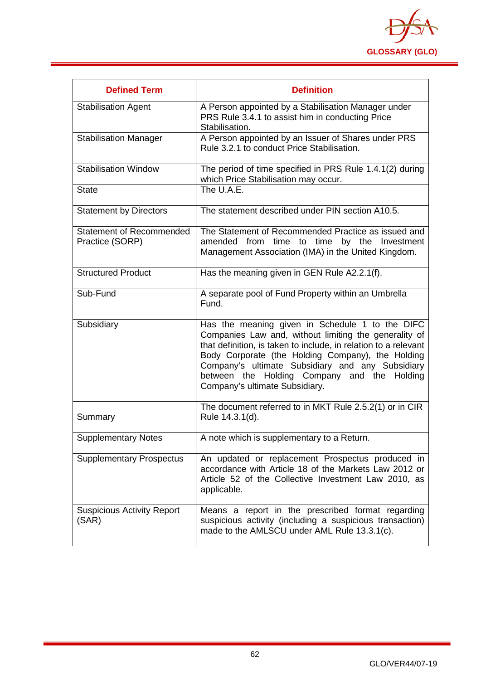

| <b>Defined Term</b>                                | <b>Definition</b>                                                                                                                                                                                                                                                                                                                                                     |
|----------------------------------------------------|-----------------------------------------------------------------------------------------------------------------------------------------------------------------------------------------------------------------------------------------------------------------------------------------------------------------------------------------------------------------------|
| <b>Stabilisation Agent</b>                         | A Person appointed by a Stabilisation Manager under<br>PRS Rule 3.4.1 to assist him in conducting Price<br>Stabilisation.                                                                                                                                                                                                                                             |
| <b>Stabilisation Manager</b>                       | A Person appointed by an Issuer of Shares under PRS<br>Rule 3.2.1 to conduct Price Stabilisation.                                                                                                                                                                                                                                                                     |
| <b>Stabilisation Window</b>                        | The period of time specified in PRS Rule 1.4.1(2) during<br>which Price Stabilisation may occur.                                                                                                                                                                                                                                                                      |
| <b>State</b>                                       | The U.A.E.                                                                                                                                                                                                                                                                                                                                                            |
| <b>Statement by Directors</b>                      | The statement described under PIN section A10.5.                                                                                                                                                                                                                                                                                                                      |
| <b>Statement of Recommended</b><br>Practice (SORP) | The Statement of Recommended Practice as issued and<br>amended<br>from time to time by the Investment<br>Management Association (IMA) in the United Kingdom.                                                                                                                                                                                                          |
| <b>Structured Product</b>                          | Has the meaning given in GEN Rule A2.2.1(f).                                                                                                                                                                                                                                                                                                                          |
| Sub-Fund                                           | A separate pool of Fund Property within an Umbrella<br>Fund.                                                                                                                                                                                                                                                                                                          |
| Subsidiary                                         | Has the meaning given in Schedule 1 to the DIFC<br>Companies Law and, without limiting the generality of<br>that definition, is taken to include, in relation to a relevant<br>Body Corporate (the Holding Company), the Holding<br>Company's ultimate Subsidiary and any Subsidiary<br>between the Holding Company and the Holding<br>Company's ultimate Subsidiary. |
| Summary                                            | The document referred to in MKT Rule 2.5.2(1) or in CIR<br>Rule 14.3.1(d).                                                                                                                                                                                                                                                                                            |
| <b>Supplementary Notes</b>                         | A note which is supplementary to a Return.                                                                                                                                                                                                                                                                                                                            |
| <b>Supplementary Prospectus</b>                    | An updated or replacement Prospectus produced in<br>accordance with Article 18 of the Markets Law 2012 or<br>Article 52 of the Collective Investment Law 2010, as<br>applicable.                                                                                                                                                                                      |
| <b>Suspicious Activity Report</b><br>(SAR)         | Means a report in the prescribed format regarding<br>suspicious activity (including a suspicious transaction)<br>made to the AMLSCU under AML Rule 13.3.1(c).                                                                                                                                                                                                         |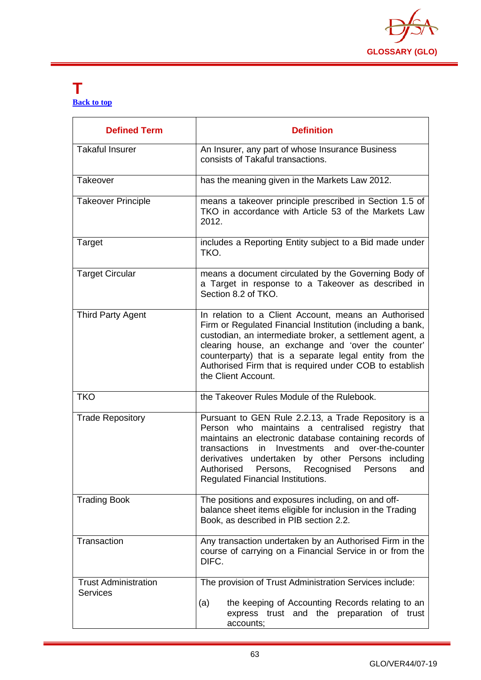

#### <span id="page-63-0"></span>**T [Back to top](#page-1-0)**

| <b>Defined Term</b>                            | <b>Definition</b>                                                                                                                                                                                                                                                                                                                                                                             |
|------------------------------------------------|-----------------------------------------------------------------------------------------------------------------------------------------------------------------------------------------------------------------------------------------------------------------------------------------------------------------------------------------------------------------------------------------------|
| <b>Takaful Insurer</b>                         | An Insurer, any part of whose Insurance Business<br>consists of Takaful transactions.                                                                                                                                                                                                                                                                                                         |
| Takeover                                       | has the meaning given in the Markets Law 2012.                                                                                                                                                                                                                                                                                                                                                |
| <b>Takeover Principle</b>                      | means a takeover principle prescribed in Section 1.5 of<br>TKO in accordance with Article 53 of the Markets Law<br>2012.                                                                                                                                                                                                                                                                      |
| Target                                         | includes a Reporting Entity subject to a Bid made under<br>TKO.                                                                                                                                                                                                                                                                                                                               |
| <b>Target Circular</b>                         | means a document circulated by the Governing Body of<br>a Target in response to a Takeover as described in<br>Section 8.2 of TKO.                                                                                                                                                                                                                                                             |
| <b>Third Party Agent</b>                       | In relation to a Client Account, means an Authorised<br>Firm or Regulated Financial Institution (including a bank,<br>custodian, an intermediate broker, a settlement agent, a<br>clearing house, an exchange and 'over the counter'<br>counterparty) that is a separate legal entity from the<br>Authorised Firm that is required under COB to establish<br>the Client Account.              |
| <b>TKO</b>                                     | the Takeover Rules Module of the Rulebook.                                                                                                                                                                                                                                                                                                                                                    |
| <b>Trade Repository</b>                        | Pursuant to GEN Rule 2.2.13, a Trade Repository is a<br>Person who maintains a centralised registry that<br>maintains an electronic database containing records of<br>and<br>over-the-counter<br>transactions<br>in<br>Investments<br>derivatives undertaken by other Persons including<br>Authorised<br>Recognised<br>Persons,<br>Persons<br>and<br><b>Regulated Financial Institutions.</b> |
| <b>Trading Book</b>                            | The positions and exposures including, on and off-<br>balance sheet items eligible for inclusion in the Trading<br>Book, as described in PIB section 2.2.                                                                                                                                                                                                                                     |
| Transaction                                    | Any transaction undertaken by an Authorised Firm in the<br>course of carrying on a Financial Service in or from the<br>DIFC.                                                                                                                                                                                                                                                                  |
| <b>Trust Administration</b><br><b>Services</b> | The provision of Trust Administration Services include:<br>the keeping of Accounting Records relating to an<br>(a)<br>express trust and the preparation of trust<br>accounts;                                                                                                                                                                                                                 |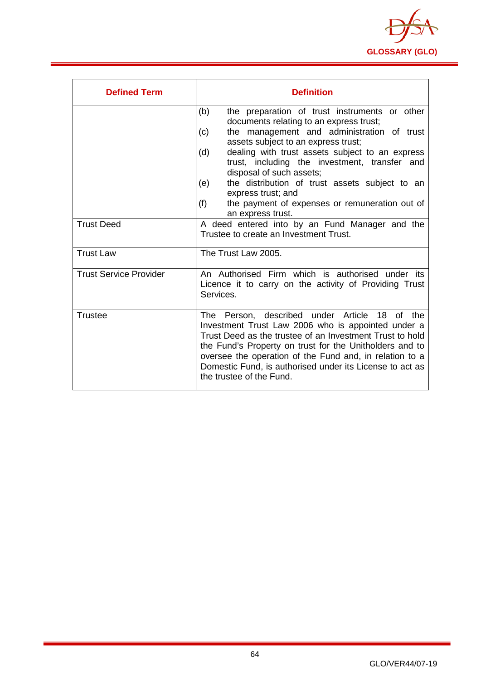

| <b>Defined Term</b>           | <b>Definition</b>                                                                                                                                                                                                                                                                                                                                                                |
|-------------------------------|----------------------------------------------------------------------------------------------------------------------------------------------------------------------------------------------------------------------------------------------------------------------------------------------------------------------------------------------------------------------------------|
|                               | the preparation of trust instruments or other<br>(b)<br>documents relating to an express trust;                                                                                                                                                                                                                                                                                  |
|                               | the management and administration of trust<br>(c)<br>assets subject to an express trust;                                                                                                                                                                                                                                                                                         |
|                               | dealing with trust assets subject to an express<br>(d)<br>trust, including the investment, transfer and<br>disposal of such assets;                                                                                                                                                                                                                                              |
|                               | the distribution of trust assets subject to an<br>(e)<br>express trust; and                                                                                                                                                                                                                                                                                                      |
|                               | (f)<br>the payment of expenses or remuneration out of<br>an express trust.                                                                                                                                                                                                                                                                                                       |
| <b>Trust Deed</b>             | A deed entered into by an Fund Manager and the<br>Trustee to create an Investment Trust.                                                                                                                                                                                                                                                                                         |
| <b>Trust Law</b>              | The Trust Law 2005.                                                                                                                                                                                                                                                                                                                                                              |
| <b>Trust Service Provider</b> | An Authorised Firm which is authorised under its<br>Licence it to carry on the activity of Providing Trust<br>Services.                                                                                                                                                                                                                                                          |
| <b>Trustee</b>                | The Person, described under Article 18<br>of the<br>Investment Trust Law 2006 who is appointed under a<br>Trust Deed as the trustee of an Investment Trust to hold<br>the Fund's Property on trust for the Unitholders and to<br>oversee the operation of the Fund and, in relation to a<br>Domestic Fund, is authorised under its License to act as<br>the trustee of the Fund. |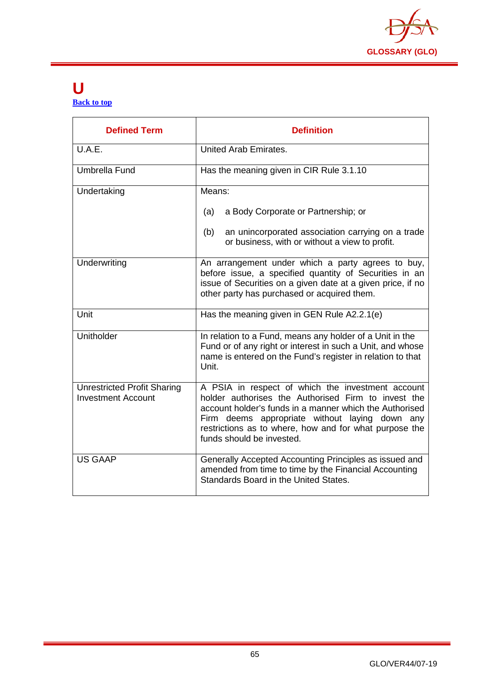

#### <span id="page-65-0"></span>**U [Back to top](#page-1-0)**

| <b>Defined Term</b>                                             | <b>Definition</b>                                                                                                                                                                                                                                                                                            |
|-----------------------------------------------------------------|--------------------------------------------------------------------------------------------------------------------------------------------------------------------------------------------------------------------------------------------------------------------------------------------------------------|
| U.A.E.                                                          | United Arab Emirates.                                                                                                                                                                                                                                                                                        |
| Umbrella Fund                                                   | Has the meaning given in CIR Rule 3.1.10                                                                                                                                                                                                                                                                     |
| Undertaking                                                     | Means:                                                                                                                                                                                                                                                                                                       |
|                                                                 | (a)<br>a Body Corporate or Partnership; or                                                                                                                                                                                                                                                                   |
|                                                                 | an unincorporated association carrying on a trade<br>(b)<br>or business, with or without a view to profit.                                                                                                                                                                                                   |
| Underwriting                                                    | An arrangement under which a party agrees to buy,<br>before issue, a specified quantity of Securities in an<br>issue of Securities on a given date at a given price, if no<br>other party has purchased or acquired them.                                                                                    |
| Unit                                                            | Has the meaning given in GEN Rule A2.2.1(e)                                                                                                                                                                                                                                                                  |
| Unitholder                                                      | In relation to a Fund, means any holder of a Unit in the<br>Fund or of any right or interest in such a Unit, and whose<br>name is entered on the Fund's register in relation to that<br>Unit.                                                                                                                |
| <b>Unrestricted Profit Sharing</b><br><b>Investment Account</b> | A PSIA in respect of which the investment account<br>holder authorises the Authorised Firm to invest the<br>account holder's funds in a manner which the Authorised<br>Firm deems appropriate without laying down any<br>restrictions as to where, how and for what purpose the<br>funds should be invested. |
| <b>US GAAP</b>                                                  | Generally Accepted Accounting Principles as issued and<br>amended from time to time by the Financial Accounting<br>Standards Board in the United States.                                                                                                                                                     |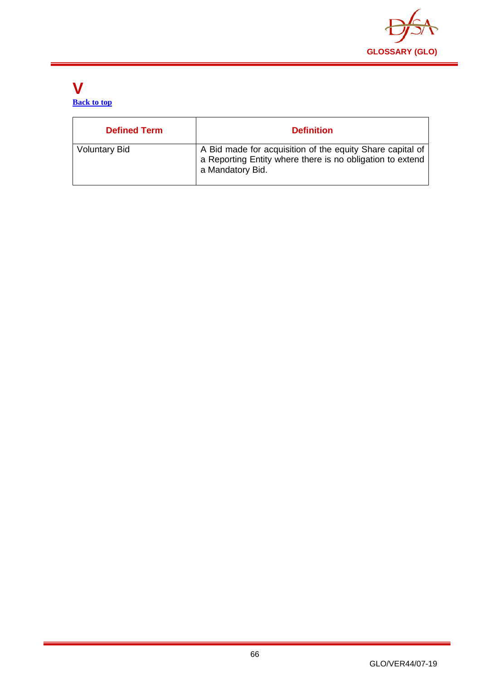

#### <span id="page-66-0"></span>**V [Back to top](#page-1-0)**

| <b>Defined Term</b>  | <b>Definition</b>                                                                                                                          |
|----------------------|--------------------------------------------------------------------------------------------------------------------------------------------|
| <b>Voluntary Bid</b> | A Bid made for acquisition of the equity Share capital of<br>a Reporting Entity where there is no obligation to extend<br>a Mandatory Bid. |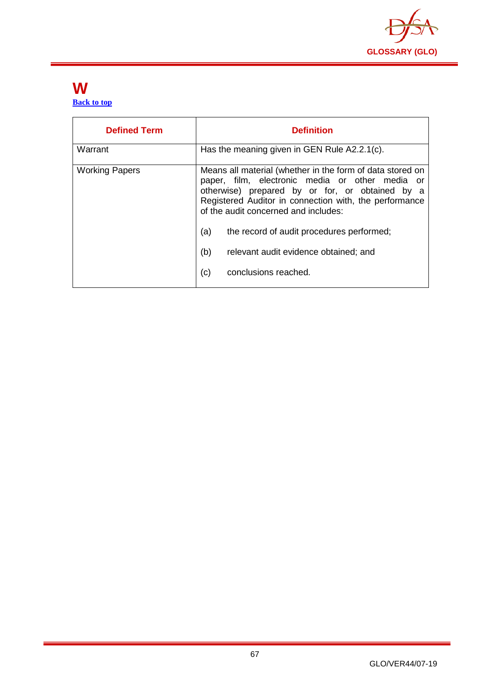

#### <span id="page-67-0"></span>**W [Back to top](#page-1-0)**

| <b>Defined Term</b>   | <b>Definition</b>                                                                                                                                                                                                                                                                                                                                                                                    |
|-----------------------|------------------------------------------------------------------------------------------------------------------------------------------------------------------------------------------------------------------------------------------------------------------------------------------------------------------------------------------------------------------------------------------------------|
| Warrant               | Has the meaning given in GEN Rule A2.2.1(c).                                                                                                                                                                                                                                                                                                                                                         |
| <b>Working Papers</b> | Means all material (whether in the form of data stored on<br>paper, film, electronic media or other media or<br>otherwise) prepared by or for, or obtained by a<br>Registered Auditor in connection with, the performance<br>of the audit concerned and includes:<br>(a)<br>the record of audit procedures performed;<br>(b)<br>relevant audit evidence obtained; and<br>(c)<br>conclusions reached. |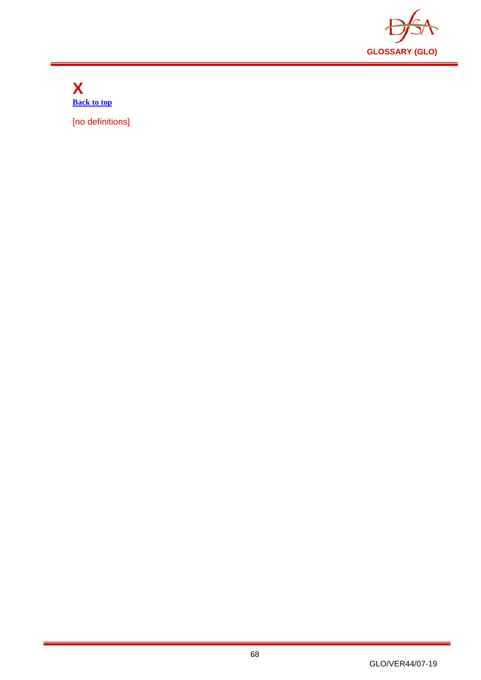

<span id="page-68-0"></span>**X [Back to top](#page-1-0)**

[no definitions]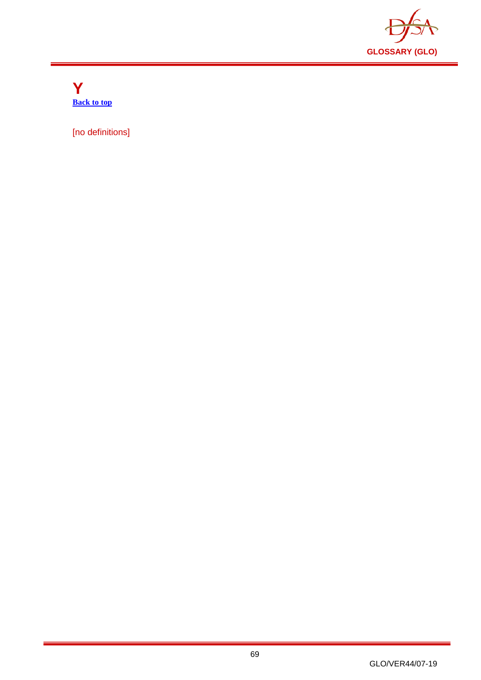

<span id="page-69-0"></span>**Y [Back to top](#page-1-0)**

[no definitions]